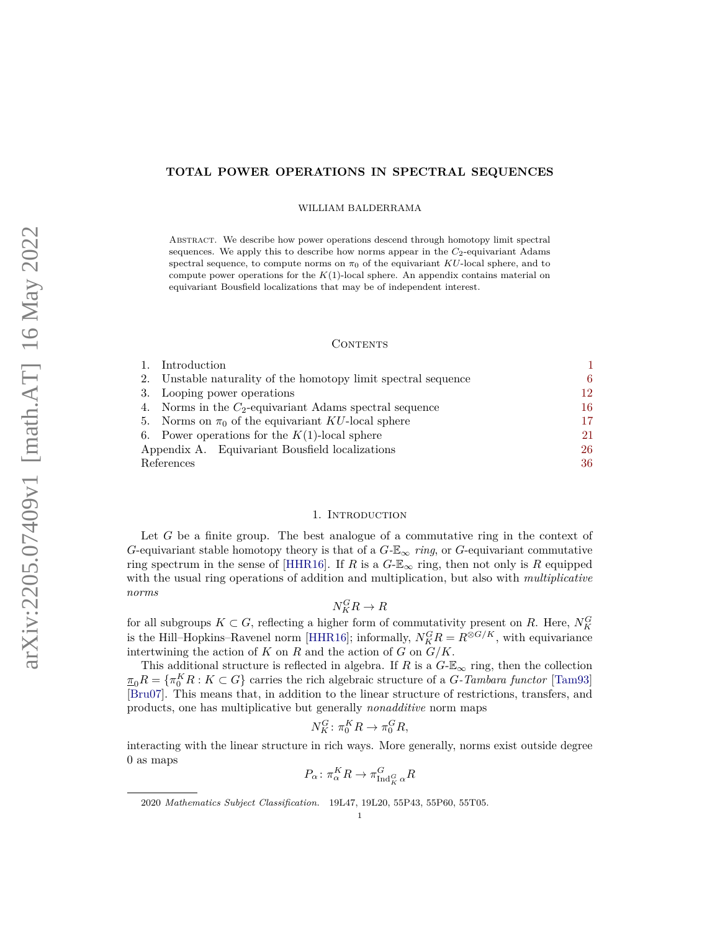## **TOTAL POWER OPERATIONS IN SPECTRAL SEQUENCES**

WILLIAM BALDERRAMA

Abstract. We describe how power operations descend through homotopy limit spectral sequences. We apply this to describe how norms appear in the  $C_2$ -equivariant Adams spectral sequence, to compute norms on  $\pi_0$  of the equivariant *KU*-local sphere, and to compute power operations for the *K*(1)-local sphere. An appendix contains material on equivariant Bousfield localizations that may be of independent interest.

#### **CONTENTS**

|            | Introduction                                                |    |
|------------|-------------------------------------------------------------|----|
| 2.         | Unstable naturality of the homotopy limit spectral sequence | 6. |
| 3.         | Looping power operations                                    | 12 |
| 4.         | Norms in the $C_2$ -equivariant Adams spectral sequence     | 16 |
| 5.         | Norms on $\pi_0$ of the equivariant KU-local sphere         | 17 |
|            | 6. Power operations for the $K(1)$ -local sphere            | 21 |
|            | Appendix A. Equivariant Bousfield localizations             | 26 |
| References |                                                             | 36 |

#### 1. INTRODUCTION

<span id="page-0-0"></span>Let *G* be a finite group. The best analogue of a commutative ring in the context of *G*-equivariant stable homotopy theory is that of a  $G$ - $\mathbb{E}_{\infty}$  *ring*, or *G*-equivariant commutative ring spectrum in the sense of [\[HHR16\]](#page-36-0). If *R* is a  $G-\mathbb{E}_{\infty}$  ring, then not only is *R* equipped with the usual ring operations of addition and multiplication, but also with *multiplicative norms*

# $N_K^G R \to R$

for all subgroups  $K \subset G$ , reflecting a higher form of commutativity present on R. Here,  $N_K^G$ is the Hill–Hopkins–Ravenel norm [\[HHR16\]](#page-36-0); informally,  $N_K^G R = R^{\otimes G/K}$ , with equivariance intertwining the action of  $K$  on  $R$  and the action of  $G$  on  $G/K$ .

This additional structure is reflected in algebra. If *R* is a  $G-\mathbb{E}_{\infty}$  ring, then the collection  $\overline{\pi}_0 R = \{ \pi_0^K R : K \subset G \}$  carries the rich algebraic structure of a *G-Tambara functor* [\[Tam93\]](#page-37-0) [\[Bru07\]](#page-35-1). This means that, in addition to the linear structure of restrictions, transfers, and products, one has multiplicative but generally *nonadditive* norm maps

$$
N_K^G \colon \pi_0^K R \to \pi_0^G R,
$$

interacting with the linear structure in rich ways. More generally, norms exist outside degree 0 as maps

$$
P_{\alpha} \colon \pi_{\alpha}^{K} R \to \pi_{\mathrm{Ind}_{K}^{G} \alpha}^{G} R
$$

<sup>2020</sup> *Mathematics Subject Classification.* 19L47, 19L20, 55P43, 55P60, 55T05.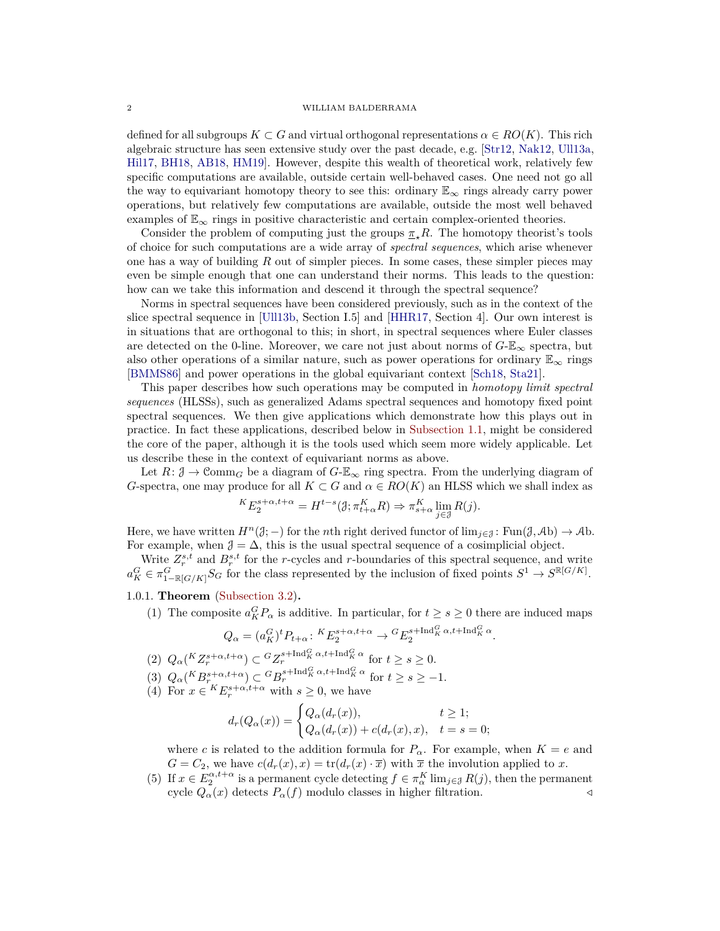defined for all subgroups  $K \subset G$  and virtual orthogonal representations  $\alpha \in RO(K)$ . This rich algebraic structure has seen extensive study over the past decade, e.g. [\[Str12,](#page-37-1) [Nak12,](#page-37-2) [Ull13a,](#page-37-3) [Hil17,](#page-36-1) [BH18,](#page-35-2) [AB18,](#page-35-3) [HM19\]](#page-36-2). However, despite this wealth of theoretical work, relatively few specific computations are available, outside certain well-behaved cases. One need not go all the way to equivariant homotopy theory to see this: ordinary  $\mathbb{E}_{\infty}$  rings already carry power operations, but relatively few computations are available, outside the most well behaved examples of  $\mathbb{E}_{\infty}$  rings in positive characteristic and certain complex-oriented theories.

Consider the problem of computing just the groups  $\pi$ <sub>*x*</sub> $R$ . The homotopy theorist's tools of choice for such computations are a wide array of *spectral sequences*, which arise whenever one has a way of building *R* out of simpler pieces. In some cases, these simpler pieces may even be simple enough that one can understand their norms. This leads to the question: how can we take this information and descend it through the spectral sequence?

Norms in spectral sequences have been considered previously, such as in the context of the slice spectral sequence in [\[Ull13b,](#page-37-4) Section I.5] and [\[HHR17,](#page-36-3) Section 4]. Our own interest is in situations that are orthogonal to this; in short, in spectral sequences where Euler classes are detected on the 0-line. Moreover, we care not just about norms of  $G-\mathbb{E}_{\infty}$  spectra, but also other operations of a similar nature, such as power operations for ordinary  $\mathbb{E}_{\infty}$  rings [\[BMMS86\]](#page-35-4) and power operations in the global equivariant context [\[Sch18,](#page-37-5) [Sta21\]](#page-37-6).

This paper describes how such operations may be computed in *homotopy limit spectral sequences* (HLSSs), such as generalized Adams spectral sequences and homotopy fixed point spectral sequences. We then give applications which demonstrate how this plays out in practice. In fact these applications, described below in [Subsection 1.1,](#page-2-0) might be considered the core of the paper, although it is the tools used which seem more widely applicable. Let us describe these in the context of equivariant norms as above.

Let  $R: \mathcal{J} \to \mathcal{C}^{m}$  be a diagram of  $G-\mathbb{E}_{\infty}$  ring spectra. From the underlying diagram of *G*-spectra, one may produce for all  $K \subset G$  and  $\alpha \in RO(K)$  an HLSS which we shall index as

$$
{}^{K}E_{2}^{s+\alpha,t+\alpha} = H^{t-s}(\mathfrak{J}; \pi_{t+\alpha}^{K}R) \Rightarrow \pi_{s+\alpha}^{K} \lim_{j \in \mathfrak{J}} R(j).
$$

Here, we have written  $H^n(\mathcal{J};-)$  for the *n*th right derived functor of  $\lim_{j\in\mathcal{J}}$ :  $\text{Fun}(\mathcal{J},\mathcal{A}b)\to\mathcal{A}b$ . For example, when  $\mathcal{J} = \Delta$ , this is the usual spectral sequence of a cosimplicial object.

Write  $Z_r^{s,t}$  and  $B_r^{s,t}$  for the *r*-cycles and *r*-boundaries of this spectral sequence, and write  $a_K^G \in \pi_{1-\mathbb{R}[G/K]}^G$  *S<sub>G</sub>* for the class represented by the inclusion of fixed points  $S^1 \to S^{\mathbb{R}[G/K]}$ .

# <span id="page-1-0"></span>1.0.1. **Theorem** [\(Subsection 3.2\)](#page-13-0)**.**

(1) The composite  $a_K^G P_\alpha$  is additive. In particular, for  $t \geq s \geq 0$  there are induced maps

$$
Q_\alpha=(a_K^G)^tP_{t+\alpha}\colon{}^KE_2^{s+\alpha,t+\alpha}\to{}^GE_2^{s+\mathrm{Ind}_K^G\alpha,t+\mathrm{Ind}_K^G\alpha}.
$$

- (2)  $Q_{\alpha}(KZ_r^{s+\alpha,t+\alpha}) \subset {}^G Z_r^{s+\text{Ind}_K^G \alpha,t+\text{Ind}_K^G \alpha}$  for  $t \ge s \ge 0$ .
- $(Q)$   $Q_{\alpha}$ ( $K B_{r}^{s+\alpha, t+\alpha}$ )  $\subset {}^{G}B_{r}^{s+\text{Ind}_{K}^{G} \alpha, t+\text{Ind}_{K}^{G} \alpha}$  for  $t \geq s \geq -1$ .
- (4) For  $x \in {}^{K}E^{s+\alpha,t+\alpha}_{r}$  with  $s \geq 0$ , we have

$$
d_r(Q_\alpha(x)) = \begin{cases} Q_\alpha(d_r(x)), & t \ge 1; \\ Q_\alpha(d_r(x)) + c(d_r(x), x), & t = s = 0; \end{cases}
$$

where *c* is related to the addition formula for  $P_\alpha$ . For example, when  $K = e$  and  $G = C_2$ , we have  $c(d_r(x), x) = \text{tr}(d_r(x) \cdot \overline{x})$  with  $\overline{x}$  the involution applied to *x*.

(5) If  $x \in E_2^{\alpha, t+\alpha}$  is a permanent cycle detecting  $f \in \pi_\alpha^K$  lim<sub>j $\in \mathcal{J}$ </sub>  $R(j)$ , then the permanent cycle  $Q_{\alpha}(x)$  detects  $P_{\alpha}(f)$  modulo classes in higher filtration.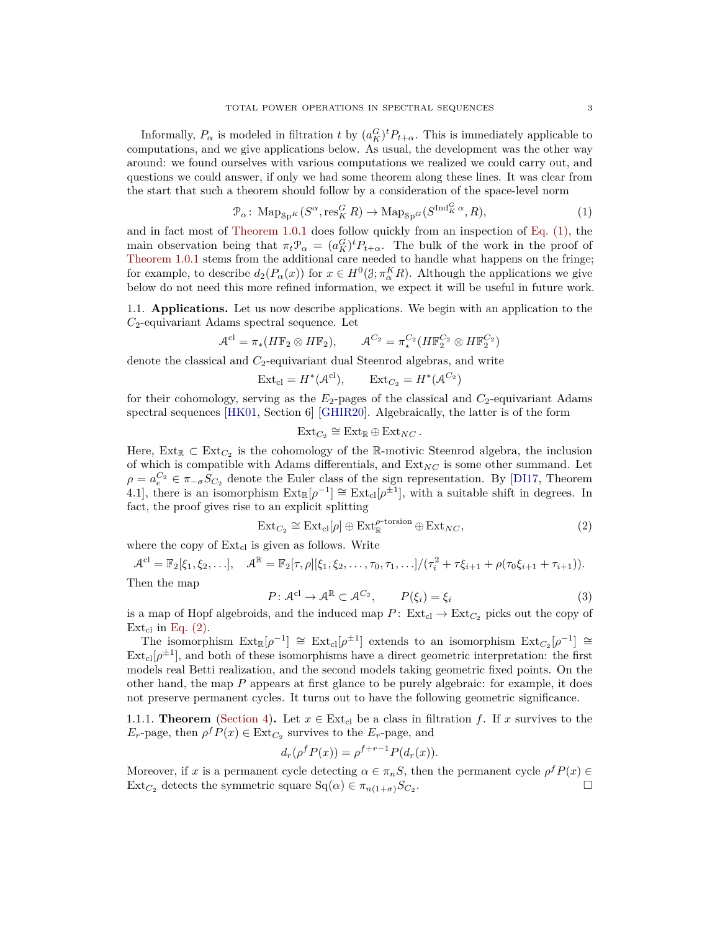Informally,  $P_{\alpha}$  is modeled in filtration *t* by  $(a_K^G)^t P_{t+\alpha}$ . This is immediately applicable to computations, and we give applications below. As usual, the development was the other way around: we found ourselves with various computations we realized we could carry out, and questions we could answer, if only we had some theorem along these lines. It was clear from the start that such a theorem should follow by a consideration of the space-level norm

<span id="page-2-1"></span>
$$
\mathcal{P}_{\alpha} \colon \operatorname{Map}_{\operatorname{Sp}^K}(S^{\alpha}, \operatorname{res}^G_K R) \to \operatorname{Map}_{\operatorname{Sp}^G}(S^{\operatorname{Ind}^G_K \alpha}, R),\tag{1}
$$

and in fact most of [Theorem 1.0.1](#page-1-0) does follow quickly from an inspection of [Eq. \(1\),](#page-2-1) the main observation being that  $\pi_t \mathcal{P}_\alpha = (a_K^G)^t P_{t+\alpha}$ . The bulk of the work in the proof of [Theorem 1.0.1](#page-1-0) stems from the additional care needed to handle what happens on the fringe; for example, to describe  $d_2(P_\alpha(x))$  for  $x \in H^0(\mathcal{J}; \pi_\alpha^K R)$ . Although the applications we give below do not need this more refined information, we expect it will be useful in future work.

<span id="page-2-0"></span>1.1. **Applications.** Let us now describe applications. We begin with an application to the *C*2-equivariant Adams spectral sequence. Let

$$
\mathcal{A}^{\mathrm{cl}} = \pi_*(H\mathbb{F}_2 \otimes H\mathbb{F}_2), \qquad \mathcal{A}^{C_2} = \pi_*^{C_2}(H\mathbb{F}_2^{C_2} \otimes H\mathbb{F}_2^{C_2})
$$

denote the classical and  $C_2$ -equivariant dual Steenrod algebras, and write

$$
Ext_{cl} = H^*(\mathcal{A}^{cl}), \qquad Ext_{C_2} = H^*(\mathcal{A}^{C_2})
$$

for their cohomology, serving as the *E*2-pages of the classical and *C*2-equivariant Adams spectral sequences [\[HK01,](#page-36-4) Section 6] [\[GHIR20\]](#page-36-5). Algebraically, the latter is of the form

$$
\mathrm{Ext}_{C_2} \cong \mathrm{Ext}_{\mathbb{R}} \oplus \mathrm{Ext}_{NC} .
$$

Here,  $Ext_{\mathbb{R}} \subset Ext_{C_2}$  is the cohomology of the R-motivic Steenrod algebra, the inclusion of which is compatible with Adams differentials, and  $Ext_{NC}$  is some other summand. Let  $\rho = a_e^{C_2} \in \pi_{-\sigma} S_{C_2}$  denote the Euler class of the sign representation. By [\[DI17,](#page-35-5) Theorem 4.1], there is an isomorphism  $\text{Ext}_{\mathbb{R}}[\rho^{-1}] \cong \text{Ext}_{\text{cl}}[\rho^{\pm 1}]$ , with a suitable shift in degrees. In fact, the proof gives rise to an explicit splitting

<span id="page-2-2"></span>
$$
Ext_{C_2} \cong Ext_{\text{cl}}[\rho] \oplus Ext_{\mathbb{R}}^{\rho\text{-torsion}} \oplus Ext_{NC},
$$
\n(2)

where the copy of  $Ext_{cl}$  is given as follows. Write

$$
\mathcal{A}^{cl} = \mathbb{F}_2[\xi_1, \xi_2, \ldots], \quad \mathcal{A}^{\mathbb{R}} = \mathbb{F}_2[\tau, \rho][\xi_1, \xi_2, \ldots, \tau_0, \tau_1, \ldots]/(\tau_i^2 + \tau \xi_{i+1} + \rho(\tau_0 \xi_{i+1} + \tau_{i+1})).
$$
  
Then the map

<span id="page-2-4"></span>
$$
P: \mathcal{A}^{\text{cl}} \to \mathcal{A}^{\mathbb{R}} \subset \mathcal{A}^{C_2}, \qquad P(\xi_i) = \xi_i \tag{3}
$$

is a map of Hopf algebroids, and the induced map  $P: Ext_{cl} \to Ext_{C_2}$  picks out the copy of  $Ext_{cl}$  in [Eq. \(2\).](#page-2-2)

The isomorphism  $\text{Ext}_{\mathbb{R}}[\rho^{-1}] \cong \text{Ext}_{\text{cl}}[\rho^{\pm 1}]$  extends to an isomorphism  $\text{Ext}_{C_2}[\rho^{-1}] \cong$  $\text{Ext}_{cl}[\rho^{\pm 1}]$ , and both of these isomorphisms have a direct geometric interpretation: the first models real Betti realization, and the second models taking geometric fixed points. On the other hand, the map *P* appears at first glance to be purely algebraic: for example, it does not preserve permanent cycles. It turns out to have the following geometric significance.

<span id="page-2-3"></span>1.1.1. **Theorem** [\(Section 4\)](#page-15-0). Let  $x \in \text{Ext}_{cl}$  be a class in filtration f. If x survives to the  $E_r$ -page, then  $\rho^f P(x) \in \text{Ext}_{C_2}$  survives to the  $E_r$ -page, and

$$
d_r(\rho^f P(x)) = \rho^{f+r-1} P(d_r(x)).
$$

Moreover, if *x* is a permanent cycle detecting  $\alpha \in \pi_n S$ , then the permanent cycle  $\rho^f P(x) \in$  $\text{Ext}_{C_2}$  detects the symmetric square  $\text{Sq}(\alpha) \in \pi_{n(1+\sigma)}S_{C_2}$ . .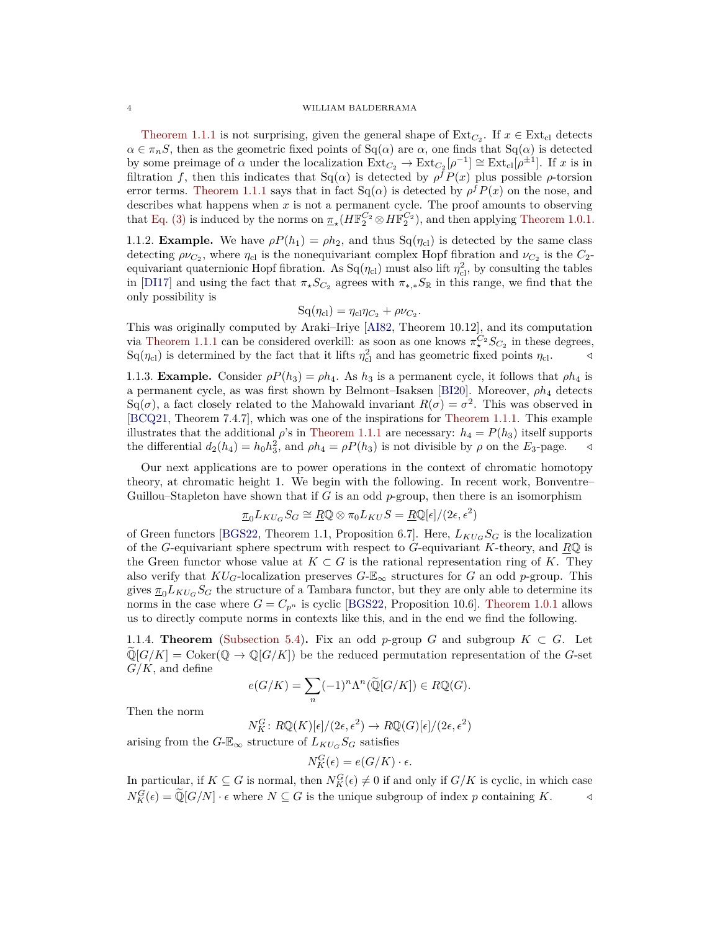[Theorem 1.1.1](#page-2-3) is not surprising, given the general shape of  $\text{Ext}_{C_2}$ . If  $x \in \text{Ext}_{\text{cl}}$  detects  $\alpha \in \pi_n S$ , then as the geometric fixed points of Sq( $\alpha$ ) are  $\alpha$ , one finds that Sq( $\alpha$ ) is detected by some preimage of  $\alpha$  under the localization  $\operatorname{Ext}_{C_2} \to \operatorname{Ext}_{C_2}[\rho^{-1}] \cong \operatorname{Ext}_{cl}[\rho^{\pm 1}]$ . If *x* is in filtration *f*, then this indicates that  $Sq(\alpha)$  is detected by  $\rho^f P(x)$  plus possible  $\rho$ -torsion error terms. [Theorem 1.1.1](#page-2-3) says that in fact  $Sq(\alpha)$  is detected by  $\rho^f P(x)$  on the nose, and describes what happens when  $x$  is not a permanent cycle. The proof amounts to observing that [Eq. \(3\)](#page-2-4) is induced by the norms on  $\pi_*(H\mathbb{F}_2^{C_2} \otimes H\mathbb{F}_2^{C_2})$ , and then applying [Theorem 1.0.1.](#page-1-0)

<span id="page-3-1"></span>1.1.2. **Example.** We have  $\rho P(h_1) = \rho h_2$ , and thus Sq( $\eta_{\text{cl}}$ ) is detected by the same class detecting  $\rho\nu_{C_2}$ , where  $\eta_{c}$  is the nonequivariant complex Hopf fibration and  $\nu_{C_2}$  is the  $C_2$ equivariant quaternionic Hopf fibration. As  $Sq(\eta_{cl})$  must also lift  $\eta_{cl}^2$ , by consulting the tables in [\[DI17\]](#page-35-5) and using the fact that  $\pi_{\star}S_{C_2}$  agrees with  $\pi_{\star,\star}S_{\mathbb{R}}$  in this range, we find that the only possibility is

$$
Sq(\eta_{cl}) = \eta_{cl}\eta_{C_2} + \rho\nu_{C_2}.
$$

This was originally computed by Araki–Iriye [\[AI82,](#page-35-6) Theorem 10.12], and its computation via [Theorem 1.1.1](#page-2-3) can be considered overkill: as soon as one knows  $\pi^{C_2}_* S_{C_2}$  in these degrees,  $\text{Sq}(\eta_{\text{cl}})$  is determined by the fact that it lifts  $\eta_{\text{cl}}^2$  and has geometric fixed points  $\eta_{\text{cl}}$ .

1.1.3. **Example.** Consider  $\rho P(h_3) = \rho h_4$ . As  $h_3$  is a permanent cycle, it follows that  $\rho h_4$  is a permanent cycle, as was first shown by Belmont–Isaksen [\[BI20\]](#page-35-7). Moreover, *ρh*<sup>4</sup> detects Sq( $\sigma$ ), a fact closely related to the Mahowald invariant  $R(\sigma) = \sigma^2$ . This was observed in [\[BCQ21,](#page-35-8) Theorem 7.4.7], which was one of the inspirations for [Theorem 1.1.1.](#page-2-3) This example illustrates that the additional  $\rho$ 's in [Theorem 1.1.1](#page-2-3) are necessary:  $h_4 = P(h_3)$  itself supports the differential  $d_2(h_4) = h_0 h_3^2$ , and  $\rho h_4 = \rho P(h_3)$  is not divisible by  $\rho$  on the  $E_3$ -page.  $\triangleleft$ 

Our next applications are to power operations in the context of chromatic homotopy theory, at chromatic height 1. We begin with the following. In recent work, Bonventre– Guillou–Stapleton have shown that if *G* is an odd *p*-group, then there is an isomorphism

$$
\underline{\pi}_0 L_{KU_G} S_G \cong \underline{R} \mathbb{Q} \otimes \pi_0 L_{KU} S = \underline{R} \mathbb{Q}[\epsilon]/(2\epsilon, \epsilon^2)
$$

of Green functors [\[BGS22,](#page-35-9) Theorem 1.1, Proposition 6.7]. Here,  $L_{KUG}S_G$  is the localization of the *G*-equivariant sphere spectrum with respect to *G*-equivariant *K*-theory, and *R*Q is the Green functor whose value at  $K \subset G$  is the rational representation ring of K. They also verify that  $KU_G$ -localization preserves  $G-\mathbb{E}_{\infty}$  structures for G an odd p-group. This gives  $\pi_0 L_{KU_G} S_G$  the structure of a Tambara functor, but they are only able to determine its norms in the case where  $G = C_{p^n}$  is cyclic [\[BGS22,](#page-35-9) Proposition 10.6]. [Theorem 1.0.1](#page-1-0) allows us to directly compute norms in contexts like this, and in the end we find the following.

<span id="page-3-0"></span>1.1.4. **Theorem** [\(Subsection 5.4\)](#page-20-1). Fix an odd *p*-group *G* and subgroup  $K \subset G$ . Let  $\mathbb{Q}[G/K] = \text{Coker}(\mathbb{Q} \to \mathbb{Q}[G/K])$  be the reduced permutation representation of the *G*-set *G/K*, and define

$$
e(G/K) = \sum_{n} (-1)^n \Lambda^n(\widetilde{\mathbb{Q}}[G/K]) \in R\mathbb{Q}(G).
$$

Then the norm

$$
N_K^G\colon R\mathbb{Q}(K)[\epsilon]/(2\epsilon,\epsilon^2)\to R\mathbb{Q}(G)[\epsilon]/(2\epsilon,\epsilon^2)
$$

arising from the  $G$ - $\mathbb{E}_{\infty}$  structure of  $L_{KU_G}S_G$  satisfies

$$
N_K^G(\epsilon) = e(G/K) \cdot \epsilon.
$$

In particular, if  $K \subseteq G$  is normal, then  $N_K^G(\epsilon) \neq 0$  if and only if  $G/K$  is cyclic, in which case  $N_K^G(\epsilon) = \tilde{\mathbb{Q}}[G/N] \cdot \epsilon$  where  $N \subseteq G$  is the unique subgroup of index *p* containing *K*.  $\triangleleft$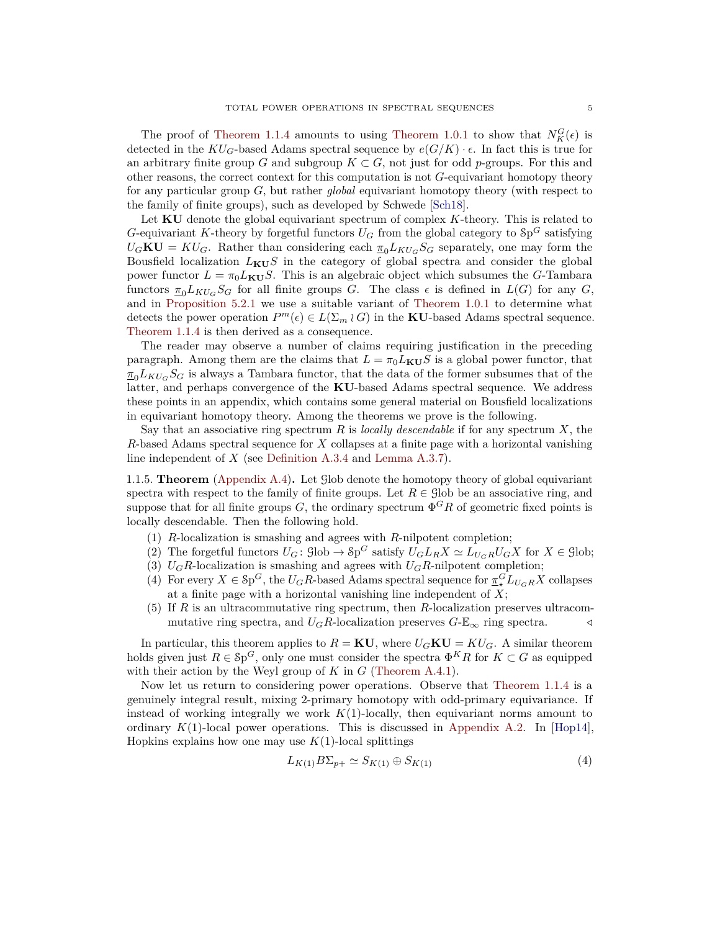The proof of [Theorem 1.1.4](#page-3-0) amounts to using [Theorem 1.0.1](#page-1-0) to show that  $N_K^G(\epsilon)$  is detected in the  $KU_G$ -based Adams spectral sequence by  $e(G/K) \cdot \epsilon$ . In fact this is true for an arbitrary finite group *G* and subgroup  $K \subset G$ , not just for odd *p*-groups. For this and other reasons, the correct context for this computation is not *G*-equivariant homotopy theory for any particular group *G*, but rather *global* equivariant homotopy theory (with respect to the family of finite groups), such as developed by Schwede [\[Sch18\]](#page-37-5).

Let **KU** denote the global equivariant spectrum of complex *K*-theory. This is related to *G*-equivariant *K*-theory by forgetful functors  $U_G$  from the global category to  $\delta p^G$  satisfying  $U_G$ **KU** =  $KU_G$ . Rather than considering each  $\pi_0 L_{KU_G} S_G$  separately, one may form the Bousfield localization  $L_{\text{KU}}S$  in the category of global spectra and consider the global power functor  $L = \pi_0 L_{\text{KU}} S$ . This is an algebraic object which subsumes the *G*-Tambara functors  $\pi_0 L_{KU_G} S_G$  for all finite groups *G*. The class  $\epsilon$  is defined in  $L(G)$  for any *G*, and in [Proposition 5.2.1](#page-18-0) we use a suitable variant of [Theorem 1.0.1](#page-1-0) to determine what detects the power operation  $P^m(\epsilon) \in L(\Sigma_m \wr G)$  in the **KU**-based Adams spectral sequence. [Theorem 1.1.4](#page-3-0) is then derived as a consequence.

The reader may observe a number of claims requiring justification in the preceding paragraph. Among them are the claims that  $L = \pi_0 L_{\text{KU}} S$  is a global power functor, that  $\pi_0 L_{KU_G} S_G$  is always a Tambara functor, that the data of the former subsumes that of the latter, and perhaps convergence of the **KU**-based Adams spectral sequence. We address these points in an appendix, which contains some general material on Bousfield localizations in equivariant homotopy theory. Among the theorems we prove is the following.

Say that an associative ring spectrum *R* is *locally descendable* if for any spectrum *X*, the *R*-based Adams spectral sequence for *X* collapses at a finite page with a horizontal vanishing line independent of *X* (see [Definition A.3.4](#page-29-0) and [Lemma A.3.7\)](#page-30-0).

<span id="page-4-1"></span>1.1.5. **Theorem** [\(Appendix A.4\)](#page-31-0)**.** Let Glob denote the homotopy theory of global equivariant spectra with respect to the family of finite groups. Let  $R \in \text{glob}$  be an associative ring, and suppose that for all finite groups  $G$ , the ordinary spectrum  $\Phi^G R$  of geometric fixed points is locally descendable. Then the following hold.

- (1) *R*-localization is smashing and agrees with *R*-nilpotent completion;
- (2) The forgetful functors  $U_G$ :  $\text{glob} \to \text{Sp}^G$  satisfy  $U_G L_R X \simeq L_{U_G R} U_G X$  for  $X \in \text{glob}$ ;
- (3)  $U_G R$ -localization is smashing and agrees with  $U_G R$ -nilpotent completion;
- (4) For every  $X \in \mathcal{S}p^G$ , the  $U_GR$ -based Adams spectral sequence for  $\pi^G_* L_{U_GR} X$  collapses at a finite page with a horizontal vanishing line independent of *X*;
- (5) If *R* is an ultracommutative ring spectrum, then *R*-localization preserves ultracommutative ring spectra, and  $U_G R$ -localization preserves  $G$ - $\mathbb{E}_{\infty}$  ring spectra.

In particular, this theorem applies to  $R = \mathbf{K}\mathbf{U}$ , where  $U_G\mathbf{K}\mathbf{U} = K U_G$ . A similar theorem holds given just  $R \in \mathcal{S}p^G$ , only one must consider the spectra  $\Phi^K R$  for  $K \subset G$  as equipped with their action by the Weyl group of *K* in *G* [\(Theorem A.4.1\)](#page-31-1).

Now let us return to considering power operations. Observe that [Theorem 1.1.4](#page-3-0) is a genuinely integral result, mixing 2-primary homotopy with odd-primary equivariance. If instead of working integrally we work  $K(1)$ -locally, then equivariant norms amount to ordinary  $K(1)$ -local power operations. This is discussed in [Appendix A.2.](#page-27-0) In [\[Hop14\]](#page-36-6), Hopkins explains how one may use  $K(1)$ -local splittings

<span id="page-4-0"></span>
$$
L_{K(1)}B\Sigma_{p+} \simeq S_{K(1)} \oplus S_{K(1)} \tag{4}
$$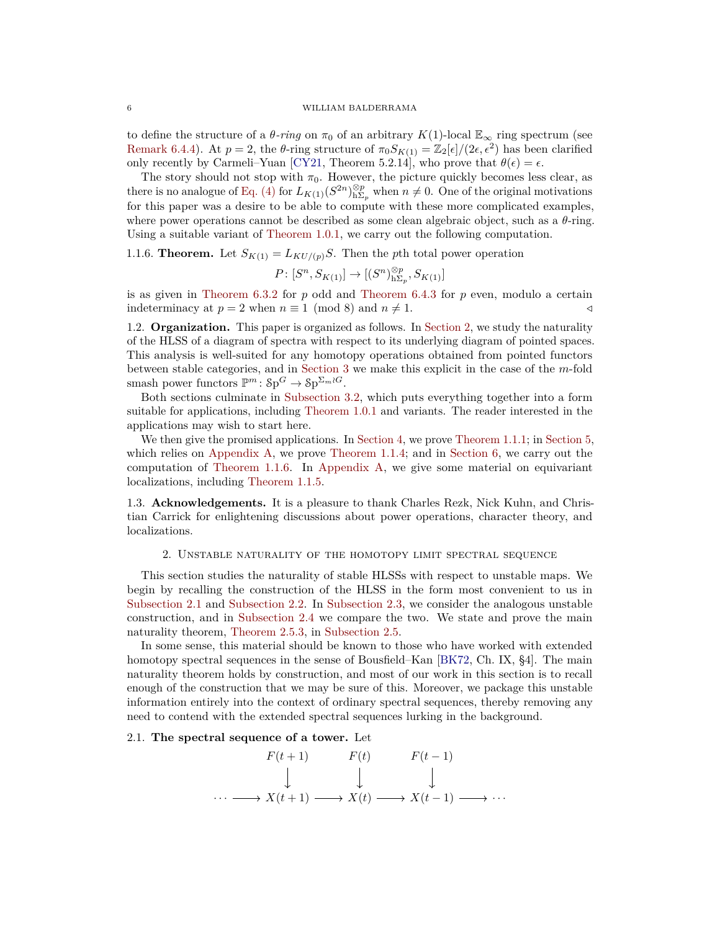to define the structure of a  $\theta$ *-ring* on  $\pi_0$  of an arbitrary  $K(1)$ -local  $\mathbb{E}_{\infty}$  ring spectrum (see [Remark 6.4.4\)](#page-25-1). At  $p = 2$ , the *θ*-ring structure of  $\pi_0 S_{K(1)} = \mathbb{Z}_2[\epsilon]/(2\epsilon, \epsilon^2)$  has been clarified only recently by Carmeli–Yuan [\[CY21,](#page-35-10) Theorem 5.2.14], who prove that  $\theta(\epsilon) = \epsilon$ .

The story should not stop with  $\pi_0$ . However, the picture quickly becomes less clear, as there is no analogue of [Eq. \(4\)](#page-4-0) for  $L_{K(1)}(S^{2n})_{h\Sigma_p}^{\otimes p}$  when  $n \neq 0$ . One of the original motivations for this paper was a desire to be able to compute with these more complicated examples, where power operations cannot be described as some clean algebraic object, such as a *θ*-ring. Using a suitable variant of [Theorem 1.0.1,](#page-1-0) we carry out the following computation.

<span id="page-5-1"></span>1.1.6. **Theorem.** Let  $S_{K(1)} = L_{KU/(p)}S$ . Then the *p*th total power operation

$$
P\colon [S^n, S_{K(1)}] \to [(S^n)_{\mathsf{h}\Sigma_p}^{\otimes p}, S_{K(1)}]
$$

is as given in [Theorem 6.3.2](#page-23-0) for *p* odd and [Theorem 6.4.3](#page-24-0) for *p* even, modulo a certain indeterminacy at  $p = 2$  when  $n \equiv 1 \pmod{8}$  and  $n \neq 1$ .

1.2. **Organization.** This paper is organized as follows. In [Section 2,](#page-5-0) we study the naturality of the HLSS of a diagram of spectra with respect to its underlying diagram of pointed spaces. This analysis is well-suited for any homotopy operations obtained from pointed functors between stable categories, and in [Section 3](#page-11-0) we make this explicit in the case of the *m*-fold smash power functors  $\mathbb{P}^m$ :  $\mathcal{S}p^G \to \mathcal{S}p^{\Sigma_m \wr G}$ .

Both sections culminate in [Subsection 3.2,](#page-13-0) which puts everything together into a form suitable for applications, including [Theorem 1.0.1](#page-1-0) and variants. The reader interested in the applications may wish to start here.

We then give the promised applications. In [Section 4,](#page-15-0) we prove [Theorem 1.1.1;](#page-2-3) in [Section 5,](#page-16-0) which relies on [Appendix A,](#page-25-0) we prove [Theorem 1.1.4;](#page-3-0) and in [Section 6,](#page-20-0) we carry out the computation of [Theorem 1.1.6.](#page-5-1) In [Appendix A,](#page-25-0) we give some material on equivariant localizations, including [Theorem 1.1.5.](#page-4-1)

1.3. **Acknowledgements.** It is a pleasure to thank Charles Rezk, Nick Kuhn, and Christian Carrick for enlightening discussions about power operations, character theory, and localizations.

#### 2. Unstable naturality of the homotopy limit spectral sequence

<span id="page-5-0"></span>This section studies the naturality of stable HLSSs with respect to unstable maps. We begin by recalling the construction of the HLSS in the form most convenient to us in [Subsection 2.1](#page-5-2) and [Subsection 2.2.](#page-6-0) In [Subsection 2.3,](#page-7-0) we consider the analogous unstable construction, and in [Subsection 2.4](#page-8-0) we compare the two. We state and prove the main naturality theorem, [Theorem 2.5.3,](#page-11-1) in [Subsection 2.5.](#page-9-0)

In some sense, this material should be known to those who have worked with extended homotopy spectral sequences in the sense of Bousfield–Kan [\[BK72,](#page-35-11) Ch. IX, §4]. The main naturality theorem holds by construction, and most of our work in this section is to recall enough of the construction that we may be sure of this. Moreover, we package this unstable information entirely into the context of ordinary spectral sequences, thereby removing any need to contend with the extended spectral sequences lurking in the background.

## <span id="page-5-2"></span>2.1. **The spectral sequence of a tower.** Let

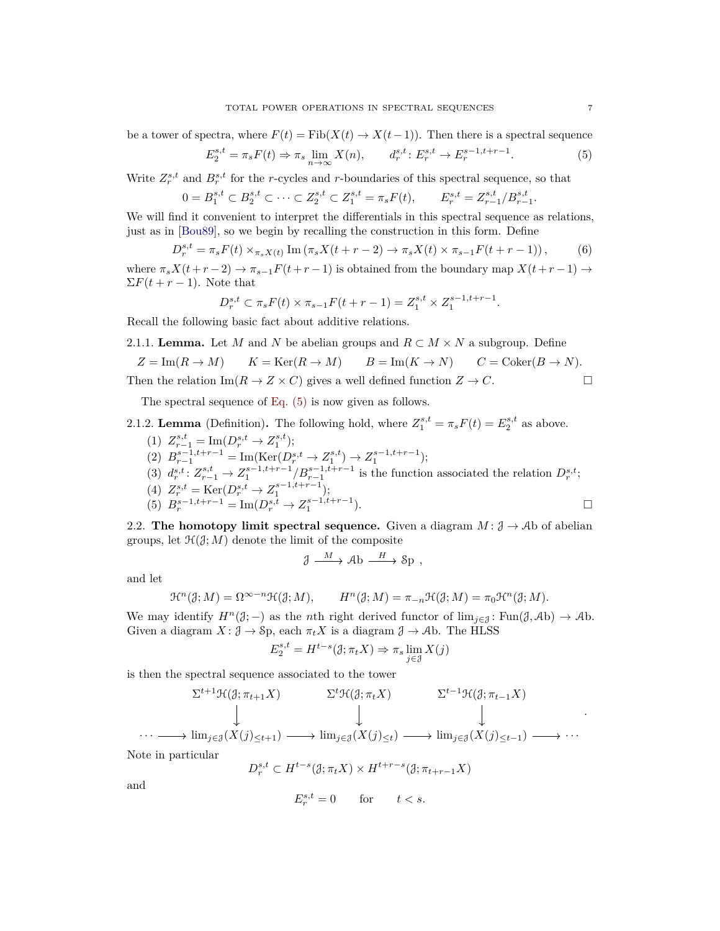be a tower of spectra, where  $F(t) = \text{Fib}(X(t) \to X(t-1))$ . Then there is a spectral sequence

<span id="page-6-1"></span>
$$
E_2^{s,t} = \pi_s F(t) \Rightarrow \pi_s \lim_{n \to \infty} X(n), \qquad d_r^{s,t} : E_r^{s,t} \to E_r^{s-1,t+r-1}.
$$
 (5)

Write  $Z_r^{s,t}$  and  $B_r^{s,t}$  for the *r*-cycles and *r*-boundaries of this spectral sequence, so that

$$
0 = B_1^{s,t} \subset B_2^{s,t} \subset \cdots \subset Z_2^{s,t} \subset Z_1^{s,t} = \pi_s F(t), \qquad E_r^{s,t} = Z_{r-1}^{s,t}/B_{r-1}^{s,t}.
$$

We will find it convenient to interpret the differentials in this spectral sequence as relations, just as in [\[Bou89\]](#page-35-12), so we begin by recalling the construction in this form. Define

<span id="page-6-2"></span>
$$
D_r^{s,t} = \pi_s F(t) \times_{\pi_s X(t)} \text{Im} (\pi_s X(t+r-2) \to \pi_s X(t) \times \pi_{s-1} F(t+r-1)), \tag{6}
$$

where  $\pi_s X(t+r-2) \to \pi_{s-1} F(t+r-1)$  is obtained from the boundary map  $X(t+r-1) \to$  $\Sigma F(t + r - 1)$ . Note that

$$
D_r^{s,t} \subset \pi_s F(t) \times \pi_{s-1} F(t+r-1) = Z_1^{s,t} \times Z_1^{s-1,t+r-1}.
$$

Recall the following basic fact about additive relations.

2.1.1. Lemma. Let *M* and *N* be abelian groups and 
$$
R \subset M \times N
$$
 a subgroup. Define  
\n $Z = \text{Im}(R \to M)$   $K = \text{Ker}(R \to M)$   $B = \text{Im}(K \to N)$   $C = \text{Coker}(B \to N)$ .  
\nThen the relation  $\text{Im}(R \to Z \times C)$  gives a well defined function  $Z \to C$ .

The spectral sequence of [Eq. \(5\)](#page-6-1) is now given as follows.

<span id="page-6-3"></span>2.1.2. **Lemma** (Definition). The following hold, where  $Z_1^{s,t} = \pi_s F(t) = E_2^{s,t}$  as above.

(1)  $Z_{r-1}^{s,t} = \text{Im}(D_r^{s,t} \to Z_1^{s,t});$  $(B)$   $B_{r-1}^{s-1,t+r-1} = \text{Im}(\text{Ker}(D_r^{s,t} \to Z_1^{s,t}) \to Z_1^{s-1,t+r-1});$ (3)  $d_r^{s,t}: Z_{r-1}^{s,t} \to Z_1^{s-1,t+r-1}/B_{r-1}^{s-1,t+r-1}$  is the function associated the relation  $D_r^{s,t}$ ; (4)  $Z_r^{s,t} = \text{Ker}(D_r^{s,t} \to Z_1^{s-1,t+r-1});$ (5)  $B_r^{s-1,t+r-1} = \text{Im}(D_r^{s,t} \to Z_1^{s-1,t+r-1})$  $\Box$ 

<span id="page-6-0"></span>2.2. **The homotopy limit spectral sequence.** Given a diagram  $M: \mathcal{J} \to \mathcal{A}$  b of abelian groups, let  $\mathcal{H}(\mathcal{J}; M)$  denote the limit of the composite

$$
\mathcal{J} \xrightarrow{M} \mathcal{A} \mathbf{b} \xrightarrow{H} \mathcal{S} \mathbf{p} ,
$$

and let

$$
\mathcal{H}^n(\mathcal{J};M)=\Omega^{\infty-n}\mathcal{H}(\mathcal{J};M),\qquad H^n(\mathcal{J};M)=\pi_{-n}\mathcal{H}(\mathcal{J};M)=\pi_0\mathcal{H}^n(\mathcal{J};M).
$$

We may identify  $H^n(\mathcal{J};-)$  as the *n*th right derived functor of  $\lim_{i\in\mathcal{J}}:\text{Fun}(\mathcal{J},\mathcal{A}b)\to\mathcal{A}b$ . Given a diagram  $X: \mathcal{J} \to \mathcal{S}_p$ , each  $\pi_t X$  is a diagram  $\mathcal{J} \to \mathcal{A}_p$ . The HLSS

$$
E_2^{s,t} = H^{t-s}(\mathcal{J}; \pi_t X) \Rightarrow \pi_s \lim_{j \in \mathcal{J}} X(j)
$$

is then the spectral sequence associated to the tower

$$
\sum_{t+1}^{t+1} \mathcal{H}(\mathcal{J}; \pi_{t+1} X) \qquad \sum_{t+1}^{t+1} \mathcal{H}(\mathcal{J}; \pi_{t+1} X) \qquad \sum_{t+1}^{t+1} \mathcal{H}(\mathcal{J}; \pi_{t-1} X) \qquad \qquad \downarrow \qquad \qquad \downarrow
$$
  

$$
\cdots \longrightarrow \lim_{j \in \mathcal{J}} (X(j)_{\leq t+1}) \longrightarrow \lim_{j \in \mathcal{J}} (X(j)_{\leq t}) \longrightarrow \lim_{j \in \mathcal{J}} (X(j)_{\leq t-1}) \longrightarrow \cdots
$$

Note in particular

$$
D_r^{s,t} \subset H^{t-s}(\mathcal{J}; \pi_t X) \times H^{t+r-s}(\mathcal{J}; \pi_{t+r-1} X)
$$

and

$$
E_r^{s,t} = 0 \qquad \text{for} \qquad t < s.
$$

.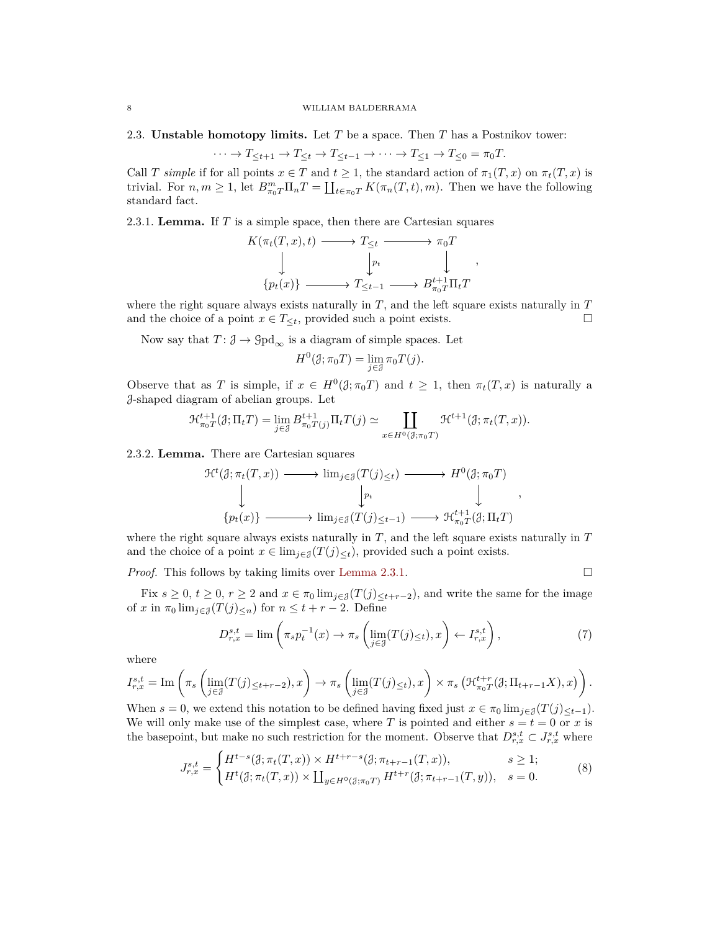<span id="page-7-0"></span>2.3. **Unstable homotopy limits.** Let *T* be a space. Then *T* has a Postnikov tower:

$$
\cdots \to T_{\leq t+1} \to T_{\leq t} \to T_{\leq t-1} \to \cdots \to T_{\leq 1} \to T_{\leq 0} = \pi_0 T.
$$

Call *T* simple if for all points  $x \in T$  and  $t \geq 1$ , the standard action of  $\pi_1(T, x)$  on  $\pi_t(T, x)$  is trivial. For  $n, m \ge 1$ , let  $B_{\pi_0T}^m \Pi_n T = \coprod_{t \in \pi_0T} K(\pi_n(T, t), m)$ . Then we have the following standard fact.

<span id="page-7-1"></span>2.3.1. **Lemma.** If *T* is a simple space, then there are Cartesian squares

$$
K(\pi_t(T, x), t) \longrightarrow T_{\leq t} \longrightarrow \pi_0 T
$$
  
\n
$$
\downarrow \qquad \qquad \downarrow \qquad \qquad \downarrow
$$
  
\n
$$
\{p_t(x)\} \longrightarrow T_{\leq t-1} \longrightarrow B_{\pi_0 T}^{t+1} \Pi_t T
$$

,

,

where the right square always exists naturally in  $T$ , and the left square exists naturally in  $T$ and the choice of a point  $x \in T_{\leq t}$ , provided such a point exists.

Now say that  $T: \mathcal{J} \to \text{Gpd}_{\infty}$  is a diagram of simple spaces. Let

$$
H^{0}(\mathcal{J}; \pi_{0} T) = \lim_{j \in \mathcal{J}} \pi_{0} T(j).
$$

Observe that as *T* is simple, if  $x \in H^0(\mathcal{J}; \pi_0 T)$  and  $t \geq 1$ , then  $\pi_t(T, x)$  is naturally a J-shaped diagram of abelian groups. Let

$$
\mathcal{H}_{\pi_0 T}^{t+1}(\mathcal{J}; \Pi_t T) = \lim_{j \in \mathcal{J}} B_{\pi_0 T(j)}^{t+1} \Pi_t T(j) \simeq \coprod_{x \in H^0(\mathcal{J}; \pi_0 T)} \mathcal{H}^{t+1}(\mathcal{J}; \pi_t(T, x)).
$$

2.3.2. **Lemma.** There are Cartesian squares

$$
\mathcal{H}^{t}(\mathcal{J}; \pi_{t}(T, x)) \longrightarrow \lim_{j \in \mathcal{J}}(T(j)_{\leq t}) \longrightarrow H^{0}(\mathcal{J}; \pi_{0} T)
$$
  
\n
$$
\downarrow \qquad \qquad \downarrow
$$
  
\n
$$
\{p_{t}(x)\} \longrightarrow \lim_{j \in \mathcal{J}}(T(j)_{\leq t-1}) \longrightarrow \mathcal{H}^{t+1}_{\pi_{0}T}(\mathcal{J}; \Pi_{t} T)
$$

where the right square always exists naturally in *T*, and the left square exists naturally in *T* and the choice of a point  $x \in \lim_{j \in J} (T(j)_{\leq t})$ , provided such a point exists.

*Proof.* This follows by taking limits over [Lemma 2.3.1.](#page-7-1) □

Fix  $s \geq 0$ ,  $t \geq 0$ ,  $r \geq 2$  and  $x \in \pi_0 \lim_{j \in \mathcal{J}}(T(j)_{\leq t+r-2})$ , and write the same for the image of *x* in  $\pi_0 \lim_{j \in \mathcal{J}} (T(j)_{\leq n})$  for  $n \leq t + r - 2$ . Define

<span id="page-7-2"></span>
$$
D_{r,x}^{s,t} = \lim_{\eta \to 0} \left( \pi_s p_t^{-1}(x) \to \pi_s \left( \lim_{j \in \mathcal{J}} (T(j)_{\le t}), x \right) \leftarrow I_{r,x}^{s,t} \right), \tag{7}
$$

where

*J*

$$
I_{r,x}^{s,t} = \text{Im}\left(\pi_s \left(\lim_{j\in\mathcal{J}}(T(j)_{\leq t+r-2}), x\right) \to \pi_s \left(\lim_{j\in\mathcal{J}}(T(j)_{\leq t}), x\right) \times \pi_s \left(\mathcal{H}_{\pi_0 T}^{t+r}(\mathcal{J}; \Pi_{t+r-1} X), x\right)\right).
$$

When  $s = 0$ , we extend this notation to be defined having fixed just  $x \in \pi_0 \lim_{j \in \mathcal{J}} (T(j)_{\leq t-1})$ . We will only make use of the simplest case, where *T* is pointed and either  $s = t = 0$  or *x* is the basepoint, but make no such restriction for the moment. Observe that  $D^{s,t}_{r,x} \subset J^{s,t}_{r,x}$  where

<span id="page-7-3"></span>
$$
I_{r,x}^{s,t} = \begin{cases} H^{t-s}(\mathcal{J}; \pi_t(T, x)) \times H^{t+r-s}(\mathcal{J}; \pi_{t+r-1}(T, x)), & s \ge 1; \\ H^t(\mathcal{J}; \pi_t(T, x)) \times \coprod_{y \in H^0(\mathcal{J}; \pi_0(T))} H^{t+r}(\mathcal{J}; \pi_{t+r-1}(T, y)), & s = 0. \end{cases}
$$
(8)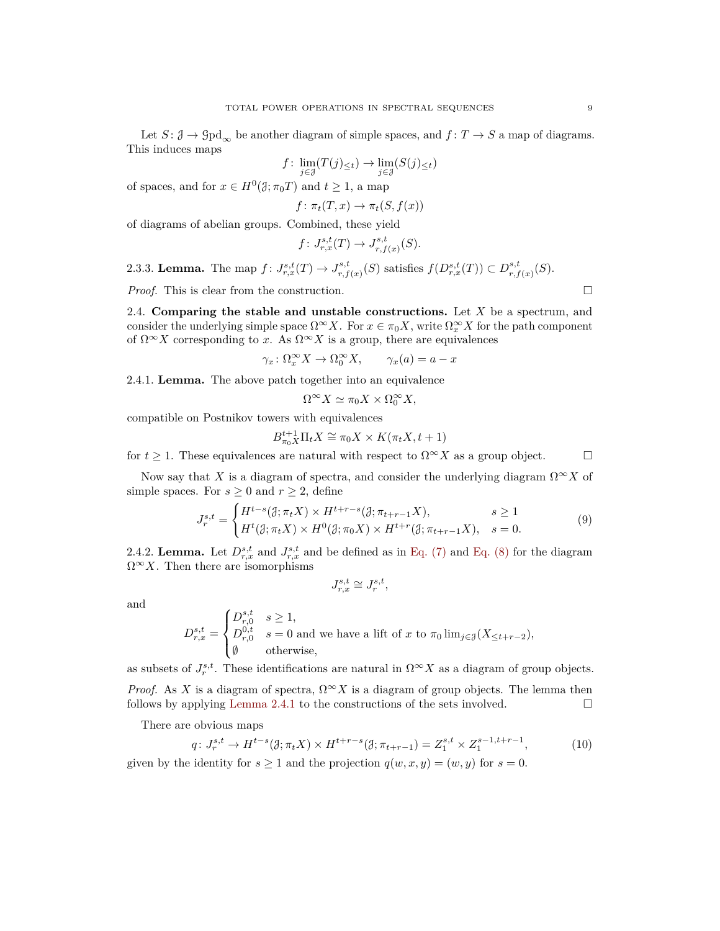Let  $S: \mathcal{J} \to \text{Gpd}_{\infty}$  be another diagram of simple spaces, and  $f: T \to S$  a map of diagrams. This induces maps

$$
f \colon \lim_{j \in \mathcal{J}} (T(j)_{\leq t}) \to \lim_{j \in \mathcal{J}} (S(j)_{\leq t})
$$

of spaces, and for  $x \in H^0(\mathcal{J}; \pi_0 T)$  and  $t \geq 1$ , a map

$$
f \colon \pi_t(T, x) \to \pi_t(S, f(x))
$$

of diagrams of abelian groups. Combined, these yield

$$
f\colon J_{r,x}^{s,t}(T)\to J_{r,f(x)}^{s,t}(S).
$$

<span id="page-8-3"></span>2.3.3. **Lemma.** The map  $f: J^{s,t}_{r,x}(T) \to J^{s,t}_{r,f}$ *r*<sub>*r*</sub>,*f*</sup>(*x*) (*S*) satisfies *f*(*D*<sup>*s*,*t*</sup></sup>,*f*(*T*)) ⊂  $D_{r,f}^{s,t}$  $_{r,f(x)}^{s,t}(S)$ .

*Proof.* This is clear from the construction. □

<span id="page-8-0"></span>2.4. **Comparing the stable and unstable constructions.** Let *X* be a spectrum, and consider the underlying simple space  $\Omega^{\infty} X$ . For  $x \in \pi_0 X$ , write  $\Omega_x^{\infty} X$  for the path component of  $\Omega^{\infty} X$  corresponding to *x*. As  $\Omega^{\infty} X$  is a group, there are equivalences

$$
\gamma_x \colon \Omega_x^{\infty} X \to \Omega_0^{\infty} X, \qquad \gamma_x(a) = a - x
$$

<span id="page-8-1"></span>2.4.1. **Lemma.** The above patch together into an equivalence

$$
\Omega^{\infty} X \simeq \pi_0 X \times \Omega_0^{\infty} X,
$$

compatible on Postnikov towers with equivalences

$$
B_{\pi_0X}^{t+1}\Pi_tX\cong \pi_0X\times K(\pi_tX,t+1)
$$

for  $t \geq 1$ . These equivalences are natural with respect to  $\Omega^{\infty} X$  as a group object.

Now say that *X* is a diagram of spectra, and consider the underlying diagram  $\Omega^{\infty} X$  of simple spaces. For  $s \geq 0$  and  $r \geq 2$ , define

<span id="page-8-4"></span>
$$
J_r^{s,t} = \begin{cases} H^{t-s}(\mathcal{J}; \pi_t X) \times H^{t+r-s}(\mathcal{J}; \pi_{t+r-1} X), & s \ge 1\\ H^t(\mathcal{J}; \pi_t X) \times H^0(\mathcal{J}; \pi_0 X) \times H^{t+r}(\mathcal{J}; \pi_{t+r-1} X), & s = 0. \end{cases}
$$
(9)

<span id="page-8-5"></span>2.4.2. **Lemma.** Let  $D^{s,t}_{r,x}$  and  $J^{s,t}_{r,x}$  and be defined as in [Eq. \(7\)](#page-7-2) and [Eq. \(8\)](#page-7-3) for the diagram  $\Omega^{\infty} X$ . Then there are isomorphisms

$$
J_{r,x}^{s,t}\cong J_r^{s,t},
$$

and

$$
D_{r,x}^{s,t} = \begin{cases} D_{r,0}^{s,t} & s \ge 1, \\ D_{r,0}^{0,t} & s = 0 \text{ and we have a lift of } x \text{ to } \pi_0 \lim_{j \in \mathcal{J}} (X_{\le t+r-2}), \\ \emptyset & \text{otherwise,} \end{cases}
$$

as subsets of  $J_r^{s,t}$ . These identifications are natural in  $\Omega^\infty X$  as a diagram of group objects.

*Proof.* As *X* is a diagram of spectra,  $\Omega^{\infty} X$  is a diagram of group objects. The lemma then follows by applying [Lemma 2.4.1](#page-8-1) to the constructions of the sets involved.  $\Box$ 

There are obvious maps

$$
q \colon J_r^{s,t} \to H^{t-s}(\mathcal{J}; \pi_t X) \times H^{t+r-s}(\mathcal{J}; \pi_{t+r-1}) = Z_1^{s,t} \times Z_1^{s-1,t+r-1},\tag{10}
$$

<span id="page-8-2"></span>given by the identity for  $s \ge 1$  and the projection  $q(w, x, y) = (w, y)$  for  $s = 0$ .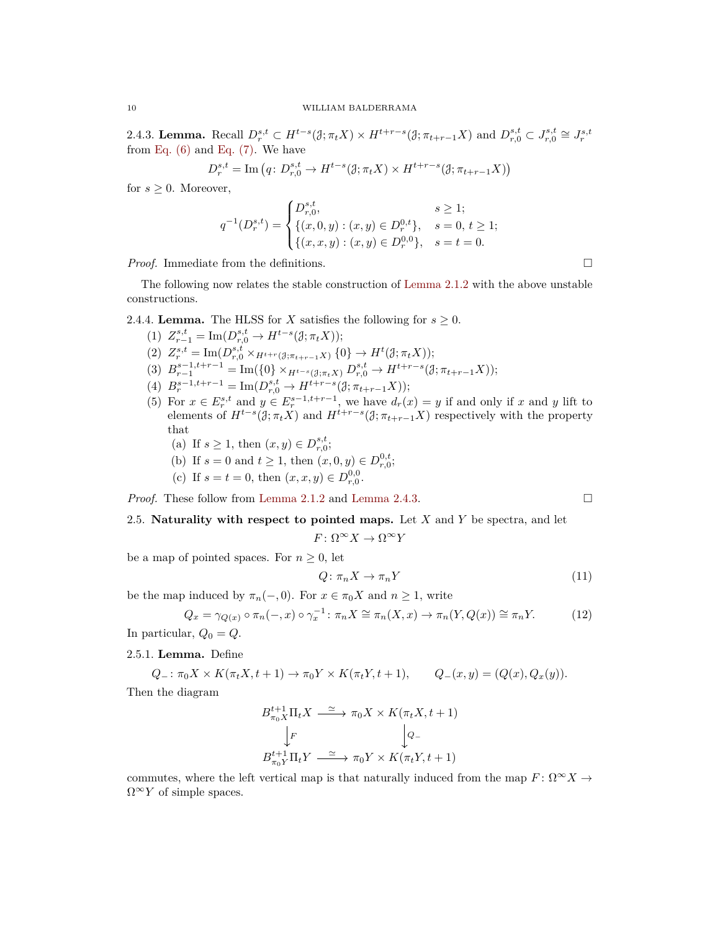2.4.3. Lemma. Recall  $D_r^{s,t} \subset H^{t-s}(\mathcal{J}; \pi_t X) \times H^{t+r-s}(\mathcal{J}; \pi_{t+r-1} X)$  and  $D_{r,0}^{s,t} \subset J_{r,0}^{s,t} \cong J_r^{s,t}$ from Eq.  $(6)$  and Eq.  $(7)$ . We have

$$
D_r^{s,t} = \mathrm{Im}\left(q\colon D_{r,0}^{s,t}\to H^{t-s}(\mathcal{J};\pi_t X)\times H^{t+r-s}(\mathcal{J};\pi_{t+r-1}X)\right)
$$

for  $s \geq 0$ . Moreover,

$$
q^{-1}(D_r^{s,t}) = \begin{cases} D_{r,0}^{s,t}, & s \ge 1; \\ \{(x, 0, y) : (x, y) \in D_r^{0,t}\}, & s = 0, t \ge 1; \\ \{(x, x, y) : (x, y) \in D_r^{0,0}\}, & s = t = 0. \end{cases}
$$

*Proof.* Immediate from the definitions. □

The following now relates the stable construction of [Lemma 2.1.2](#page-6-3) with the above unstable constructions.

# <span id="page-9-4"></span>2.4.4. **Lemma.** The HLSS for *X* satisfies the following for  $s \geq 0$ .

- (1)  $Z_{r-1}^{s,t} = \text{Im}(D_{r,0}^{s,t} \to H^{t-s}(\mathcal{J}; \pi_t X));$
- $(2)$   $Z_r^{s,t} = \text{Im}(D_{r,0}^{s,t} \times_{H^{t+r}(\mathcal{J};\pi_{t+r-1}X)} \{0\} \to H^t(\mathcal{J};\pi_tX));$
- (3)  $B_{r-1}^{s-1,t+r-1} = \text{Im}(\{0\} \times_{H^{t-s}(\mathcal{J};\pi_t X)} D_{r,0}^{s,t} \to H^{t+r-s}(\mathcal{J};\pi_{t+r-1} X));$
- $(B_r^{s-1,t+r-1} = \text{Im}(D_{r,0}^{s,t} \to H^{t+r-s}(\mathcal{J}; \pi_{t+r-1}X));$
- (5) For  $x \in E_r^{s,t}$  and  $y \in E_r^{s-1,t+r-1}$ , we have  $d_r(x) = y$  if and only if *x* and *y* lift to elements of  $H^{t-s}(\mathcal{J}; \pi_t X)$  and  $H^{t+r-s}(\mathcal{J}; \pi_{t+r-1} X)$  respectively with the property that
	- (a) If  $s \ge 1$ , then  $(x, y) \in D^{s,t}_{r,0}$ ;
	- (b) If  $s = 0$  and  $t \ge 1$ , then  $(x, 0, y) \in D_{r,0}^{0,t}$ ;
	- (c) If  $s = t = 0$ , then  $(x, x, y) \in D^{0,0}_{r,0}$ .

*Proof.* These follow from [Lemma 2.1.2](#page-6-3) and [Lemma 2.4.3.](#page-8-2) □

# <span id="page-9-0"></span>2.5. **Naturality with respect to pointed maps.** Let *X* and *Y* be spectra, and let

 $F: \Omega^{\infty} X \to \Omega^{\infty} Y$ 

be a map of pointed spaces. For  $n \geq 0$ , let

<span id="page-9-3"></span>
$$
Q: \pi_n X \to \pi_n Y \tag{11}
$$

be the map induced by  $\pi_n(-,0)$ . For  $x \in \pi_0 X$  and  $n \geq 1$ , write

<span id="page-9-1"></span>
$$
Q_x = \gamma_{Q(x)} \circ \pi_n(-,x) \circ \gamma_x^{-1} \colon \pi_n X \cong \pi_n(X,x) \to \pi_n(Y,Q(x)) \cong \pi_n Y. \tag{12}
$$

In particular,  $Q_0 = Q$ .

## <span id="page-9-2"></span>2.5.1. **Lemma.** Define

$$
Q_{-}: \pi_0 X \times K(\pi_t X, t+1) \to \pi_0 Y \times K(\pi_t Y, t+1), \qquad Q_{-}(x, y) = (Q(x), Q_x(y)).
$$

Then the diagram

$$
B_{\pi_0 X}^{t+1} \Pi_t X \xrightarrow{\simeq} \pi_0 X \times K(\pi_t X, t+1)
$$

$$
\downarrow F \qquad \qquad \downarrow Q_{-}
$$

$$
B_{\pi_0 Y}^{t+1} \Pi_t Y \xrightarrow{\simeq} \pi_0 Y \times K(\pi_t Y, t+1)
$$

commutes, where the left vertical map is that naturally induced from the map  $F: \Omega^{\infty} X \to$  $\Omega^{\infty}Y$  of simple spaces.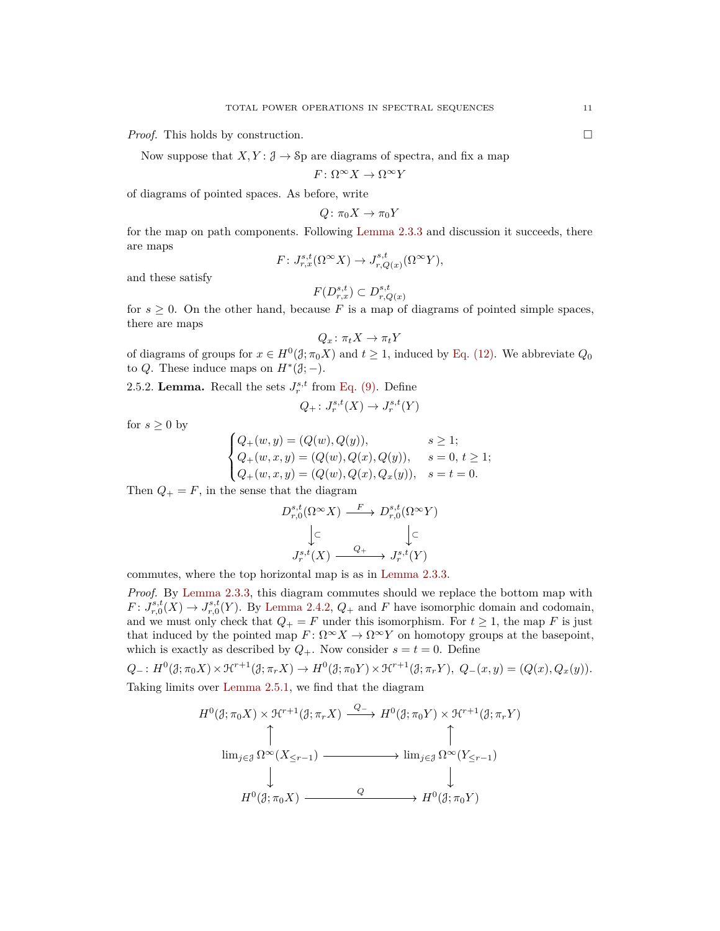*Proof.* This holds by construction. □

Now suppose that  $X, Y: \mathcal{J} \to \mathcal{S}$  p are diagrams of spectra, and fix a map

$$
F\colon \Omega^{\infty} X \to \Omega^{\infty} Y
$$

of diagrams of pointed spaces. As before, write

$$
Q\colon \pi_0 X \to \pi_0 Y
$$

for the map on path components. Following [Lemma 2.3.3](#page-8-3) and discussion it succeeds, there are maps

$$
F: J_{r,x}^{s,t}(\Omega^{\infty} X) \to J_{r,Q(x)}^{s,t}(\Omega^{\infty} Y),
$$

and these satisfy

$$
F(D_{r,x}^{s,t}) \subset D_{r,Q(x)}^{s,t}
$$

for  $s \geq 0$ . On the other hand, because F is a map of diagrams of pointed simple spaces, there are maps

$$
Q_x \colon \pi_t X \to \pi_t Y
$$

of diagrams of groups for  $x \in H^0(\mathcal{J}; \pi_0 X)$  and  $t \geq 1$ , induced by [Eq. \(12\).](#page-9-1) We abbreviate  $Q_0$ to *Q*. These induce maps on  $H^*(\mathfrak{J};-)$ .

<span id="page-10-0"></span>2.5.2. **Lemma.** Recall the sets  $J_r^{s,t}$  from [Eq. \(9\).](#page-8-4) Define

$$
Q_+ \colon J_r^{s,t}(X) \to J_r^{s,t}(Y)
$$

for  $s \geq 0$  by

$$
\begin{cases} Q_{+}(w, y) = (Q(w), Q(y)), & s \ge 1; \\ Q_{+}(w, x, y) = (Q(w), Q(x), Q(y)), & s = 0, t \ge 1; \\ Q_{+}(w, x, y) = (Q(w), Q(x), Q_x(y)), & s = t = 0. \end{cases}
$$

Then  $Q_+ = F$ , in the sense that the diagram

$$
D_{r,0}^{s,t}(\Omega^{\infty} X) \xrightarrow{F} D_{r,0}^{s,t}(\Omega^{\infty} Y)
$$

$$
\downarrow \subset \qquad \qquad \downarrow \subset
$$

$$
J_r^{s,t}(X) \xrightarrow{Q_+} J_r^{s,t}(Y)
$$

commutes, where the top horizontal map is as in [Lemma 2.3.3.](#page-8-3)

*Proof.* By [Lemma 2.3.3,](#page-8-3) this diagram commutes should we replace the bottom map with  $F: J_{r,0}^{s,t}(X) \to J_{r,0}^{s,t}(Y)$ . By [Lemma 2.4.2,](#page-8-5)  $Q_+$  and  $F$  have isomorphic domain and codomain, and we must only check that  $Q_+ = F$  under this isomorphism. For  $t \geq 1$ , the map F is just that induced by the pointed map  $F: \Omega^{\infty} X \to \Omega^{\infty} Y$  on homotopy groups at the basepoint, which is exactly as described by  $Q_+$ . Now consider  $s = t = 0$ . Define

$$
Q_-: H^0(\mathcal{J}; \pi_0 X) \times \mathcal{H}^{r+1}(\mathcal{J}; \pi_r X) \to H^0(\mathcal{J}; \pi_0 Y) \times \mathcal{H}^{r+1}(\mathcal{J}; \pi_r Y), \ Q_-(x, y) = (Q(x), Q_x(y)).
$$

Taking limits over [Lemma 2.5.1,](#page-9-2) we find that the diagram

$$
H^{0}(\mathcal{J};\pi_{0}X) \times \mathcal{H}^{r+1}(\mathcal{J};\pi_{r}X) \xrightarrow{Q_{-}} H^{0}(\mathcal{J};\pi_{0}Y) \times \mathcal{H}^{r+1}(\mathcal{J};\pi_{r}Y)
$$
\n
$$
\uparrow \qquad \qquad \uparrow
$$
\n
$$
\lim_{j \in \mathcal{J}} \Omega^{\infty}(X_{\leq r-1}) \xrightarrow{Q} \lim_{j \in \mathcal{J}} \Omega^{\infty}(Y_{\leq r-1})
$$
\n
$$
\downarrow \qquad \qquad \downarrow
$$
\n
$$
H^{0}(\mathcal{J};\pi_{0}X) \xrightarrow{Q} \longrightarrow H^{0}(\mathcal{J};\pi_{0}Y)
$$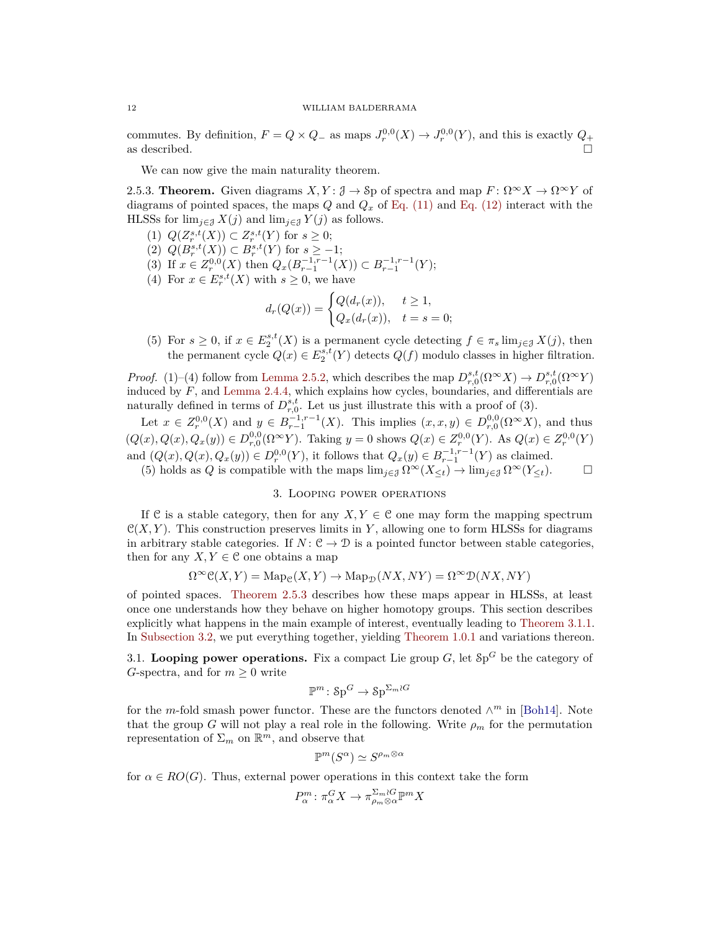commutes. By definition,  $F = Q \times Q$  as maps  $J_r^{0,0}(X) \to J_r^{0,0}(Y)$ , and this is exactly  $Q_+$ as described.

We can now give the main naturality theorem.

<span id="page-11-1"></span>2.5.3. **Theorem.** Given diagrams  $X, Y: \mathcal{J} \to \mathcal{S}$  p of spectra and map  $F: \Omega^\infty X \to \Omega^\infty Y$  of diagrams of pointed spaces, the maps *Q* and *Q<sup>x</sup>* of [Eq. \(11\)](#page-9-3) and [Eq. \(12\)](#page-9-1) interact with the HLSSs for  $\lim_{j \in \mathcal{J}} X(j)$  and  $\lim_{j \in \mathcal{J}} Y(j)$  as follows.

- (1)  $Q(Z_r^{s,t}(X)) \subset Z_r^{s,t}(Y)$  for  $s \ge 0$ ;
- (2)  $Q(B_r^{s,t}(X)) \subset B_r^{s,t}(Y)$  for  $s \ge -1$ ;
- (3) If  $x \in Z_r^{0,0}(X)$  then  $Q_x(B_{r-1}^{-1,r-1}(X)) \subset B_{r-1}^{-1,r-1}(Y);$
- (4) For  $x \in E_r^{s,t}(X)$  with  $s \geq 0$ , we have

$$
d_r(Q(x)) = \begin{cases} Q(d_r(x)), & t \ge 1, \\ Q_x(d_r(x)), & t = s = 0; \end{cases}
$$

(5) For  $s \geq 0$ , if  $x \in E_2^{s,t}(X)$  is a permanent cycle detecting  $f \in \pi_s \lim_{j \in \mathcal{J}} X(j)$ , then the permanent cycle  $Q(x) \in E_2^{s,t}(Y)$  detects  $Q(f)$  modulo classes in higher filtration.

*Proof.* (1)–(4) follow from [Lemma 2.5.2,](#page-10-0) which describes the map  $D_{r,0}^{s,t}(\Omega^{\infty}X) \to D_{r,0}^{s,t}(\Omega^{\infty}Y)$ induced by *F*, and [Lemma 2.4.4,](#page-9-4) which explains how cycles, boundaries, and differentials are naturally defined in terms of  $D^{s,t}_{r,0}$ . Let us just illustrate this with a proof of (3).

Let  $x \in Z_r^{0,0}(X)$  and  $y \in B_{r-1}^{-1,r-1}(X)$ . This implies  $(x, x, y) \in D_{r,0}^{0,0}(\Omega^{\infty}X)$ , and thus  $(Q(x), Q(x), Q_x(y)) \in D^{0,0}_{r,0}(\Omega^{\infty}Y)$ . Taking  $y = 0$  shows  $Q(x) \in Z^{0,0}_{r}(Y)$ . As  $Q(x) \in Z^{0,0}_{r}(Y)$ and  $(Q(x), Q(x), Q_x(y)) \in D_r^{0,0}(Y)$ , it follows that  $Q_x(y) \in B_{r-1}^{-1,r-1}(Y)$  as claimed.

(5) holds as *Q* is compatible with the maps  $\lim_{j\in\mathcal{J}} \Omega^{\infty}(X_{\leq t}) \to \lim_{j\in\mathcal{J}} \Omega^{\infty}(Y_{\leq t})$ .

## 3. Looping power operations

<span id="page-11-0"></span>If C is a stable category, then for any *X, Y*  $\in$  C one may form the mapping spectrum  $\mathcal{C}(X, Y)$ . This construction preserves limits in Y, allowing one to form HLSSs for diagrams in arbitrary stable categories. If  $N: \mathcal{C} \to \mathcal{D}$  is a pointed functor between stable categories, then for any  $X, Y \in \mathcal{C}$  one obtains a map

$$
\Omega^{\infty} \mathcal{C}(X, Y) = \mathrm{Map}_{\mathcal{C}}(X, Y) \to \mathrm{Map}_{\mathcal{D}}(NX, NY) = \Omega^{\infty} \mathcal{D}(NX, NY)
$$

of pointed spaces. [Theorem 2.5.3](#page-11-1) describes how these maps appear in HLSSs, at least once one understands how they behave on higher homotopy groups. This section describes explicitly what happens in the main example of interest, eventually leading to [Theorem 3.1.1.](#page-13-1) In [Subsection 3.2,](#page-13-0) we put everything together, yielding [Theorem 1.0.1](#page-1-0) and variations thereon.

3.1. Looping power operations. Fix a compact Lie group  $G$ , let  $Sp^G$  be the category of *G*-spectra, and for  $m \geq 0$  write

$$
\mathbb{P}^m \colon \mathbf{Sp}^G \to \mathbf{Sp}^{\Sigma_m \wr G}
$$

for the *m*-fold smash power functor. These are the functors denoted  $\wedge^m$  in [\[Boh14\]](#page-35-13). Note that the group *G* will not play a real role in the following. Write  $\rho_m$  for the permutation representation of  $\Sigma_m$  on  $\mathbb{R}^m$ , and observe that

$$
\mathbb{P}^m(S^\alpha) \simeq S^{\rho_m \otimes \alpha}
$$

for  $\alpha \in RO(G)$ . Thus, external power operations in this context take the form

 $\mathbb{R}$ 

$$
P^m_\alpha \colon \pi_\alpha^G X \to \pi_{\rho_m \otimes \alpha}^{\Sigma_m \wr G} \mathbb{P}^m X
$$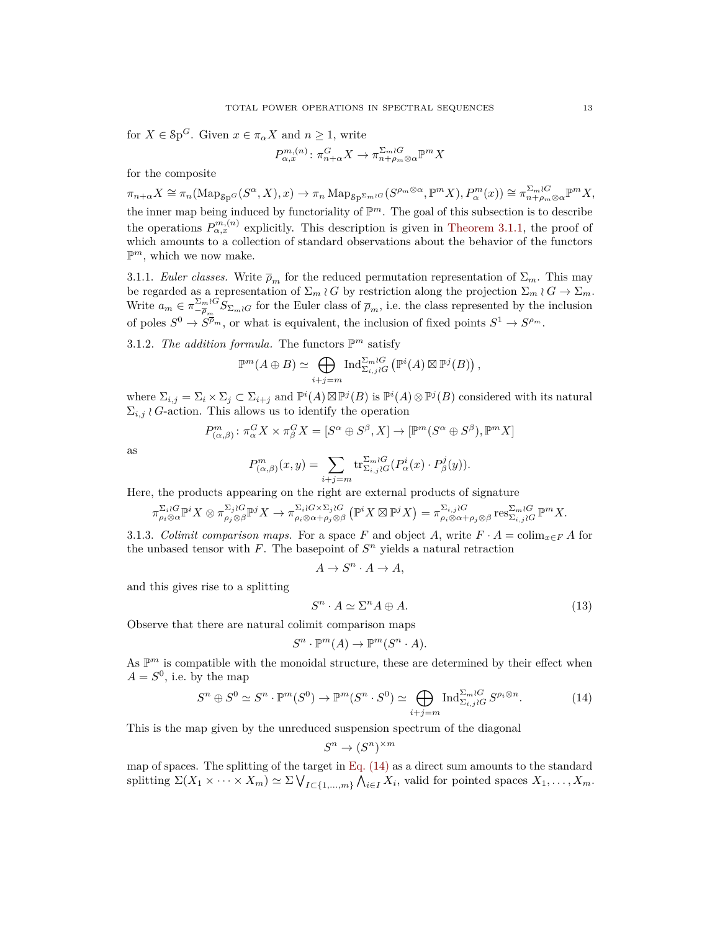for  $X \in \mathcal{S}p^G$ . Given  $x \in \pi_\alpha X$  and  $n \geq 1$ , write

$$
P_{\alpha,x}^{m,(n)} \colon \pi_{n+\alpha}^G X \to \pi_{n+\rho_m \otimes \alpha}^{\Sigma_m \wr G} \mathbb{P}^m X
$$

for the composite

 $\pi_{n+\alpha}X \cong \pi_n(\operatorname{Map}_{\mathcal{S}\mathrm{p}^G}(S^{\alpha},X),x) \to \pi_n\operatorname{Map}_{\mathcal{S}\mathrm{p}^{\Sigma_m\wr G}}(S^{\rho_m\otimes\alpha},\mathbb{P}^mX),P^m_{\alpha}(x)) \cong \pi_{n+\rho_m\otimes\alpha}^{\Sigma_m\wr G}\mathbb{P}^mX,$ the inner map being induced by functoriality of  $\mathbb{P}^m$ . The goal of this subsection is to describe the operations  $P_{\alpha,x}^{m,(n)}$  explicitly. This description is given in [Theorem 3.1.1,](#page-13-1) the proof of which amounts to a collection of standard observations about the behavior of the functors  $\mathbb{P}^m$ , which we now make.

3.1.1. *Euler classes.* Write  $\bar{\rho}_m$  for the reduced permutation representation of  $\Sigma_m$ . This may be regarded as a representation of  $\Sigma_m \wr G$  by restriction along the projection  $\Sigma_m \wr G \to \Sigma_m$ . Write  $a_m \in \pi_{-\overline{\rho}_m}^{\Sigma_m \wr G} S_{\Sigma_m \wr G}$  for the Euler class of  $\overline{\rho}_m$ , i.e. the class represented by the inclusion of poles  $S^0 \to \overline{S}^{\overline{\rho}_m}$ , or what is equivalent, the inclusion of fixed points  $S^1 \to \overline{S}^{\rho_m}$ .

<span id="page-12-2"></span>3.1.2. The addition formula. The functors  $\mathbb{P}^m$  satisfy

$$
\mathbb{P}^m(A \oplus B) \simeq \bigoplus_{i+j=m} \text{Ind}_{\Sigma_{i,j} \wr G}^{\Sigma_m \wr G} \left( \mathbb{P}^i(A) \boxtimes \mathbb{P}^j(B) \right),
$$

where  $\Sigma_{i,j} = \Sigma_i \times \Sigma_j \subset \Sigma_{i+j}$  and  $\mathbb{P}^i(A) \boxtimes \mathbb{P}^j(B)$  is  $\mathbb{P}^i(A) \otimes \mathbb{P}^j(B)$  considered with its natural  $\Sigma_{i,j} \wr G$ -action. This allows us to identify the operation

$$
P_{(\alpha,\beta)}^m: \pi_\alpha^G X \times \pi_\beta^G X = [S^\alpha \oplus S^\beta, X] \to [\mathbb{P}^m(S^\alpha \oplus S^\beta), \mathbb{P}^m X]
$$

as

$$
P_{(\alpha,\beta)}^m(x,y)=\sum_{i+j=m}\mathrm{tr}_{\Sigma_{i,j}iG}^{\Sigma_m\wr G}(P_\alpha^i(x)\cdot P_\beta^j(y)).
$$

Here, the products appearing on the right are external products of signature

$$
\pi_{\rho_i\otimes \alpha}^{\Sigma_i\wr G}\mathbb P^iX\otimes \pi_{\rho_j\otimes \beta}^{\Sigma_j\wr G}\mathbb P^jX\to \pi_{\rho_i\otimes \alpha+\rho_j\otimes \beta}^{\Sigma_i\wr G\times \Sigma_j\wr G}\left(\mathbb P^iX\boxtimes \mathbb P^jX\right)=\pi_{\rho_i\otimes \alpha+\rho_j\otimes \beta}^{\Sigma_{i,j}\wr G}\mathbb P^{\mathbb P^mX}.
$$

<span id="page-12-3"></span>3.1.3. *Colimit comparison maps.* For a space *F* and object *A*, write  $F \cdot A = \text{colim}_{x \in F} A$  for the unbased tensor with  $F$ . The basepoint of  $S<sup>n</sup>$  yields a natural retraction

$$
A \to S^n \cdot A \to A,
$$

and this gives rise to a splitting

<span id="page-12-1"></span>
$$
S^n \cdot A \simeq \Sigma^n A \oplus A. \tag{13}
$$

Observe that there are natural colimit comparison maps

$$
S^n \cdot \mathbb{P}^m(A) \to \mathbb{P}^m(S^n \cdot A).
$$

As  $\mathbb{P}^m$  is compatible with the monoidal structure, these are determined by their effect when  $A = S^0$ , i.e. by the map

<span id="page-12-0"></span>
$$
S^n \oplus S^0 \simeq S^n \cdot \mathbb{P}^m(S^0) \to \mathbb{P}^m(S^n \cdot S^0) \simeq \bigoplus_{i+j=m} \text{Ind}_{\Sigma_{i,j} \wr G}^{\Sigma_m \wr G} S^{\rho_i \otimes n}.
$$
 (14)

This is the map given by the unreduced suspension spectrum of the diagonal

$$
S^n \to (S^n)^{\times m}
$$

map of spaces. The splitting of the target in Eq.  $(14)$  as a direct sum amounts to the standard splitting  $\Sigma(X_1 \times \cdots \times X_m) \simeq \Sigma \bigvee_{I \subset \{1,\ldots,m\}} \bigwedge_{i \in I} X_i$ , valid for pointed spaces  $X_1, \ldots, X_m$ .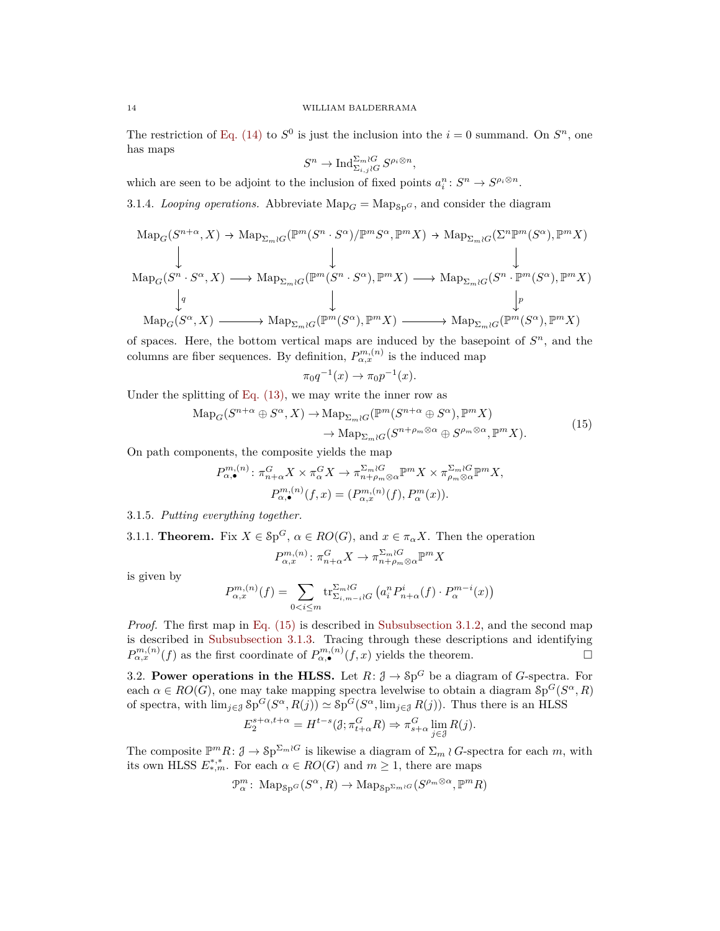The restriction of [Eq. \(14\)](#page-12-0) to  $S^0$  is just the inclusion into the  $i = 0$  summand. On  $S^n$ , one has maps

$$
S^n \to \mathrm{Ind}_{\Sigma_{i,j}\wr G}^{\Sigma_m\wr G}S^{\rho_i\otimes n},
$$

which are seen to be adjoint to the inclusion of fixed points  $a_i^n \colon S^n \to S^{\rho_i \otimes n}$ .

3.1.4. *Looping operations.* Abbreviate  $\text{Map}_G = \text{Map}_{\text{Sp}}G$ , and consider the diagram

$$
\mathrm{Map}_G(S^{n+\alpha}, X) \to \mathrm{Map}_{\Sigma_m \wr G}(\mathbb{P}^m(S^n \cdot S^\alpha)/\mathbb{P}^m S^\alpha, \mathbb{P}^m X) \to \mathrm{Map}_{\Sigma_m \wr G}(\Sigma^n \mathbb{P}^m(S^\alpha), \mathbb{P}^m X)
$$
\n
$$
\downarrow \qquad \qquad \downarrow
$$
\n
$$
\mathrm{Map}_G(S^n \cdot S^\alpha, X) \longrightarrow \mathrm{Map}_{\Sigma_m \wr G}(\mathbb{P}^m(S^n \cdot S^\alpha), \mathbb{P}^m X) \longrightarrow \mathrm{Map}_{\Sigma_m \wr G}(S^n \cdot \mathbb{P}^m(S^\alpha), \mathbb{P}^m X)
$$
\n
$$
\downarrow \qquad \qquad \downarrow
$$
\n
$$
\mathrm{Map}_G(S^\alpha, X) \longrightarrow \mathrm{Map}_{\Sigma_m \wr G}(\mathbb{P}^m(S^\alpha), \mathbb{P}^m X) \longrightarrow \mathrm{Map}_{\Sigma_m \wr G}(\mathbb{P}^m(S^\alpha), \mathbb{P}^m X)
$$

of spaces. Here, the bottom vertical maps are induced by the basepoint of *S <sup>n</sup>*, and the columns are fiber sequences. By definition,  $P_{\alpha,x}^{m,(n)}$  is the induced map

<span id="page-13-2"></span>
$$
\pi_0 q^{-1}(x) \to \pi_0 p^{-1}(x).
$$

Under the splitting of [Eq. \(13\),](#page-12-1) we may write the inner row as

$$
\mathrm{Map}_G(S^{n+\alpha} \oplus S^{\alpha}, X) \to \mathrm{Map}_{\Sigma_m \wr G}(\mathbb{P}^m(S^{n+\alpha} \oplus S^{\alpha}), \mathbb{P}^m X) \to \mathrm{Map}_{\Sigma_m \wr G}(S^{n+\rho_m \otimes \alpha} \oplus S^{\rho_m \otimes \alpha}, \mathbb{P}^m X).
$$
\n(15)

On path components, the composite yields the map

$$
P_{\alpha,\bullet}^{m,(n)}\colon \pi_{n+\alpha}^G X \times \pi_{\alpha}^G X \to \pi_{n+\rho_m \otimes \alpha}^{\Sigma_m \wr G} \mathbb{P}^m X \times \pi_{\rho_m \otimes \alpha}^{\Sigma_m \wr G} \mathbb{P}^m X,
$$
  

$$
P_{\alpha,\bullet}^{m,(n)}(f,x) = (P_{\alpha,x}^{m,(n)}(f), P_{\alpha}^m(x)).
$$

# 3.1.5. *Putting everything together.*

<span id="page-13-1"></span>3.1.1. **Theorem.** Fix  $X \in \mathcal{Sp}^G$ ,  $\alpha \in RO(G)$ , and  $x \in \pi_\alpha X$ . Then the operation

$$
P_{\alpha,x}^{m,(n)}: \pi_{n+\alpha}^G X \to \pi_{n+\rho_m \otimes \alpha}^{\Sigma_m \wr G} \mathbb{P}^m X
$$

is given by

$$
P_{\alpha,x}^{m,(n)}(f) = \sum_{0 < i \le m} \operatorname{tr}_{\Sigma_{i,m-i} \wr G}^{\Sigma_m \wr G} \left( a_i^n P_{n+\alpha}^i(f) \cdot P_{\alpha}^{m-i}(x) \right)
$$

*Proof.* The first map in [Eq. \(15\)](#page-13-2) is described in [Subsubsection 3.1.2,](#page-12-2) and the second map is described in [Subsubsection 3.1.3.](#page-12-3) Tracing through these descriptions and identifying  $P_{\alpha,x}^{m,(n)}(f)$  as the first coordinate of  $P_{\alpha,\bullet}^{m,(n)}(f,x)$  yields the theorem.

<span id="page-13-0"></span>3.2. **Power operations in the HLSS.** Let  $R: \mathcal{J} \to \mathcal{S}p^G$  be a diagram of *G*-spectra. For each  $\alpha \in RO(G)$ , one may take mapping spectra levelwise to obtain a diagram  $Sp^G(S^{\alpha}, R)$ of spectra, with  $\lim_{j\in\mathcal{J}}$   $\mathcal{S}p^G(S^{\alpha}, R(j)) \simeq \mathcal{S}p^G(S^{\alpha}, \lim_{j\in\mathcal{J}} R(j))$ . Thus there is an HLSS

$$
E_2^{s+\alpha,t+\alpha}=H^{t-s}(\mathcal{J};\pi_{t+\alpha}^G R)\Rightarrow \pi_{s+\alpha}^G \lim_{j\in \mathcal{J}} R(j).
$$

The composite  $\mathbb{P}^m R: \mathcal{J} \to \mathcal{S}p^{\Sigma_m \wr G}$  is likewise a diagram of  $\Sigma_m \wr G$ -spectra for each *m*, with its own HLSS  $E^{*,*}_{*,m}$ . For each  $\alpha \in RO(G)$  and  $m \geq 1$ , there are maps

$$
\mathcal{P}_{\alpha}^{m} \colon \operatorname{Map}_{\operatorname{Sp}^G}(S^{\alpha}, R) \to \operatorname{Map}_{\operatorname{Sp}^{\Sigma_m \wr G}}(S^{\rho_m \otimes \alpha}, \mathbb{P}^m R)
$$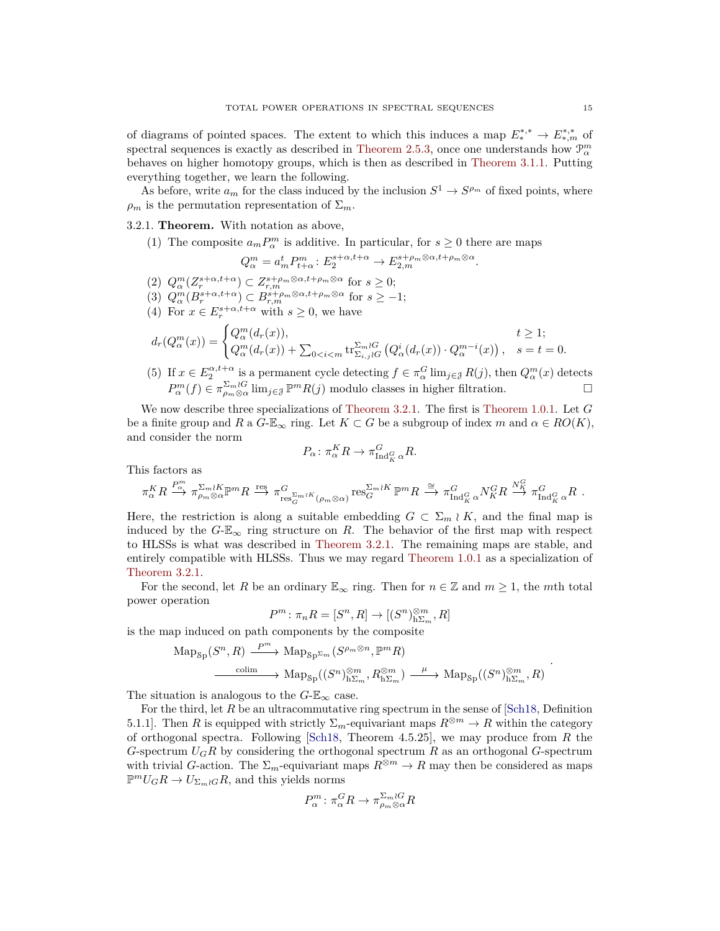of diagrams of pointed spaces. The extent to which this induces a map  $E_*^{*,*} \to E_{*,m}^{*,*}$  of spectral sequences is exactly as described in [Theorem 2.5.3,](#page-11-1) once one understands how  $\mathcal{P}_{\alpha}^{m}$ behaves on higher homotopy groups, which is then as described in [Theorem 3.1.1.](#page-13-1) Putting everything together, we learn the following.

As before, write  $a_m$  for the class induced by the inclusion  $S^1 \to S^{\rho_m}$  of fixed points, where  $\rho_m$  is the permutation representation of  $\Sigma_m$ .

## <span id="page-14-0"></span>3.2.1. **Theorem.** With notation as above,

(1) The composite  $a_m P_\alpha^m$  is additive. In particular, for  $s \geq 0$  there are maps

$$
Q_{\alpha}^{m} = a_{m}^{t} P_{t+\alpha}^{m} : E_{2}^{s+\alpha,t+\alpha} \to E_{2,m}^{s+\rho_{m}\otimes\alpha,t+\rho_{m}\otimes\alpha}.
$$

- $(2)$   $Q_{\alpha}^{m}(Z_{r}^{s+\alpha,t+\alpha}) \subset Z_{r,m}^{s+\rho_{m}\otimes\alpha,t+\rho_{m}\otimes\alpha}$  for  $s \geq 0;$
- $(3)$   $Q_{\alpha}^{m}(B_{r}^{s+\alpha,t+\alpha}) \subset B_{r,m}^{s+\rho_{m}\otimes\alpha,t+\rho_{m}\otimes\alpha}$  for  $s \geq -1;$
- (4) For  $x \in E_r^{s+\alpha,t+\alpha}$  with  $s \geq 0$ , we have

$$
d_r(Q^m_\alpha(x)) = \begin{cases} Q^m_\alpha(d_r(x)), & t \ge 1; \\ Q^m_\alpha(d_r(x)) + \sum_{0 < i < m} \text{tr}_{\Sigma_{i,j} \wr G}^{\Sigma_m \wr G} \left( Q^i_\alpha(d_r(x)) \cdot Q^{m-i}_\alpha(x) \right), & s = t = 0. \end{cases}
$$

(5) If  $x \in E_2^{\alpha, t+\alpha}$  is a permanent cycle detecting  $f \in \pi_\alpha^G \lim_{j \in \mathcal{J}} R(j)$ , then  $Q_\alpha^m(x)$  detects  $P_{\alpha}^{m}(f) \in \pi_{\rho_{m} \otimes \alpha}^{\Sigma_{m} \wr G}$  lim<sub>*j*∈J</sub> P<sup>*m*</sup>*R*(*j*) modulo classes in higher filtration.

We now describe three specializations of [Theorem 3.2.1.](#page-14-0) The first is [Theorem 1.0.1.](#page-1-0) Let *G* be a finite group and *R* a  $G-\mathbb{E}_{\infty}$  ring. Let  $K\subset G$  be a subgroup of index *m* and  $\alpha \in RO(K)$ , and consider the norm

$$
P_{\alpha} \colon \pi_{\alpha}^{K}R \to \pi_{\mathrm{Ind}_{K}^{G} \alpha}^{G}R.
$$

This factors as

$$
\pi^K_{\alpha} R \stackrel{P_m^m}{\longrightarrow} \pi^{\Sigma_m \wr K}_{\rho_m \otimes \alpha} \mathbb{P}^m R \stackrel{\text{res}}{\longrightarrow} \pi^G_{\text{res}^{\Sigma_m \wr K}_{G}(\rho_m \otimes \alpha)} \text{res}^{\Sigma_m \wr K}_{G} \mathbb{P}^m R \stackrel{\cong}{\longrightarrow} \pi^G_{\text{Ind}^G_K \alpha} N^G_K R \stackrel{N^G_K}{\longrightarrow} \pi^G_{\text{Ind}^G_K \alpha} R \; .
$$

Here, the restriction is along a suitable embedding  $G \subset \Sigma_m \wr K$ , and the final map is induced by the  $G$ - $\mathbb{E}_{\infty}$  ring structure on *R*. The behavior of the first map with respect to HLSSs is what was described in [Theorem 3.2.1.](#page-14-0) The remaining maps are stable, and entirely compatible with HLSSs. Thus we may regard [Theorem 1.0.1](#page-1-0) as a specialization of [Theorem 3.2.1.](#page-14-0)

For the second, let R be an ordinary  $\mathbb{E}_{\infty}$  ring. Then for  $n \in \mathbb{Z}$  and  $m \geq 1$ , the mth total power operation

$$
P^m\colon \pi_nR=[S^n,R]\to [(S^n)_{\mathbf{h}\Sigma_m}^{\otimes m},R]
$$

is the map induced on path components by the composite

$$
\mathrm{Map}_{\mathrm{Sp}}(S^n, R) \xrightarrow{P^m} \mathrm{Map}_{\mathrm{Sp}^{\Sigma m}}(S^{p_m \otimes n}, \mathbb{P}^m R)
$$
  

$$
\xrightarrow{\mathrm{colim}} \mathrm{Map}_{\mathrm{Sp}}((S^n)_{\mathrm{h}\Sigma_m}^{\otimes m}, R_{\mathrm{h}\Sigma_m}^{\otimes m}) \xrightarrow{\mu} \mathrm{Map}_{\mathrm{Sp}}((S^n)_{\mathrm{h}\Sigma_m}^{\otimes m}, R)
$$

The situation is analogous to the  $G$ - $\mathbb{E}_{\infty}$  case.

For the third, let R be an ultracommutative ring spectrum in the sense of [\[Sch18,](#page-37-5) Definition] 5.1.1]. Then *R* is equipped with strictly  $\Sigma_m$ -equivariant maps  $R^{\otimes m} \to R$  within the category of orthogonal spectra. Following [\[Sch18,](#page-37-5) Theorem 4.5.25], we may produce from *R* the *G*-spectrum *UGR* by considering the orthogonal spectrum *R* as an orthogonal *G*-spectrum with trivial *G*-action. The  $\Sigma_m$ -equivariant maps  $R^{\otimes m} \to R$  may then be considered as maps  $\mathbb{P}^m U_G R \to U_{\Sigma_m \wr G} R$ , and this yields norms

$$
P^m_\alpha \colon \pi_\alpha^G R \to \pi^{\Sigma_m \wr G}_{\rho_m \otimes \alpha} R
$$

.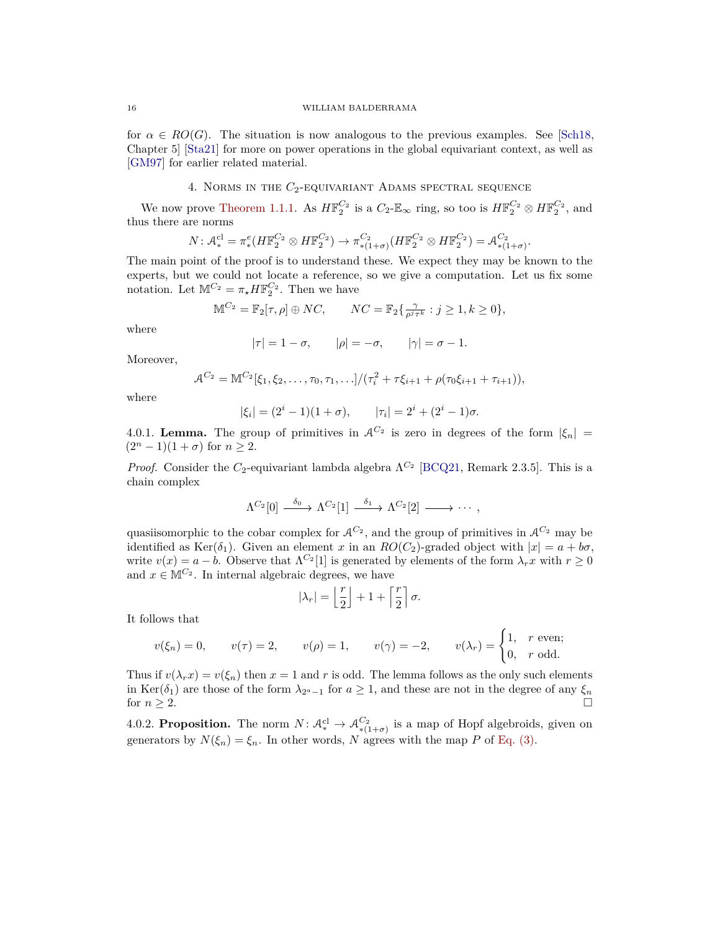for  $\alpha \in RO(G)$ . The situation is now analogous to the previous examples. See [\[Sch18,](#page-37-5) Chapter 5] [\[Sta21\]](#page-37-6) for more on power operations in the global equivariant context, as well as [\[GM97\]](#page-36-7) for earlier related material.

# 4. Norms in the *C*2-equivariant Adams spectral sequence

<span id="page-15-0"></span>We now prove [Theorem 1.1.1.](#page-2-3) As  $H\mathbb{F}_2^{C_2}$  is a  $C_2\text{-}\mathbb{E}_{\infty}$  ring, so too is  $H\mathbb{F}_2^{C_2} \otimes H\mathbb{F}_2^{C_2}$ , and thus there are norms

$$
N: \mathcal{A}_{*}^{cl} = \pi_{*}^{e}(H\mathbb{F}_{2}^{C_{2}} \otimes H\mathbb{F}_{2}^{C_{2}}) \to \pi_{*(1+\sigma)}^{C_{2}}(H\mathbb{F}_{2}^{C_{2}} \otimes H\mathbb{F}_{2}^{C_{2}}) = \mathcal{A}_{*(1+\sigma)}^{C_{2}}
$$

*.*

The main point of the proof is to understand these. We expect they may be known to the experts, but we could not locate a reference, so we give a computation. Let us fix some notation. Let  $\mathbb{M}^{C_2} = \pi_{\star} H \mathbb{F}_2^{C_2}$ . Then we have

$$
\mathbb{M}^{C_2} = \mathbb{F}_2[\tau, \rho] \oplus NC, \qquad NC = \mathbb{F}_2\{\frac{\gamma}{\rho^j \tau^k} : j \ge 1, k \ge 0\},\
$$

where

$$
|\tau| = 1 - \sigma, \qquad |\rho| = -\sigma, \qquad |\gamma| = \sigma - 1.
$$

Moreover,

$$
\mathcal{A}^{C_2} = \mathbb{M}^{C_2}[\xi_1, \xi_2, \dots, \tau_0, \tau_1, \dots]/(\tau_i^2 + \tau \xi_{i+1} + \rho(\tau_0 \xi_{i+1} + \tau_{i+1})),
$$

where

$$
|\xi_i| = (2^i - 1)(1 + \sigma),
$$
  $|\tau_i| = 2^i + (2^i - 1)\sigma.$ 

<span id="page-15-1"></span>4.0.1. **Lemma.** The group of primitives in  $A^{C_2}$  is zero in degrees of the form  $|\xi_n|$  =  $(2^{n} - 1)(1 + \sigma)$  for  $n \geq 2$ .

*Proof.* Consider the  $C_2$ -equivariant lambda algebra  $\Lambda^{C_2}$  [\[BCQ21,](#page-35-8) Remark 2.3.5]. This is a chain complex

$$
\Lambda^{C_2}[0] \stackrel{\delta_0}{\longrightarrow} \Lambda^{C_2}[1] \stackrel{\delta_1}{\longrightarrow} \Lambda^{C_2}[2] \longrightarrow \cdots,
$$

quasiisomorphic to the cobar complex for  $A^{C_2}$ , and the group of primitives in  $A^{C_2}$  may be identified as Ker( $\delta_1$ ). Given an element *x* in an *RO*( $C_2$ )-graded object with  $|x| = a + b\sigma$ , write  $v(x) = a - b$ . Observe that  $\Lambda^{C_2}[1]$  is generated by elements of the form  $\lambda_r x$  with  $r \geq 0$ and  $x \in M^{C_2}$ . In internal algebraic degrees, we have

$$
|\lambda_r| = \left\lfloor \frac{r}{2} \right\rfloor + 1 + \left\lceil \frac{r}{2} \right\rceil \sigma.
$$

It follows that

$$
v(\xi_n) = 0, \qquad v(\tau) = 2, \qquad v(\rho) = 1, \qquad v(\gamma) = -2, \qquad v(\lambda_r) = \begin{cases} 1, & r \text{ even;} \\ 0, & r \text{ odd.} \end{cases}
$$

Thus if  $v(\lambda_r x) = v(\xi_n)$  then  $x = 1$  and  $r$  is odd. The lemma follows as the only such elements in Ker( $\delta_1$ ) are those of the form  $\lambda_{2^a-1}$  for  $a \ge 1$ , and these are not in the degree of any  $\xi_n$ for  $n \geq 2$ .

<span id="page-15-2"></span>4.0.2. **Proposition.** The norm  $N: \mathcal{A}_{*}^{cl} \to \mathcal{A}_{*(1+\sigma)}^{C_2}$  is a map of Hopf algebroids, given on generators by  $N(\xi_n) = \xi_n$ . In other words, N agrees with the map P of [Eq. \(3\).](#page-2-4)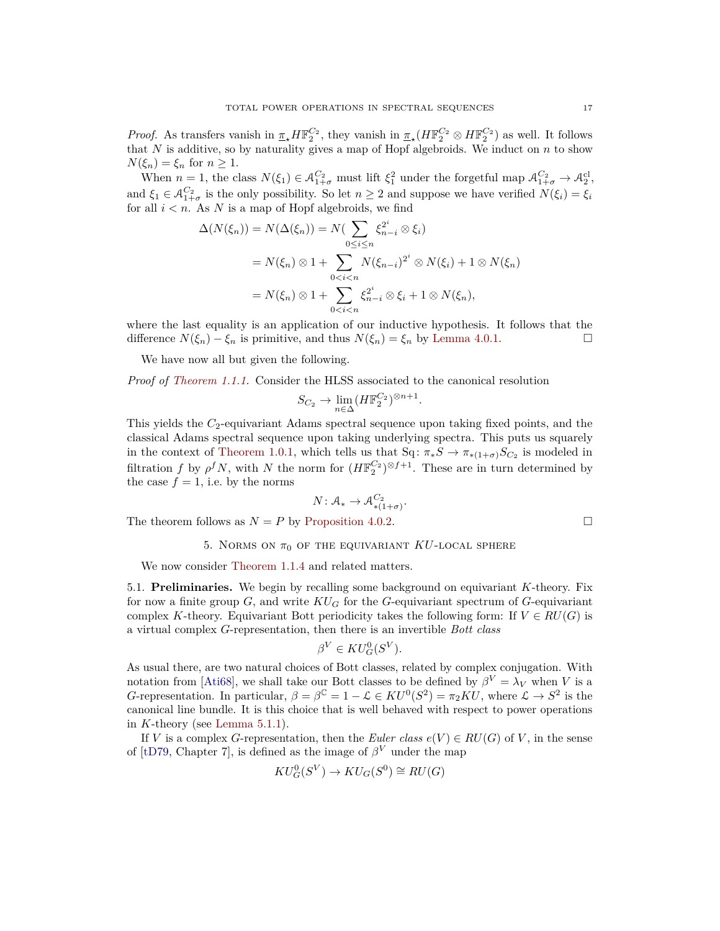*Proof.* As transfers vanish in  $\pi_{\star} H \mathbb{F}_2^{C_2}$ , they vanish in  $\pi_{\star} (H \mathbb{F}_2^{C_2} \otimes H \mathbb{F}_2^{C_2})$  as well. It follows that  $N$  is additive, so by naturality gives a map of Hopf algebroids. We induct on  $n$  to show  $N(\xi_n) = \xi_n$  for  $n \geq 1$ .

When  $n = 1$ , the class  $N(\xi_1) \in \mathcal{A}_{1+\sigma}^{C_2}$  must lift  $\xi_1^2$  under the forgetful map  $\mathcal{A}_{1+\sigma}^{C_2} \to \mathcal{A}_2^{c_1}$ , and  $\xi_1 \in \mathcal{A}_{1+\sigma}^{C_2}$  is the only possibility. So let  $n \geq 2$  and suppose we have verified  $N(\xi_i) = \xi_i$ for all  $i < n$ . As N is a map of Hopf algebroids, we find

$$
\Delta(N(\xi_n)) = N(\Delta(\xi_n)) = N(\sum_{0 \le i \le n} \xi_{n-i}^{2^i} \otimes \xi_i)
$$
  
=  $N(\xi_n) \otimes 1 + \sum_{0 < i < n} N(\xi_{n-i})^{2^i} \otimes N(\xi_i) + 1 \otimes N(\xi_n)$   
=  $N(\xi_n) \otimes 1 + \sum_{0 < i < n} \xi_{n-i}^{2^i} \otimes \xi_i + 1 \otimes N(\xi_n),$ 

where the last equality is an application of our inductive hypothesis. It follows that the difference  $N(\xi_n) - \xi_n$  is primitive, and thus  $N(\xi_n) = \xi_n$  by [Lemma 4.0.1.](#page-15-1) □

We have now all but given the following.

*Proof of [Theorem 1.1.1.](#page-2-3)* Consider the HLSS associated to the canonical resolution

$$
S_{C_2} \to \lim_{n \in \Delta} (H\mathbb{F}_2^{C_2})^{\otimes n+1}.
$$

This yields the *C*2-equivariant Adams spectral sequence upon taking fixed points, and the classical Adams spectral sequence upon taking underlying spectra. This puts us squarely in the context of [Theorem 1.0.1,](#page-1-0) which tells us that  $Sq: \pi_*S \to \pi_{*(1+\sigma)}S_{C_2}$  is modeled in filtration *f* by  $\rho^f N$ , with *N* the norm for  $(H\mathbb{F}_2^{C_2})^{\otimes f+1}$ . These are in turn determined by the case  $f = 1$ , i.e. by the norms

$$
N \colon \mathcal{A}_{*} \to \mathcal{A}_{*(1+\sigma)}^{C_2}.
$$

<span id="page-16-0"></span>The theorem follows as  $N = P$  by [Proposition 4.0.2.](#page-15-2)

5. NORMS ON 
$$
\pi_0
$$
 of the equivalent  $KU$ -local sphere

We now consider [Theorem 1.1.4](#page-3-0) and related matters.

<span id="page-16-1"></span>5.1. **Preliminaries.** We begin by recalling some background on equivariant *K*-theory. Fix for now a finite group *G*, and write *KU<sup>G</sup>* for the *G*-equivariant spectrum of *G*-equivariant complex *K*-theory. Equivariant Bott periodicity takes the following form: If  $V \in RU(G)$  is a virtual complex *G*-representation, then there is an invertible *Bott class*

$$
\beta^V \in KU_G^0(S^V).
$$

As usual there, are two natural choices of Bott classes, related by complex conjugation. With notation from [\[Ati68\]](#page-35-14), we shall take our Bott classes to be defined by  $\beta^{V} = \lambda_{V}$  when *V* is a *G*-representation. In particular,  $\beta = \beta^{\mathbb{C}} = 1 - \mathcal{L} \in KU^{0}(S^{2}) = \pi_{2}KU$ , where  $\mathcal{L} \to S^{2}$  is the canonical line bundle. It is this choice that is well behaved with respect to power operations in *K*-theory (see [Lemma 5.1.1\)](#page-17-0).

If *V* is a complex *G*-representation, then the *Euler class*  $e(V) \in RU(G)$  of *V*, in the sense of [\[tD79,](#page-37-7) Chapter 7], is defined as the image of  $\beta^{V}$  under the map

$$
KU_G^0(S^V) \to KU_G(S^0) \cong RU(G)
$$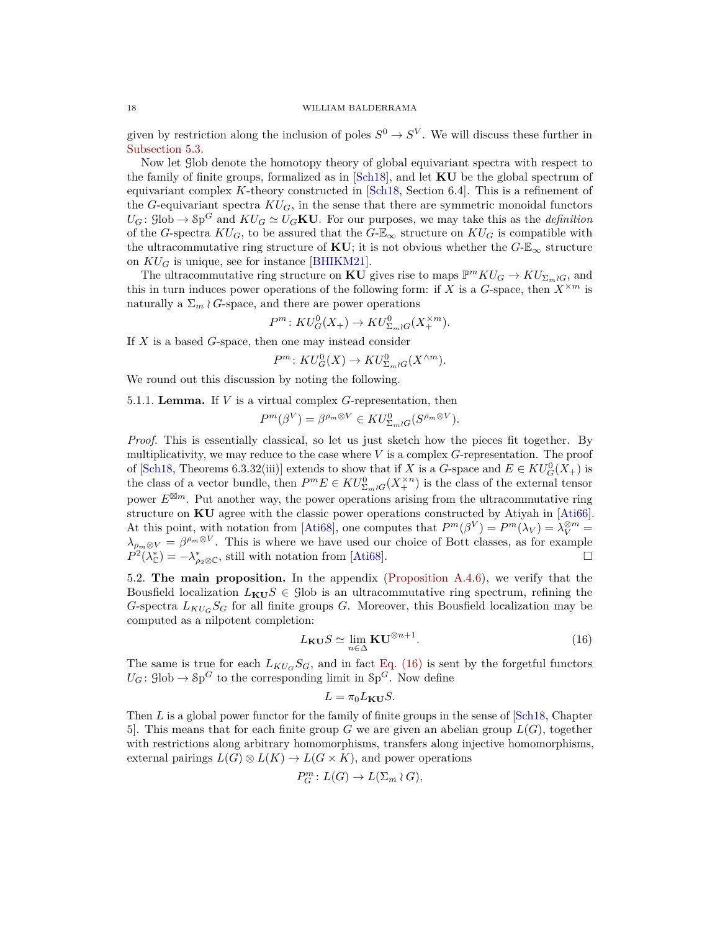given by restriction along the inclusion of poles  $S^0 \to S^V$ . We will discuss these further in [Subsection 5.3.](#page-19-0)

Now let Glob denote the homotopy theory of global equivariant spectra with respect to the family of finite groups, formalized as in [\[Sch18\]](#page-37-5), and let **KU** be the global spectrum of equivariant complex *K*-theory constructed in [\[Sch18,](#page-37-5) Section 6.4]. This is a refinement of the *G*-equivariant spectra  $KU_G$ , in the sense that there are symmetric monoidal functors  $U_G$ : Glob  $\to$  Sp<sup>*G*</sup> and  $KU_G \simeq U_G \mathbf{KU}$ . For our purposes, we may take this as the *definition* of the *G*-spectra  $KU_G$ , to be assured that the  $G-\mathbb{E}_{\infty}$  structure on  $KU_G$  is compatible with the ultracommutative ring structure of **KU**; it is not obvious whether the  $G$ -E<sub>∞</sub> structure on  $KU_G$  is unique, see for instance [\[BHIKM21\]](#page-35-15).

The ultracommutative ring structure on **KU** gives rise to maps  $\mathbb{P}^m K U_G \to K U_{\Sigma_m \wr G}$ , and this in turn induces power operations of the following form: if *X* is a *G*-space, then  $X^{\times m}$  is naturally a  $\Sigma_m \wr G$ -space, and there are power operations

$$
P^m \colon KU_G^0(X_+) \to KU_{\Sigma_m \wr G}^0(X_+^{\times m}).
$$

If *X* is a based *G*-space, then one may instead consider

$$
P^m: KU_G^0(X) \to KU_{\Sigma_m \wr G}^0(X^{\wedge m}).
$$

We round out this discussion by noting the following.

<span id="page-17-0"></span>5.1.1. **Lemma.** If *V* is a virtual complex *G*-representation, then

$$
P^m(\beta^V) = \beta^{\rho_m \otimes V} \in KU^0_{\Sigma_m \wr G}(S^{\rho_m \otimes V}).
$$

*Proof.* This is essentially classical, so let us just sketch how the pieces fit together. By multiplicativity, we may reduce to the case where *V* is a complex *G*-representation. The proof of [\[Sch18,](#page-37-5) Theorems 6.3.32(iii)] extends to show that if *X* is a *G*-space and  $E \in KU_G^0(X_+)$  is the class of a vector bundle, then  $P^m E \in KU^0_{\Sigma_m \wr G}(X^{\times n}_+)$  is the class of the external tensor power  $E^{\boxtimes m}$ . Put another way, the power operations arising from the ultracommutative ring structure on **KU** agree with the classic power operations constructed by Atiyah in [\[Ati66\]](#page-35-16). At this point, with notation from [\[Ati68\]](#page-35-14), one computes that  $P^m(\beta^V) = P^m(\lambda_V) = \lambda_V^{\otimes m} =$  $\lambda_{\rho_m\otimes V} = \beta^{\rho_m\otimes V}$ . This is where we have used our choice of Bott classes, as for example  $P^2(\lambda^*_{\mathbb{C}}) = -\lambda^*_{\rho_2 \otimes \mathbb{C}}$ , still with notation from [\[Ati68\]](#page-35-14).

5.2. **The main proposition.** In the appendix [\(Proposition A.4.6\)](#page-32-0), we verify that the Bousfield localization  $L_{\mathbf{KU}}S \in \text{glob}$  is an ultracommutative ring spectrum, refining the *G*-spectra  $L_{KUS}S_G$  for all finite groups *G*. Moreover, this Bousfield localization may be computed as a nilpotent completion:

<span id="page-17-1"></span>
$$
L_{\mathbf{KU}}S \simeq \lim_{n \in \Delta} \mathbf{KU}^{\otimes n+1}.
$$
 (16)

The same is true for each  $L_{KU_G}S_G$ , and in fact [Eq. \(16\)](#page-17-1) is sent by the forgetful functors  $U_G$ :  $\text{glob} \to \text{Sp}^G$  to the corresponding limit in  $\text{Sp}^G$ . Now define

$$
L = \pi_0 L_{\mathbf{KU}} S.
$$

Then *L* is a global power functor for the family of finite groups in the sense of [\[Sch18,](#page-37-5) Chapter 5. This means that for each finite group *G* we are given an abelian group  $L(G)$ , together with restrictions along arbitrary homomorphisms, transfers along injective homomorphisms, external pairings  $L(G) \otimes L(K) \to L(G \times K)$ , and power operations

$$
P_G^m\colon L(G)\to L(\Sigma_m\wr G),
$$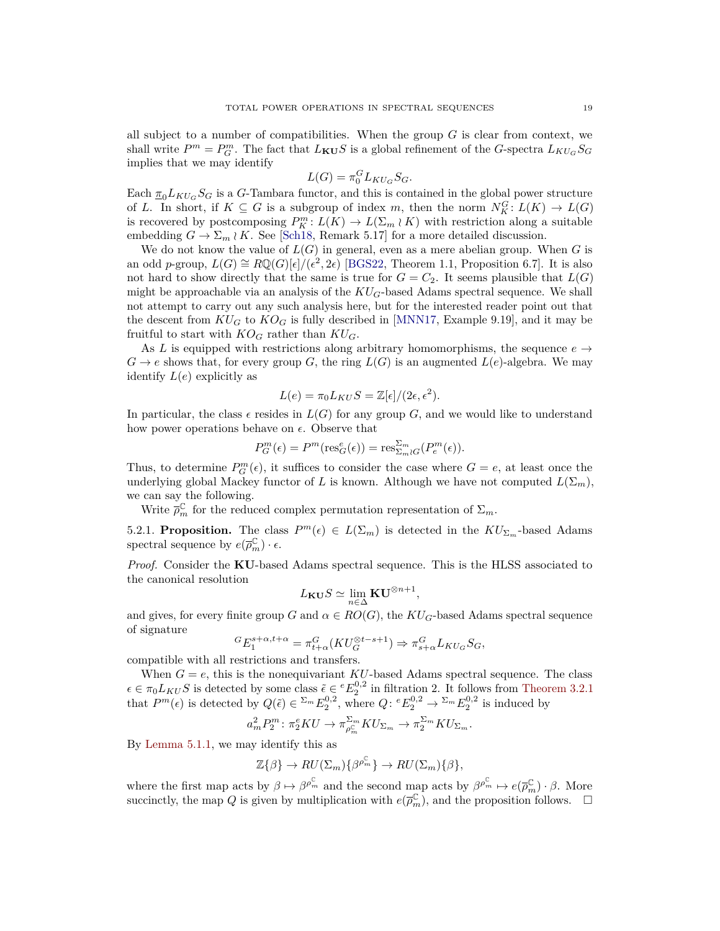all subject to a number of compatibilities. When the group *G* is clear from context, we shall write  $P^m = P_G^m$ . The fact that  $L_{\mathbf{KU}} S$  is a global refinement of the *G*-spectra  $L_{KU_G} S_G$ implies that we may identify

$$
L(G) = \pi_0^G L_{KU_G} S_G.
$$

Each  $\pi_0 L_{KU_G} S_G$  is a *G*-Tambara functor, and this is contained in the global power structure of *L*. In short, if  $K \subseteq G$  is a subgroup of index *m*, then the norm  $N_K^G: L(K) \to L(G)$ is recovered by postcomposing  $P_K^m: L(K) \to L(\Sigma_m \wr K)$  with restriction along a suitable embedding  $G \to \Sigma_m \wr K$ . See [\[Sch18,](#page-37-5) Remark 5.17] for a more detailed discussion.

We do not know the value of  $L(G)$  in general, even as a mere abelian group. When G is an odd *p*-group,  $L(G) \cong R\mathbb{Q}(G)[\epsilon]/(\epsilon^2, 2\epsilon)$  [\[BGS22,](#page-35-9) Theorem 1.1, Proposition 6.7]. It is also not hard to show directly that the same is true for  $G = C_2$ . It seems plausible that  $L(G)$ might be approachable via an analysis of the  $KU_G$ -based Adams spectral sequence. We shall not attempt to carry out any such analysis here, but for the interested reader point out that the descent from  $KU_G$  to  $KO_G$  is fully described in [\[MNN17,](#page-36-8) Example 9.19], and it may be fruitful to start with  $KO_G$  rather than  $KU_G$ .

As *L* is equipped with restrictions along arbitrary homomorphisms, the sequence  $e \rightarrow$  $G \rightarrow e$  shows that, for every group *G*, the ring  $L(G)$  is an augmented  $L(e)$ -algebra. We may identify  $L(e)$  explicitly as

$$
L(e) = \pi_0 L_{KU} S = \mathbb{Z}[\epsilon]/(2\epsilon, \epsilon^2).
$$

In particular, the class  $\epsilon$  resides in  $L(G)$  for any group *G*, and we would like to understand how power operations behave on  $\epsilon$ . Observe that

$$
P_G^m(\epsilon) = P^m(\operatorname{res}_G^e(\epsilon)) = \operatorname{res}_{\Sigma_m \wr G}^{\Sigma_m}(P_e^m(\epsilon)).
$$

Thus, to determine  $P_G^m(\epsilon)$ , it suffices to consider the case where  $G = e$ , at least once the underlying global Mackey functor of *L* is known. Although we have not computed  $L(\Sigma_m)$ , we can say the following.

Write  $\bar{\rho}_m^{\mathbb{C}}$  for the reduced complex permutation representation of  $\Sigma_m$ .

<span id="page-18-0"></span>5.2.1. **Proposition.** The class  $P^m(\epsilon) \in L(\Sigma_m)$  is detected in the  $KU_{\Sigma_m}$ -based Adams spectral sequence by  $e(\overline{\rho}_m^{\mathbb{C}}) \cdot \epsilon$ .

*Proof.* Consider the **KU**-based Adams spectral sequence. This is the HLSS associated to the canonical resolution

$$
L_{\mathbf{KU}}S\simeq \lim_{n\in \Delta}\mathbf{KU}^{\otimes n+1},
$$

and gives, for every finite group *G* and  $\alpha \in RO(G)$ , the  $KU_G$ -based Adams spectral sequence of signature

$$
{}^{G}E_{1}^{s+\alpha,t+\alpha} = \pi_{t+\alpha}^{G}(KU_{G}^{\otimes t-s+1}) \Rightarrow \pi_{s+\alpha}^{G}L_{KU_{G}}S_{G},
$$

compatible with all restrictions and transfers.

When  $G = e$ , this is the nonequivariant  $KU$ -based Adams spectral sequence. The class  $\epsilon \in \pi_0 L_{KUS}$  is detected by some class  $\tilde{\epsilon} \in {}^eE_2^{0,2}$  in filtration 2. It follows from [Theorem 3.2.1](#page-14-0) that  $P^m(\epsilon)$  is detected by  $Q(\tilde{\epsilon}) \in \sum_{m} E_2^{0,2}$ , where  $Q: {}^eE_2^{0,2} \to {}^{\sum_m}E_2^{0,2}$  is induced by

$$
a_m^2 P_2^m \colon \pi_2^e KU \to \pi_{\rho_m^{\mathbb{C}}}^{\Sigma_m} KU_{\Sigma_m} \to \pi_2^{\Sigma_m} KU_{\Sigma_m}.
$$

By [Lemma 5.1.1,](#page-17-0) we may identify this as

$$
\mathbb{Z}\{\beta\} \to RU(\Sigma_m)\{\beta^{\rho_m^{\mathbb{C}}}\}\to RU(\Sigma_m)\{\beta\},\
$$

where the first map acts by  $\beta \mapsto \beta^{\rho_m^{\mathbb{C}}}$  and the second map acts by  $\beta^{\rho_m^{\mathbb{C}}} \mapsto e(\overline{\rho}_m^{\mathbb{C}}) \cdot \beta$ . More succinctly, the map *Q* is given by multiplication with  $e(\overline{\rho}_m^{\mathbb{C}})$ , and the proposition follows.  $\Box$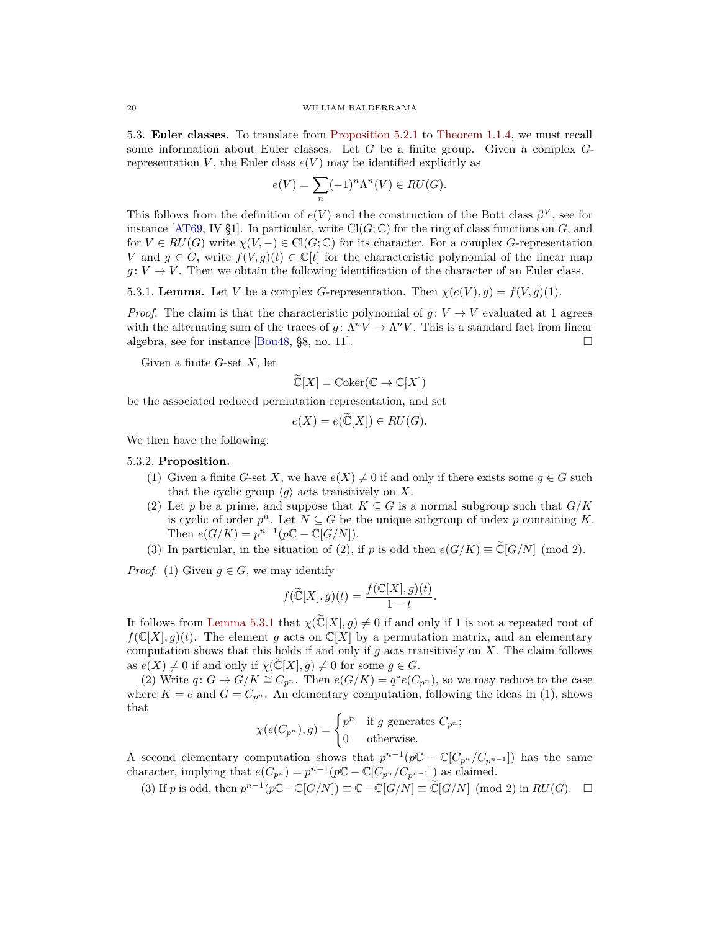<span id="page-19-0"></span>5.3. **Euler classes.** To translate from [Proposition 5.2.1](#page-18-0) to [Theorem 1.1.4,](#page-3-0) we must recall some information about Euler classes. Let *G* be a finite group. Given a complex *G*representation *V*, the Euler class  $e(V)$  may be identified explicitly as

$$
e(V) = \sum_{n} (-1)^n \Lambda^n(V) \in RU(G).
$$

This follows from the definition of  $e(V)$  and the construction of the Bott class  $\beta^V$ , see for instance [\[AT69,](#page-35-17) IV §1]. In particular, write  $Cl(G; \mathbb{C})$  for the ring of class functions on *G*, and for  $V \in RU(G)$  write  $\chi(V, -) \in \text{Cl}(G; \mathbb{C})$  for its character. For a complex *G*-representation *V* and  $g \in G$ , write  $f(V, g)(t) \in \mathbb{C}[t]$  for the characteristic polynomial of the linear map  $g: V \to V$ . Then we obtain the following identification of the character of an Euler class.

<span id="page-19-1"></span>5.3.1. **Lemma.** Let *V* be a complex *G*-representation. Then  $\chi(e(V), g) = f(V, g)(1)$ .

*Proof.* The claim is that the characteristic polynomial of  $g: V \to V$  evaluated at 1 agrees with the alternating sum of the traces of  $g: \Lambda^n V \to \Lambda^n V$ . This is a standard fact from linear algebra, see for instance [\[Bou48,](#page-35-18) §8, no. 11].  $\Box$ 

Given a finite *G*-set *X*, let

$$
\widetilde{\mathbb{C}}[X] = \mathrm{Coker}(\mathbb{C} \to \mathbb{C}[X])
$$

be the associated reduced permutation representation, and set

$$
e(X) = e(\widetilde{\mathbb{C}}[X]) \in RU(G).
$$

We then have the following.

#### <span id="page-19-2"></span>5.3.2. **Proposition.**

- (1) Given a finite *G*-set *X*, we have  $e(X) \neq 0$  if and only if there exists some  $q \in G$  such that the cyclic group  $\langle g \rangle$  acts transitively on *X*.
- (2) Let p be a prime, and suppose that  $K \subseteq G$  is a normal subgroup such that  $G/K$ is cyclic of order  $p^n$ . Let  $N \subseteq G$  be the unique subgroup of index p containing K. Then  $e(G/K) = p^{n-1}(p\mathbb{C} - \mathbb{C}[G/N]).$
- (3) In particular, in the situation of (2), if *p* is odd then  $e(G/K) \equiv \tilde{C}[G/N] \pmod{2}$ .

*Proof.* (1) Given  $q \in G$ , we may identify

$$
f(\widetilde{\mathbb{C}}[X],g)(t) = \frac{f(\mathbb{C}[X],g)(t)}{1-t}.
$$

It follows from [Lemma 5.3.1](#page-19-1) that  $\chi(\widetilde{\mathbb{C}}[X], g) \neq 0$  if and only if 1 is not a repeated root of  $f(\mathbb{C}[X], g)(t)$ . The element *g* acts on  $\mathbb{C}[X]$  by a permutation matrix, and an elementary computation shows that this holds if and only if *g* acts transitively on *X*. The claim follows as  $e(X) \neq 0$  if and only if  $\chi(\mathbb{C}[X], g) \neq 0$  for some  $g \in G$ .

(2) Write  $q: G \to G/K \cong C_{p^n}$ . Then  $e(G/K) = q^*e(C_{p^n})$ , so we may reduce to the case where  $K = e$  and  $G = C_{p^n}$ . An elementary computation, following the ideas in (1), shows that

$$
\chi(e(C_{p^n}), g) = \begin{cases} p^n & \text{if } g \text{ generates } C_{p^n}; \\ 0 & \text{otherwise.} \end{cases}
$$

A second elementary computation shows that  $p^{n-1}(p\mathbb{C} - \mathbb{C}[C_{p^n}/C_{p^{n-1}}])$  has the same character, implying that  $e(C_{p^n}) = p^{n-1}(p\mathbb{C} - \mathbb{C}[C_{p^n}/C_{p^{n-1}}])$  as claimed.

(3) If *p* is odd, then  $p^{n-1}(p\mathbb{C} - \mathbb{C}[G/N]) \equiv \mathbb{C} - \mathbb{C}[G/N] \equiv \widetilde{\mathbb{C}}[G/N] \pmod{2}$  in  $RU(G)$ .  $\square$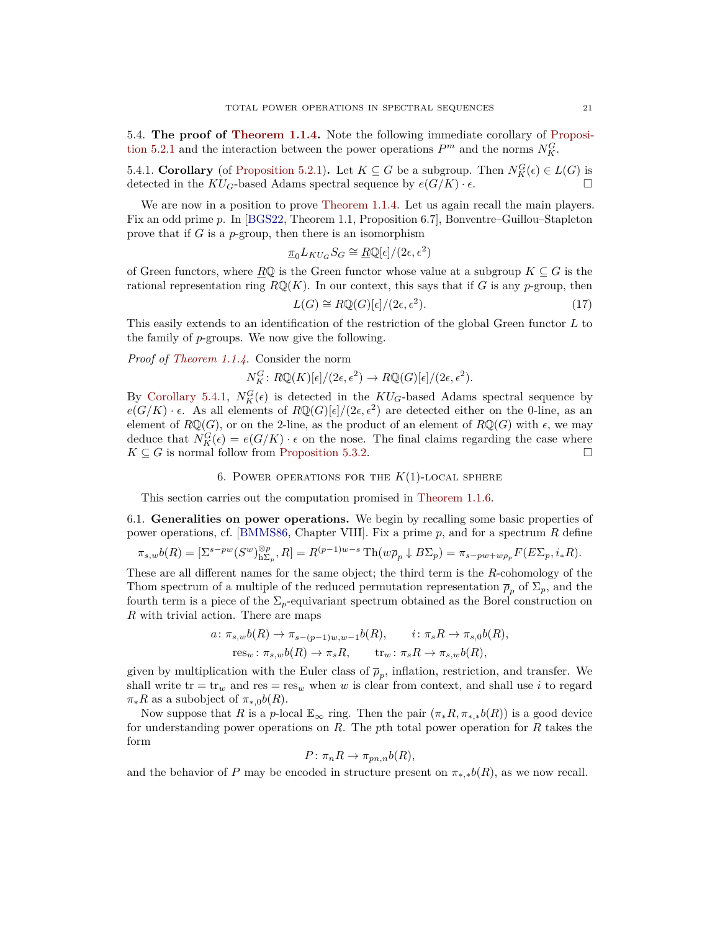<span id="page-20-1"></span>5.4. **The proof of [Theorem 1.1.4.](#page-3-0)** Note the following immediate corollary of [Proposi](#page-18-0)[tion 5.2.1](#page-18-0) and the interaction between the power operations  $P^m$  and the norms  $N_K^G$ .

<span id="page-20-2"></span>5.4.1. **Corollary** (of [Proposition 5.2.1\)](#page-18-0). Let  $K \subseteq G$  be a subgroup. Then  $N_K^G(\epsilon) \in L(G)$  is detected in the  $KU_G$ -based Adams spectral sequence by  $e(G/K) \cdot \epsilon$ .

We are now in a position to prove [Theorem 1.1.4.](#page-3-0) Let us again recall the main players. Fix an odd prime *p*. In [\[BGS22,](#page-35-9) Theorem 1.1, Proposition 6.7], Bonventre–Guillou–Stapleton prove that if *G* is a *p*-group, then there is an isomorphism

$$
\underline{\pi}_0 L_{KU_G} S_G \cong \underline{R}\mathbb{Q}[\epsilon]/(2\epsilon,\epsilon^2)
$$

of Green functors, where  $R\mathbb{Q}$  is the Green functor whose value at a subgroup  $K \subseteq G$  is the rational representation ring  $R\mathbb{Q}(K)$ . In our context, this says that if *G* is any *p*-group, then

$$
L(G) \cong R\mathbb{Q}(G)[\epsilon]/(2\epsilon, \epsilon^2). \tag{17}
$$

This easily extends to an identification of the restriction of the global Green functor *L* to the family of *p*-groups. We now give the following.

*Proof of [Theorem 1.1.4.](#page-3-0)* Consider the norm

 $N_K^G$ :  $RQ(K)[\epsilon]/(2\epsilon, \epsilon^2) \rightarrow RQ(G)[\epsilon]/(2\epsilon, \epsilon^2)$ .

By [Corollary 5.4.1,](#page-20-2)  $N_K^G(\epsilon)$  is detected in the  $KU_G$ -based Adams spectral sequence by  $e(G/K) \cdot \epsilon$ . As all elements of  $R\mathbb{Q}(G)[\epsilon]/(2\epsilon,\epsilon^2)$  are detected either on the 0-line, as an element of  $R\mathbb{Q}(G)$ , or on the 2-line, as the product of an element of  $R\mathbb{Q}(G)$  with  $\epsilon$ , we may deduce that  $N_K^G(\epsilon) = e(G/K) \cdot \epsilon$  on the nose. The final claims regarding the case where  $K \subseteq G$  is normal follow from [Proposition 5.3.2.](#page-19-2)

6. POWER OPERATIONS FOR THE  $K(1)$ -LOCAL SPHERE

<span id="page-20-0"></span>This section carries out the computation promised in [Theorem 1.1.6.](#page-5-1)

6.1. **Generalities on power operations.** We begin by recalling some basic properties of power operations, cf. [\[BMMS86,](#page-35-4) Chapter VIII]. Fix a prime *p*, and for a spectrum *R* define

$$
\pi_{s,w}b(R) = [\Sigma^{s-pw}(S^w)_{h\Sigma_p}^{\otimes p}, R] = R^{(p-1)w-s} \operatorname{Th}(w\overline{\rho}_p \downarrow B\Sigma_p) = \pi_{s-pw+w\rho_p}F(E\Sigma_p, i_*R).
$$

These are all different names for the same object; the third term is the *R*-cohomology of the Thom spectrum of a multiple of the reduced permutation representation  $\bar{\rho}_p$  of  $\Sigma_p$ , and the fourth term is a piece of the  $\Sigma_p$ -equivariant spectrum obtained as the Borel construction on *R* with trivial action. There are maps

$$
a: \pi_{s,w}b(R) \to \pi_{s-(p-1)w,w-1}b(R), \qquad i: \pi_s R \to \pi_{s,0}b(R),
$$
  

$$
res_w: \pi_{s,w}b(R) \to \pi_s R, \qquad tr_w: \pi_s R \to \pi_{s,w}b(R),
$$

given by multiplication with the Euler class of  $\bar{p}_p$ , inflation, restriction, and transfer. We shall write  $tr = tr_w$  and  $res = res_w$  when *w* is clear from context, and shall use *i* to regard  $\pi_* R$  as a subobject of  $\pi_{*,0} b(R)$ .

Now suppose that *R* is a *p*-local  $\mathbb{E}_{\infty}$  ring. Then the pair  $(\pi_*R, \pi_{*,*}b(R))$  is a good device for understanding power operations on *R*. The *p*th total power operation for *R* takes the form

$$
P: \pi_n R \to \pi_{pn,n} b(R),
$$

and the behavior of *P* may be encoded in structure present on  $\pi_{*,*}b(R)$ , as we now recall.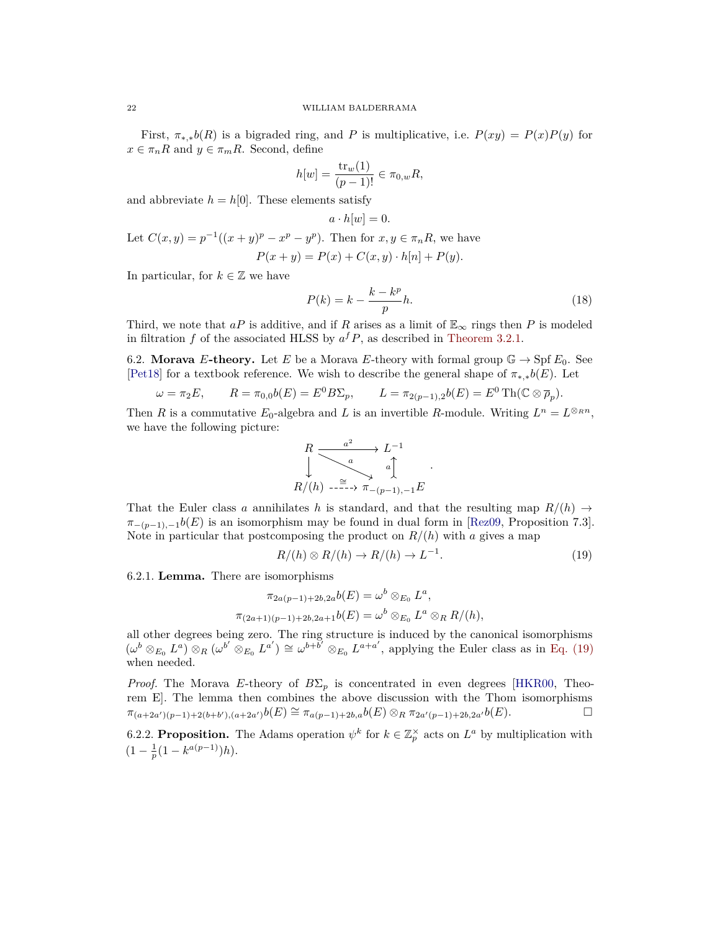First,  $\pi_{*,*}b(R)$  is a bigraded ring, and *P* is multiplicative, i.e.  $P(xy) = P(x)P(y)$  for  $x \in \pi_n R$  and  $y \in \pi_m R$ . Second, define

$$
h[w] = \frac{\text{tr}_w(1)}{(p-1)!} \in \pi_{0,w} R,
$$

and abbreviate  $h = h[0]$ . These elements satisfy

$$
a \cdot h[w] = 0.
$$

Let  $C(x, y) = p^{-1}((x + y)^p - x^p - y^p)$ . Then for  $x, y \in \pi_n R$ , we have  $P(x + y) = P(x) + C(x, y) \cdot h[n] + P(y).$ 

In particular, for  $k \in \mathbb{Z}$  we have

<span id="page-21-1"></span>
$$
P(k) = k - \frac{k - k^p}{p}h.\tag{18}
$$

Third, we note that *aP* is additive, and if *R* arises as a limit of  $\mathbb{E}_{\infty}$  rings then *P* is modeled in filtration  $f$  of the associated HLSS by  $a^f P$ , as described in [Theorem 3.2.1.](#page-14-0)

6.2. **Morava** *E*-theory. Let *E* be a Morava *E*-theory with formal group  $\mathbb{G} \to \text{Spf } E_0$ . See [\[Pet18\]](#page-37-8) for a textbook reference. We wish to describe the general shape of  $\pi_{*,*}b(E)$ . Let

$$
\omega = \pi_2 E, \qquad R = \pi_{0,0} b(E) = E^0 B \Sigma_p, \qquad L = \pi_{2(p-1),2} b(E) = E^0 \operatorname{Th}(\mathbb{C} \otimes \overline{\rho}_p).
$$

Then *R* is a commutative  $E_0$ -algebra and *L* is an invertible *R*-module. Writing  $L^n = L^{\otimes_R n}$ , we have the following picture:

$$
R \xrightarrow{a^2} L^{-1}
$$
  
\n
$$
\downarrow^{a} \qquad \qquad a \uparrow \qquad \qquad .
$$
  
\n
$$
R/(h) \xrightarrow{-\cong -\sim} \pi_{-(p-1),-1}E
$$

That the Euler class *a* annihilates *h* is standard, and that the resulting map  $R/(h) \rightarrow$  $\pi_{-(p-1),-1}b(E)$  is an isomorphism may be found in dual form in [\[Rez09,](#page-37-9) Proposition 7.3]. Note in particular that postcomposing the product on  $R/(h)$  with *a* gives a map

<span id="page-21-0"></span>
$$
R/(h) \otimes R/(h) \to R/(h) \to L^{-1}.
$$
 (19)

<span id="page-21-2"></span>6.2.1. **Lemma.** There are isomorphisms

$$
\pi_{2a(p-1)+2b,2a}b(E) = \omega^b \otimes_{E_0} L^a,
$$
  

$$
\pi_{(2a+1)(p-1)+2b,2a+1}b(E) = \omega^b \otimes_{E_0} L^a \otimes_R R/(h),
$$

all other degrees being zero. The ring structure is induced by the canonical isomorphisms  $(\omega^b \otimes_{E_0} L^a) \otimes_R (\omega^{b'} \otimes_{E_0} L^{a'}) \cong \omega^{b+b'} \otimes_{E_0} L^{a+a'},$  applying the Euler class as in [Eq. \(19\)](#page-21-0) when needed.

*Proof.* The Morava *E*-theory of  $B\Sigma_p$  is concentrated in even degrees [\[HKR00,](#page-36-9) Theorem E]. The lemma then combines the above discussion with the Thom isomorphisms  $\pi_{(a+2a')(p-1)+2(b+b'),(a+2a')}b(E) \cong \pi_{a(p-1)+2b,a}b(E) \otimes_R \pi_{2a'(p-1)+2b,2a'}b(E).$ 

<span id="page-21-3"></span>6.2.2. **Proposition.** The Adams operation  $\psi^k$  for  $k \in \mathbb{Z}_p^\times$  acts on  $L^a$  by multiplication with  $(1 - \frac{1}{p}(1 - k^{a(p-1)})h).$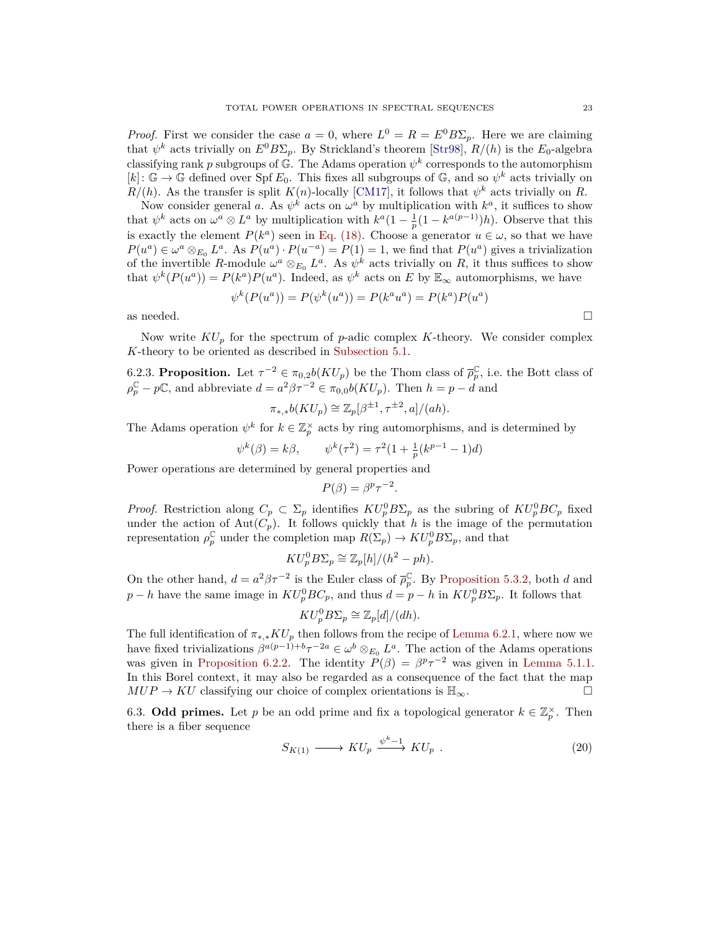*Proof.* First we consider the case  $a = 0$ , where  $L^0 = R = E^0 B \Sigma_p$ . Here we are claiming that  $\psi^k$  acts trivially on  $E^0 B \Sigma_p$ . By Strickland's theorem [\[Str98\]](#page-37-10),  $R/(h)$  is the  $E_0$ -algebra classifying rank *p* subgroups of  $\mathbb{G}$ . The Adams operation  $\psi^k$  corresponds to the automorphism  $[k]: \mathbb{G} \to \mathbb{G}$  defined over Spf  $E_0$ . This fixes all subgroups of  $\mathbb{G}$ , and so  $\psi^k$  acts trivially on  $R/(h)$ . As the transfer is split  $K(n)$ -locally [\[CM17\]](#page-35-19), it follows that  $\psi^k$  acts trivially on *R*.

Now consider general *a*. As  $\psi^k$  acts on  $\omega^a$  by multiplication with  $k^a$ , it suffices to show that  $\psi^k$  acts on  $\omega^a \otimes L^a$  by multiplication with  $k^a(1 - \frac{1}{p}(1 - k^{a(p-1)})h)$ . Observe that this is exactly the element  $P(k^a)$  seen in [Eq. \(18\).](#page-21-1) Choose a generator  $u \in \omega$ , so that we have  $P(u^a) \in \omega^a \otimes_{E_0} L^a$ . As  $P(u^a) \cdot P(u^{-a}) = P(1) = 1$ , we find that  $P(u^a)$  gives a trivialization of the invertible *R*-module  $\omega^a \otimes_{E_0} L^a$ . As  $\psi^k$  acts trivially on *R*, it thus suffices to show that  $\psi^k(P(u^a)) = P(k^a)P(u^a)$ . Indeed, as  $\psi^k$  acts on *E* by  $\mathbb{E}_{\infty}$  automorphisms, we have

$$
\psi^k(P(u^a)) = P(\psi^k(u^a)) = P(k^a u^a) = P(k^a)P(u^a)
$$
 as needed.

Now write *KU<sup>p</sup>* for the spectrum of *p*-adic complex *K*-theory. We consider complex *K*-theory to be oriented as described in [Subsection 5.1.](#page-16-1)

<span id="page-22-1"></span>6.2.3. **Proposition.** Let  $\tau^{-2} \in \pi_{0,2}b(KU_p)$  be the Thom class of  $\overline{\rho}_p^{\mathbb{C}}$ , i.e. the Bott class of  $\rho_p^{\mathbb{C}} - p\mathbb{C}$ , and abbreviate  $d = a^2\beta\tau^{-2} \in \pi_{0,0}b(KU_p)$ . Then  $h = p - d$  and

$$
\pi_{*,*}b(KU_p) \cong \mathbb{Z}_p[\beta^{\pm 1}, \tau^{\pm 2}, a]/(ah).
$$

The Adams operation  $\psi^k$  for  $k \in \mathbb{Z}_p^{\times}$  acts by ring automorphisms, and is determined by

$$
\psi^k(\beta) = k\beta,
$$
  $\psi^k(\tau^2) = \tau^2(1 + \frac{1}{p}(k^{p-1} - 1)d)$ 

Power operations are determined by general properties and

$$
P(\beta) = \beta^p \tau^{-2}.
$$

*Proof.* Restriction along  $C_p \subset \Sigma_p$  identifies  $KU_p^0 B \Sigma_p$  as the subring of  $KU_p^0 B C_p$  fixed under the action of  $Aut(C_p)$ . It follows quickly that *h* is the image of the permutation representation  $\rho_p^{\mathbb{C}}$  under the completion map  $R(\Sigma_p) \to KU_p^0 B\Sigma_p$ , and that

$$
KU_p^0 B \Sigma_p \cong \mathbb{Z}_p[h]/(h^2 - ph).
$$

On the other hand,  $d = a^2 \beta \tau^{-2}$  is the Euler class of  $\overline{\rho}_p^{\mathbb{C}}$ . By [Proposition 5.3.2,](#page-19-2) both *d* and  $p - h$  have the same image in  $KU_p^0 BC_p$ , and thus  $d = p - h$  in  $KU_p^0 B \Sigma_p$ . It follows that

$$
KU_p^0 B \Sigma_p \cong \mathbb{Z}_p[d]/(dh).
$$

The full identification of  $\pi_{*, *} K U_p$  then follows from the recipe of [Lemma 6.2.1,](#page-21-2) where now we have fixed trivializations  $\beta^{a(p-1)+b}\tau^{-2a} \in \omega^b \otimes_{E_0} L^a$ . The action of the Adams operations was given in [Proposition 6.2.2.](#page-21-3) The identity  $P(\beta) = \beta^p \tau^{-2}$  was given in [Lemma 5.1.1.](#page-17-0) In this Borel context, it may also be regarded as a consequence of the fact that the map  $MUP \to KU$  classifying our choice of complex orientations is  $\mathbb{H}_{\infty}$ .

<span id="page-22-2"></span>6.3. **Odd primes.** Let *p* be an odd prime and fix a topological generator  $k \in \mathbb{Z}_p^{\times}$ . Then there is a fiber sequence

<span id="page-22-0"></span>
$$
S_{K(1)} \longrightarrow KU_p \stackrel{\psi^k-1}{\longrightarrow} KU_p \ . \tag{20}
$$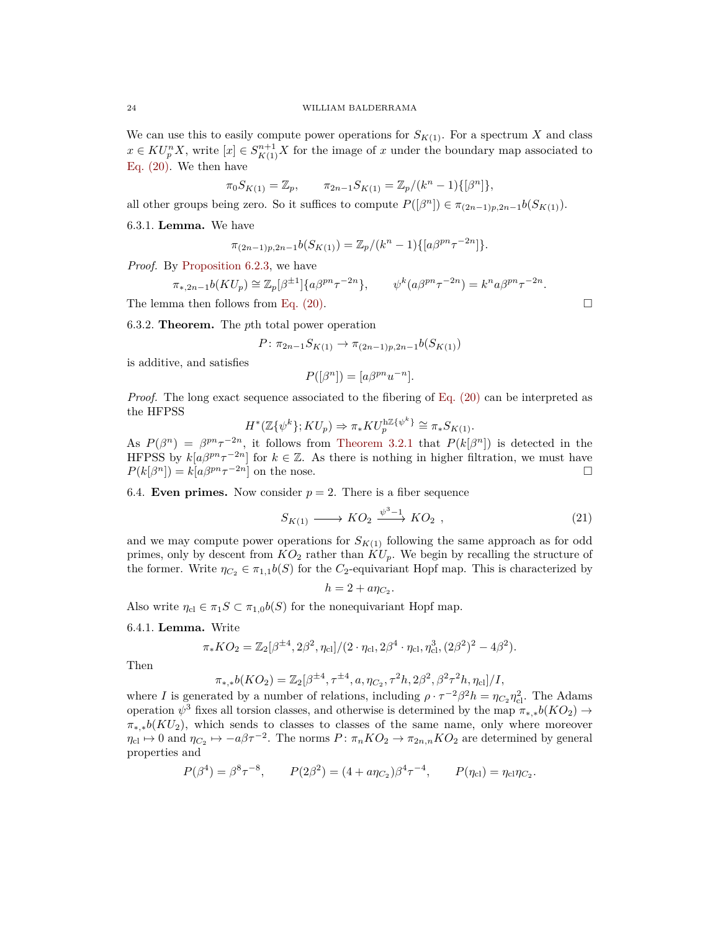We can use this to easily compute power operations for  $S_{K(1)}$ . For a spectrum X and class  $x \in KU_p^n X$ , write  $[x] \in S_{K(1)}^{n+1} X$  for the image of *x* under the boundary map associated to [Eq. \(20\).](#page-22-0) We then have

$$
\pi_0 S_{K(1)} = \mathbb{Z}_p, \qquad \pi_{2n-1} S_{K(1)} = \mathbb{Z}_p / (k^n - 1) \{ [\beta^n] \},
$$

all other groups being zero. So it suffices to compute  $P([\beta^n]) \in \pi_{(2n-1)p,2n-1}b(S_{K(1)})$ .

6.3.1. **Lemma.** We have

$$
\pi_{(2n-1)p,2n-1}b(S_{K(1)}) = \mathbb{Z}_p/(k^n-1)\{[a\beta^{pn}\tau^{-2n}]\}.
$$

*Proof.* By [Proposition 6.2.3,](#page-22-1) we have

$$
\pi_{*,2n-1}b(KU_p) \cong \mathbb{Z}_p[\beta^{\pm 1}]\{a\beta^{pn}\tau^{-2n}\}, \qquad \psi^k(a\beta^{pn}\tau^{-2n}) = k^n a\beta^{pn}\tau^{-2n}.
$$

The lemma then follows from [Eq. \(20\).](#page-22-0)  $\Box$ 

<span id="page-23-0"></span>6.3.2. **Theorem.** The *p*th total power operation

$$
P: \pi_{2n-1}S_{K(1)} \to \pi_{(2n-1)p,2n-1}b(S_{K(1)})
$$

is additive, and satisfies

$$
P([\beta^n]) = [a\beta^{pn}u^{-n}].
$$

*Proof.* The long exact sequence associated to the fibering of [Eq. \(20\)](#page-22-0) can be interpreted as the HFPSS

$$
H^*(\mathbb{Z}\{\psi^k\}; KU_p) \Rightarrow \pi_* K U_p^{\text{h}\mathbb{Z}\{\psi^k\}} \cong \pi_* S_{K(1)}.
$$

As  $P(\beta^n) = \beta^{pn} \tau^{-2n}$ , it follows from [Theorem 3.2.1](#page-14-0) that  $P(k[\beta^n])$  is detected in the HFPSS by  $k[a\beta^{pn}\tau^{-2n}]$  for  $k \in \mathbb{Z}$ . As there is nothing in higher filtration, we must have  $P(k[\beta^n]) = k[a\beta^{pn}\tau^{-2n}]$  on the nose.

6.4. **Even primes.** Now consider  $p = 2$ . There is a fiber sequence

<span id="page-23-1"></span>
$$
S_{K(1)} \longrightarrow KO_2 \xrightarrow{\psi^3 - 1} KO_2 , \qquad (21)
$$

and we may compute power operations for  $S_{K(1)}$  following the same approach as for odd primes, only by descent from  $KO_2$  rather than  $KU_p$ . We begin by recalling the structure of the former. Write  $\eta_{C_2} \in \pi_{1,1}b(S)$  for the  $C_2$ -equivariant Hopf map. This is characterized by

$$
h=2+a\eta_{C_2}.
$$

Also write  $\eta_{\text{cl}} \in \pi_1 S \subset \pi_{1,0} b(S)$  for the nonequivariant Hopf map.

<span id="page-23-2"></span>6.4.1. **Lemma.** Write

$$
\pi_*KO_2 = \mathbb{Z}_2[\beta^{\pm 4}, 2\beta^2, \eta_{\text{cl}}]/(2 \cdot \eta_{\text{cl}}, 2\beta^4 \cdot \eta_{\text{cl}}, \eta_{\text{cl}}^3, (2\beta^2)^2 - 4\beta^2).
$$

Then

$$
\pi_{*,*}b(KO_2) = \mathbb{Z}_2[\beta^{\pm 4}, \tau^{\pm 4}, a, \eta_{C_2}, \tau^2 h, 2\beta^2, \beta^2 \tau^2 h, \eta_{\text{cl}}]/I,
$$

where *I* is generated by a number of relations, including  $\rho \cdot \tau^{-2} \beta^2 h = \eta_{C_2} \eta_{c}^2$ . The Adams operation  $\psi^3$  fixes all torsion classes, and otherwise is determined by the map  $\pi_{*, *}b(KO_2) \rightarrow$  $\pi_{*,*}b(KU_2)$ , which sends to classes to classes of the same name, only where moreover  $\eta_{\text{cl}} \mapsto 0$  and  $\eta_{C_2} \mapsto -a\beta\tau^{-2}$ . The norms  $P: \pi_n K O_2 \to \pi_{2n,n} K O_2$  are determined by general properties and

$$
P(\beta^4) = \beta^8 \tau^{-8}
$$
,  $P(2\beta^2) = (4 + a\eta_{C_2})\beta^4 \tau^{-4}$ ,  $P(\eta_{\text{cl}}) = \eta_{\text{cl}}\eta_{C_2}$ .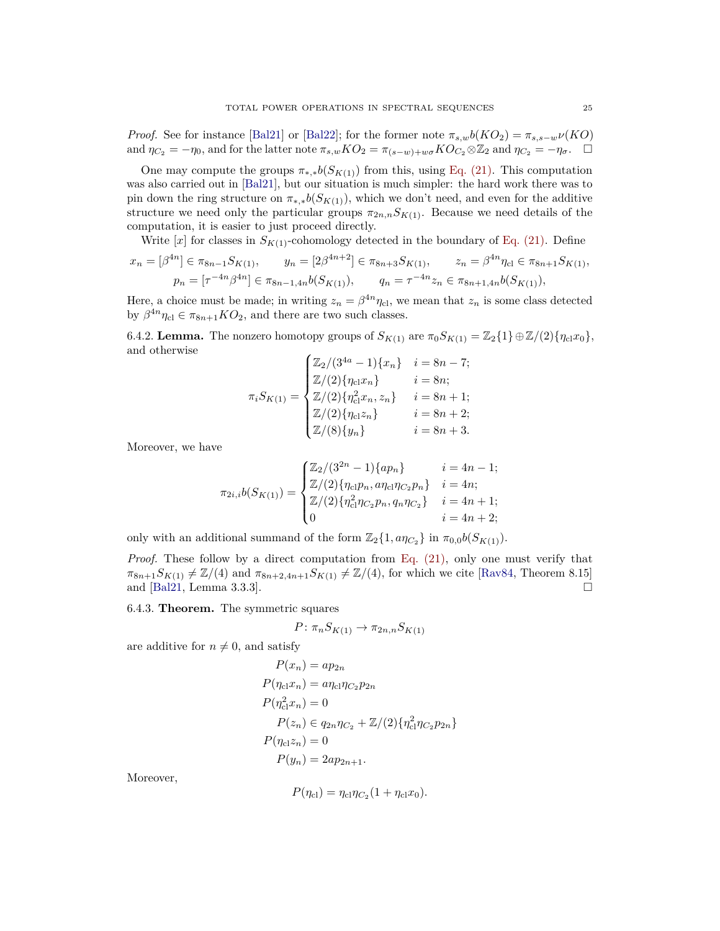*Proof.* See for instance [\[Bal21\]](#page-35-20) or [\[Bal22\]](#page-35-21); for the former note  $\pi_{s,w}b(KO_2) = \pi_{s,s-w}\nu(KO)$ and  $\eta_{C_2} = -\eta_0$ , and for the latter note  $\pi_{s,w} K O_2 = \pi_{(s-w)+w\sigma} K O_{C_2} \otimes \mathbb{Z}_2$  and  $\eta_{C_2} = -\eta_{\sigma}$ .  $\Box$ 

One may compute the groups  $\pi_{*,*}b(S_{K(1)})$  from this, using [Eq. \(21\).](#page-23-1) This computation was also carried out in [\[Bal21\]](#page-35-20), but our situation is much simpler: the hard work there was to pin down the ring structure on  $\pi_{*,*}b(S_{K(1)})$ , which we don't need, and even for the additive structure we need only the particular groups  $\pi_{2n,n} S_{K(1)}$ . Because we need details of the computation, it is easier to just proceed directly.

Write  $[x]$  for classes in  $S_{K(1)}$ -cohomology detected in the boundary of [Eq. \(21\).](#page-23-1) Define

$$
x_n = [\beta^{4n}] \in \pi_{8n-1}S_{K(1)}, \qquad y_n = [2\beta^{4n+2}] \in \pi_{8n+3}S_{K(1)}, \qquad z_n = \beta^{4n}\eta_{\text{cl}} \in \pi_{8n+1}S_{K(1)},
$$
  

$$
p_n = [\tau^{-4n}\beta^{4n}] \in \pi_{8n-1,4n}b(S_{K(1)}), \qquad q_n = \tau^{-4n}z_n \in \pi_{8n+1,4n}b(S_{K(1)}),
$$

Here, a choice must be made; in writing  $z_n = \beta^{4n} \eta_{\text{cl}}$ , we mean that  $z_n$  is some class detected by  $\beta^{4n}\eta_{\text{cl}} \in \pi_{8n+1}KO_2$ , and there are two such classes.

6.4.2. **Lemma.** The nonzero homotopy groups of  $S_{K(1)}$  are  $\pi_0 S_{K(1)} = \mathbb{Z}_2 \{1\} \oplus \mathbb{Z}/(2) \{\eta_{\text{cl}} x_0\},\$ and otherwise

$$
\pi_i S_{K(1)} = \begin{cases} \mathbb{Z}_2 / (3^{4a} - 1) \{x_n\} & i = 8n - 7; \\ \mathbb{Z} / (2) \{\eta_{\text{cl}} x_n\} & i = 8n; \\ \mathbb{Z} / (2) \{\eta_{\text{cl}}^2 x_n, z_n\} & i = 8n + 1; \\ \mathbb{Z} / (2) \{\eta_{\text{cl}} z_n\} & i = 8n + 2; \\ \mathbb{Z} / (8) \{y_n\} & i = 8n + 3. \end{cases}
$$

Moreover, we have

$$
\pi_{2i,i}b(S_{K(1)}) = \begin{cases} \mathbb{Z}_2/(3^{2n}-1)\{ap_n\} & i = 4n-1; \\ \mathbb{Z}/(2)\{\eta_{\text{cl}}p_n, a\eta_{\text{cl}}\eta_{C_2}p_n\} & i = 4n; \\ \mathbb{Z}/(2)\{\eta_{\text{cl}}^2\eta_{C_2}p_n, q_n\eta_{C_2}\} & i = 4n+1; \\ 0 & i = 4n+2; \end{cases}
$$

only with an additional summand of the form  $\mathbb{Z}_2\{1, a\eta_{C_2}\}\$  in  $\pi_{0,0}b(S_{K(1)})$ .

*Proof.* These follow by a direct computation from [Eq. \(21\),](#page-23-1) only one must verify that  $\pi_{8n+1}S_{K(1)} \neq \mathbb{Z}/(4)$  and  $\pi_{8n+2,4n+1}S_{K(1)} \neq \mathbb{Z}/(4)$ , for which we cite [\[Rav84,](#page-37-11) Theorem 8.15] and [\[Bal21,](#page-35-20) Lemma 3.3.3].

<span id="page-24-0"></span>6.4.3. **Theorem.** The symmetric squares

$$
P: \pi_n S_{K(1)} \to \pi_{2n,n} S_{K(1)}
$$

are additive for  $n \neq 0$ , and satisfy

$$
P(x_n) = ap_{2n}
$$
  
\n
$$
P(\eta_{c1}x_n) = a\eta_{c1}\eta_{C_2}p_{2n}
$$
  
\n
$$
P(\eta_{c1}^2x_n) = 0
$$
  
\n
$$
P(z_n) \in q_{2n}\eta_{C_2} + \mathbb{Z}/(2)\{\eta_{c1}^2\eta_{C_2}p_{2n}\}
$$
  
\n
$$
P(\eta_{c1}z_n) = 0
$$
  
\n
$$
P(y_n) = 2ap_{2n+1}.
$$

Moreover,

$$
P(\eta_{\rm cl}) = \eta_{\rm cl} \eta_{C_2} (1 + \eta_{\rm cl} x_0).
$$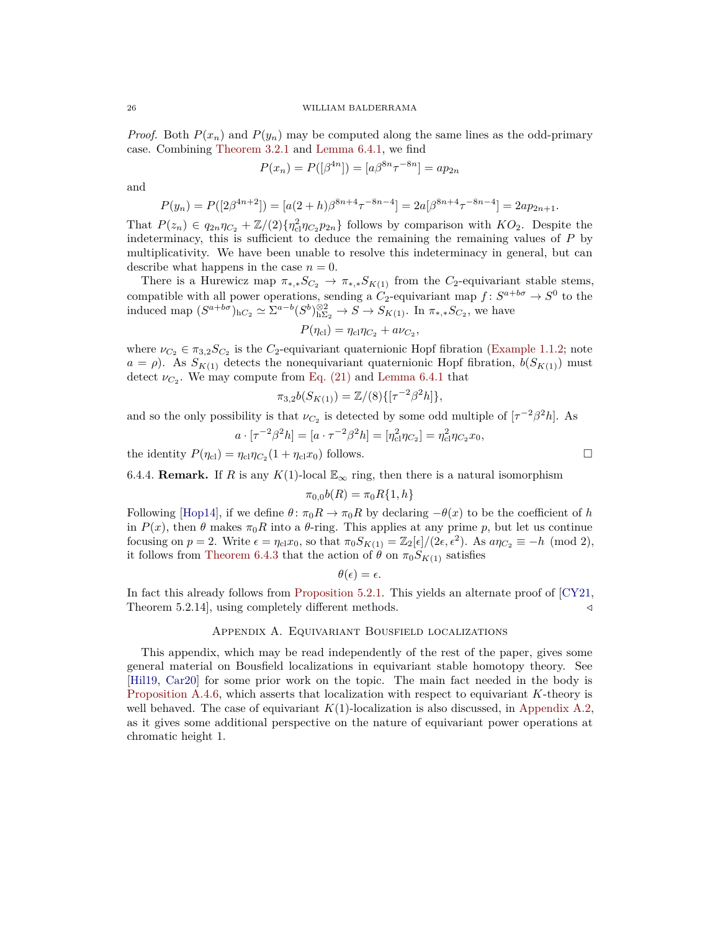*Proof.* Both  $P(x_n)$  and  $P(y_n)$  may be computed along the same lines as the odd-primary case. Combining [Theorem 3.2.1](#page-14-0) and [Lemma 6.4.1,](#page-23-2) we find

$$
P(x_n) = P([\beta^{4n}]) = [a\beta^{8n}\tau^{-8n}] = ap_{2n}
$$

and

$$
P(y_n) = P([2\beta^{4n+2}]) = [a(2+h)\beta^{8n+4}\tau^{-8n-4}] = 2a[\beta^{8n+4}\tau^{-8n-4}] = 2ap_{2n+1}.
$$

That  $P(z_n) \in q_{2n}\eta_{C_2} + \mathbb{Z}/(2)\{\eta_{c1}^2\eta_{C_2}p_{2n}\}\$  follows by comparison with  $KO_2$ . Despite the indeterminacy, this is sufficient to deduce the remaining the remaining values of *P* by multiplicativity. We have been unable to resolve this indeterminacy in general, but can describe what happens in the case  $n = 0$ .

There is a Hurewicz map  $\pi_{*, *} S_{C_2} \to \pi_{*, *} S_{K(1)}$  from the *C*<sub>2</sub>-equivariant stable stems, compatible with all power operations, sending a  $C_2$ -equivariant map  $f: S^{a+b\sigma} \to S^0$  to the induced map  $(S^{a+b\sigma})_{hC_2} \simeq \Sigma^{a-b} (S^b)_{h\Sigma_2}^{\otimes 2} \to S \to S_{K(1)}$ . In  $\pi_{*, *} S_{C_2}$ , we have

$$
P(\eta_{\rm cl}) = \eta_{\rm cl} \eta_{C_2} + a \nu_{C_2},
$$

where  $\nu_{C_2} \in \pi_{3,2}S_{C_2}$  is the  $C_2$ -equivariant quaternionic Hopf fibration [\(Example 1.1.2;](#page-3-1) note  $a = \rho$ ). As  $S_{K(1)}$  detects the nonequivariant quaternionic Hopf fibration,  $b(S_{K(1)})$  must detect  $\nu_{C_2}$ . We may compute from [Eq. \(21\)](#page-23-1) and [Lemma 6.4.1](#page-23-2) that

$$
\pi_{3,2}b(S_{K(1)}) = \mathbb{Z}/(8)\{[\tau^{-2}\beta^2 h]\},\
$$

and so the only possibility is that  $\nu_{C_2}$  is detected by some odd multiple of  $[\tau^{-2}\beta^2 h]$ . As

$$
a \cdot [\tau^{-2} \beta^2 h] = [a \cdot \tau^{-2} \beta^2 h] = [\eta_{\text{cl}}^2 \eta_{C_2}] = \eta_{\text{cl}}^2 \eta_{C_2} x_0,
$$

the identity  $P(\eta_{\text{cl}}) = \eta_{\text{cl}} \eta_{C_2} (1 + \eta_{\text{cl}} x_0)$  follows.

<span id="page-25-1"></span>6.4.4. **Remark.** If *R* is any  $K(1)$ -local  $\mathbb{E}_{\infty}$  ring, then there is a natural isomorphism

$$
\pi_{0,0}b(R) = \pi_0 R\{1, h\}
$$

Following [\[Hop14\]](#page-36-6), if we define  $\theta \colon \pi_0 R \to \pi_0 R$  by declaring  $-\theta(x)$  to be the coefficient of *h* in  $P(x)$ , then  $\theta$  makes  $\pi_0 R$  into a  $\theta$ -ring. This applies at any prime p, but let us continue focusing on  $p = 2$ . Write  $\epsilon = \eta_{\text{cl}} x_0$ , so that  $\pi_0 S_{K(1)} = \mathbb{Z}_2[\epsilon]/(2\epsilon, \epsilon^2)$ . As  $a\eta_{C_2} \equiv -h \pmod{2}$ , it follows from [Theorem 6.4.3](#page-24-0) that the action of  $\hat{\theta}$  on  $\pi_0 S_{K(1)}$  satisfies

$$
\theta(\epsilon)=\epsilon.
$$

In fact this already follows from [Proposition 5.2.1.](#page-18-0) This yields an alternate proof of [\[CY21,](#page-35-10) Theorem 5.2.14, using completely different methods.  $\triangleleft$ 

## Appendix A. Equivariant Bousfield localizations

<span id="page-25-0"></span>This appendix, which may be read independently of the rest of the paper, gives some general material on Bousfield localizations in equivariant stable homotopy theory. See [\[Hil19,](#page-36-10) [Car20\]](#page-35-22) for some prior work on the topic. The main fact needed in the body is [Proposition A.4.6,](#page-32-0) which asserts that localization with respect to equivariant *K*-theory is well behaved. The case of equivariant  $K(1)$ -localization is also discussed, in [Appendix A.2,](#page-27-0) as it gives some additional perspective on the nature of equivariant power operations at chromatic height 1.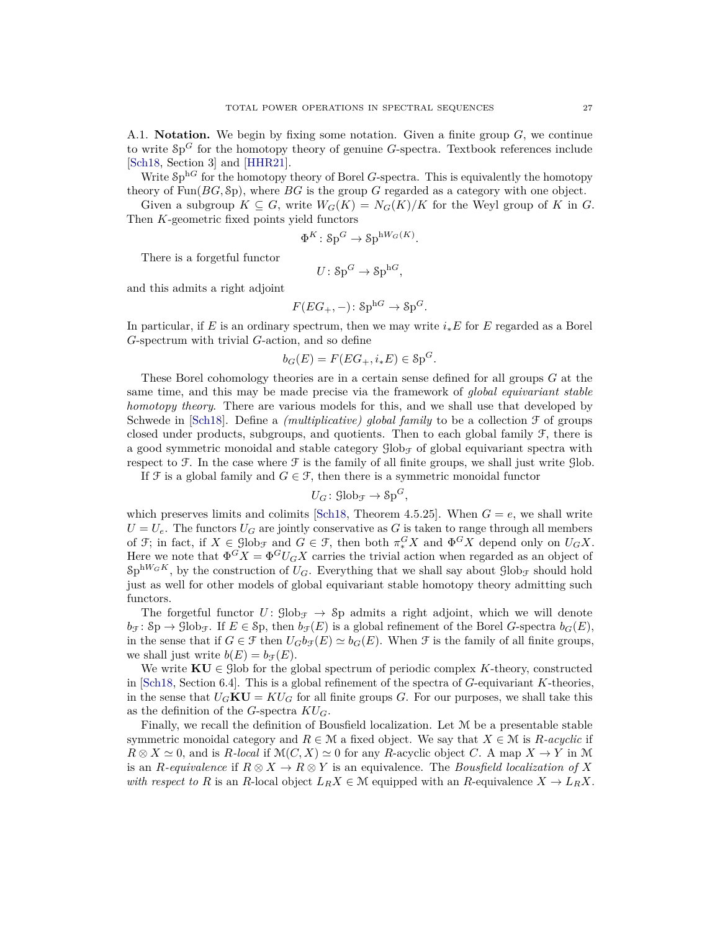A.1. **Notation.** We begin by fixing some notation. Given a finite group *G*, we continue to write Sp *<sup>G</sup>* for the homotopy theory of genuine *G*-spectra. Textbook references include [\[Sch18,](#page-37-5) Section 3] and [\[HHR21\]](#page-36-11).

Write  $\mathcal{S}p^{hG}$  for the homotopy theory of Borel *G*-spectra. This is equivalently the homotopy theory of Fun(*BG,* Sp), where *BG* is the group *G* regarded as a category with one object.

Given a subgroup  $K \subseteq G$ , write  $W_G(K) = N_G(K)/K$  for the Weyl group of K in G. Then *K*-geometric fixed points yield functors

$$
\Phi^K \colon \mathrm{Sp}^G \to \mathrm{Sp}^{\mathrm{h}W_G(K)}.
$$

There is a forgetful functor

$$
U\colon \mathrm{Sp}^G\to \mathrm{Sp}^{\mathrm{h} G},
$$

and this admits a right adjoint

$$
F(EG_+, -): \mathbf{Sp}^{\mathrm{h}G} \to \mathbf{Sp}^G.
$$

In particular, if *E* is an ordinary spectrum, then we may write *i*∗*E* for *E* regarded as a Borel *G*-spectrum with trivial *G*-action, and so define

$$
b_G(E) = F(EG_+, i_*E) \in \mathcal{S}p^G.
$$

These Borel cohomology theories are in a certain sense defined for all groups *G* at the same time, and this may be made precise via the framework of *global equivariant stable homotopy theory*. There are various models for this, and we shall use that developed by Schwede in [\[Sch18\]](#page-37-5). Define a *(multiplicative) global family* to be a collection F of groups closed under products, subgroups, and quotients. Then to each global family  $\mathcal{F}$ , there is a good symmetric monoidal and stable category  $\mathcal{G}^{\text{lob}}_{\mathcal{F}}$  of global equivariant spectra with respect to  $\mathcal F$ . In the case where  $\mathcal F$  is the family of all finite groups, we shall just write  $\mathcal G$ lob.

If  $\mathcal F$  is a global family and  $G \in \mathcal F$ , then there is a symmetric monoidal functor

$$
U_G \colon \mathrm{Glob}_{\mathcal{F}} \to \mathrm{Sp}^G,
$$

which preserves limits and colimits [\[Sch18,](#page-37-5) Theorem 4.5.25]. When  $G = e$ , we shall write  $U = U_e$ . The functors  $U_G$  are jointly conservative as G is taken to range through all members of  $\mathcal{F}$ ; in fact, if  $X \in \text{Glob}_{\mathcal{F}}$  and  $G \in \mathcal{F}$ , then both  $\pi_*^G X$  and  $\Phi^G X$  depend only on  $U_G X$ . Here we note that  $\Phi^G X = \Phi^G U_G X$  carries the trivial action when regarded as an object of  $\text{Sp}^{\text{hW}_G K}$ , by the construction of  $U_G$ . Everything that we shall say about  $\text{glob}_{\mathcal{F}}$  should hold just as well for other models of global equivariant stable homotopy theory admitting such functors.

The forgetful functor  $U: \text{Glob}_{\mathcal{F}} \to \text{Sp}$  admits a right adjoint, which we will denote  $b_f: S_p \to \text{Glob}_{\mathcal{F}}$ . If  $E \in S_p$ , then  $b_f(E)$  is a global refinement of the Borel *G*-spectra  $b_G(E)$ , in the sense that if  $G \in \mathcal{F}$  then  $U_G b_{\mathcal{F}}(E) \simeq b_G(E)$ . When  $\mathcal{F}$  is the family of all finite groups, we shall just write  $b(E) = b_{\mathcal{F}}(E)$ .

We write  $\mathbf{K}\mathbf{U} \in \mathcal{G}$ lob for the global spectrum of periodic complex *K*-theory, constructed in [\[Sch18,](#page-37-5) Section 6.4]. This is a global refinement of the spectra of *G*-equivariant *K*-theories, in the sense that  $U_G \mathbf{K} \mathbf{U} = K U_G$  for all finite groups *G*. For our purposes, we shall take this as the definition of the *G*-spectra *KUG*.

Finally, we recall the definition of Bousfield localization. Let M be a presentable stable symmetric monoidal category and  $R \in \mathcal{M}$  a fixed object. We say that  $X \in \mathcal{M}$  is *R*-acyclic if  $R \otimes X \simeq 0$ , and is *R-local* if  $\mathcal{M}(C, X) \simeq 0$  for any *R*-acyclic object *C*. A map  $X \to Y$  in M is an *R*-equivalence if  $R \otimes X \to R \otimes Y$  is an equivalence. The *Bousfield localization of* X *with respect to R* is an *R*-local object  $L_R X \in \mathcal{M}$  equipped with an *R*-equivalence  $X \to L_R X$ .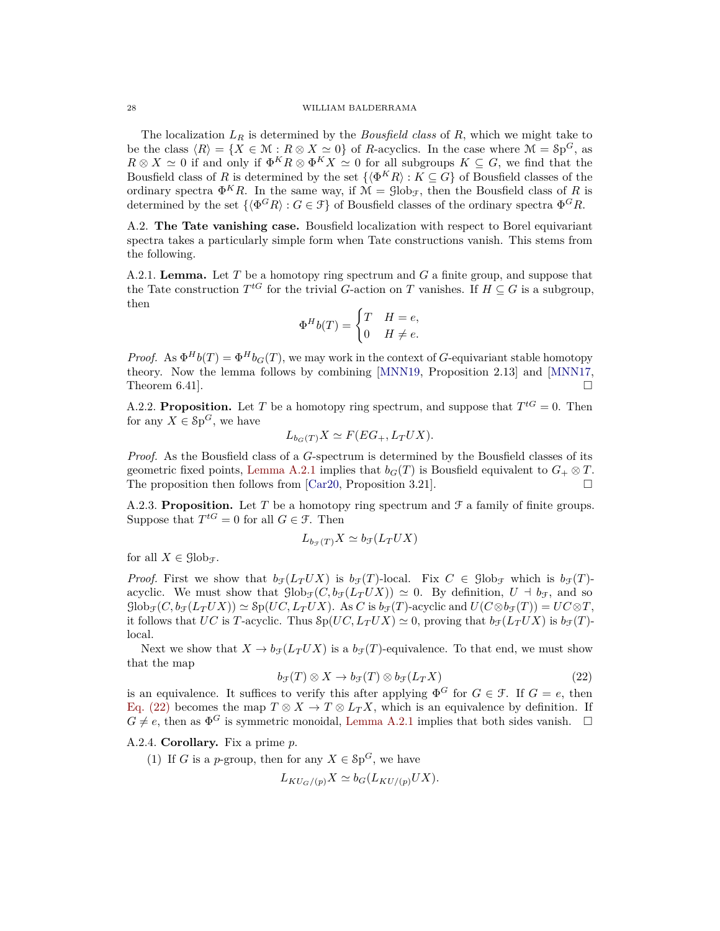The localization *L<sup>R</sup>* is determined by the *Bousfield class* of *R*, which we might take to be the class  $\langle R \rangle = \{ X \in \mathcal{M} : R \otimes X \simeq 0 \}$  of *R*-acyclics. In the case where  $\mathcal{M} = \mathcal{S}p^G$ , as  $R \otimes X \simeq 0$  if and only if  $\Phi^K R \otimes \Phi^K X \simeq 0$  for all subgroups  $K \subseteq G$ , we find that the Bousfield class of *R* is determined by the set  $\{\langle \Phi^K R \rangle : K \subseteq G\}$  of Bousfield classes of the ordinary spectra  $\Phi^K R$ . In the same way, if  $\mathcal{M} = \text{Glob}_{\mathcal{F}}$ , then the Bousfield class of R is determined by the set  $\{\langle \Phi^G R \rangle : G \in \mathcal{F}\}\$  of Bousfield classes of the ordinary spectra  $\Phi^G R$ .

<span id="page-27-0"></span>A.2. **The Tate vanishing case.** Bousfield localization with respect to Borel equivariant spectra takes a particularly simple form when Tate constructions vanish. This stems from the following.

<span id="page-27-1"></span>A.2.1. **Lemma.** Let *T* be a homotopy ring spectrum and *G* a finite group, and suppose that the Tate construction  $T^{tG}$  for the trivial *G*-action on *T* vanishes. If  $H \subseteq G$  is a subgroup, then

$$
\Phi^H b(T) = \begin{cases} T & H = e, \\ 0 & H \neq e. \end{cases}
$$

*Proof.* As  $\Phi^H b(T) = \Phi^H b_G(T)$ , we may work in the context of *G*-equivariant stable homotopy theory. Now the lemma follows by combining [\[MNN19,](#page-36-12) Proposition 2.13] and [\[MNN17,](#page-36-8) Theorem 6.41].

A.2.2. **Proposition.** Let T be a homotopy ring spectrum, and suppose that  $T^{tG} = 0$ . Then for any  $X \in \mathcal{S}p^G$ , we have

$$
L_{b_G(T)}X \simeq F(EG_+, L_TUX).
$$

*Proof.* As the Bousfield class of a *G*-spectrum is determined by the Bousfield classes of its geometric fixed points, [Lemma A.2.1](#page-27-1) implies that  $b_G(T)$  is Bousfield equivalent to  $G_+ \otimes T$ . The proposition then follows from [\[Car20,](#page-35-22) Proposition 3.21].

<span id="page-27-3"></span>A.2.3. **Proposition.** Let T be a homotopy ring spectrum and  $\mathcal{F}$  a family of finite groups. Suppose that  $T^{tG} = 0$  for all  $G \in \mathcal{F}$ . Then

$$
L_{b_{\mathcal{F}}(T)}X \simeq b_{\mathcal{F}}(L_TUX)
$$

for all  $X \in \mathcal{G}$ lob<sub>F</sub>.

*Proof.* First we show that  $b_f(L_T U X)$  is  $b_f(T)$ -local. Fix  $C \in \text{Glob}_{\mathcal{F}}$  which is  $b_f(T)$ acyclic. We must show that  $\text{Glob}_{\mathcal{F}}(C, b_{\mathcal{F}}(L_T U X)) \simeq 0$ . By definition,  $U \dashv b_{\mathcal{F}}$ , and so  $\text{Glob}_{\mathcal{F}}(C, b_{\mathcal{F}}(L_T U X)) \simeq \text{Sp}(UC, L_T U X)$ . As *C* is  $b_{\mathcal{F}}(T)$ -acyclic and  $U(C \otimes b_{\mathcal{F}}(T)) = U C \otimes T$ , it follows that *UC* is *T*-acyclic. Thus  $\text{Sp}(UC, L_TUX) \simeq 0$ , proving that  $b_{\mathcal{F}}(L_TUX)$  is  $b_{\mathcal{F}}(T)$ local.

Next we show that  $X \to b_f(L_T U X)$  is a  $b_f(T)$ -equivalence. To that end, we must show that the map

<span id="page-27-2"></span>
$$
b_{\mathcal{F}}(T) \otimes X \to b_{\mathcal{F}}(T) \otimes b_{\mathcal{F}}(L_T X) \tag{22}
$$

is an equivalence. It suffices to verify this after applying  $\Phi^G$  for  $G \in \mathcal{F}$ . If  $G = e$ , then [Eq. \(22\)](#page-27-2) becomes the map  $T \otimes X \to T \otimes L_T X$ , which is an equivalence by definition. If  $G \neq e$ , then as  $\Phi^G$  is symmetric monoidal, [Lemma A.2.1](#page-27-1) implies that both sides vanish.  $\Box$ 

# A.2.4. **Corollary.** Fix a prime *p*.

(1) If *G* is a *p*-group, then for any  $X \in \mathcal{S}p^G$ , we have

$$
L_{KU_G/(p)}X \simeq b_G(L_{KU/(p)}UX).
$$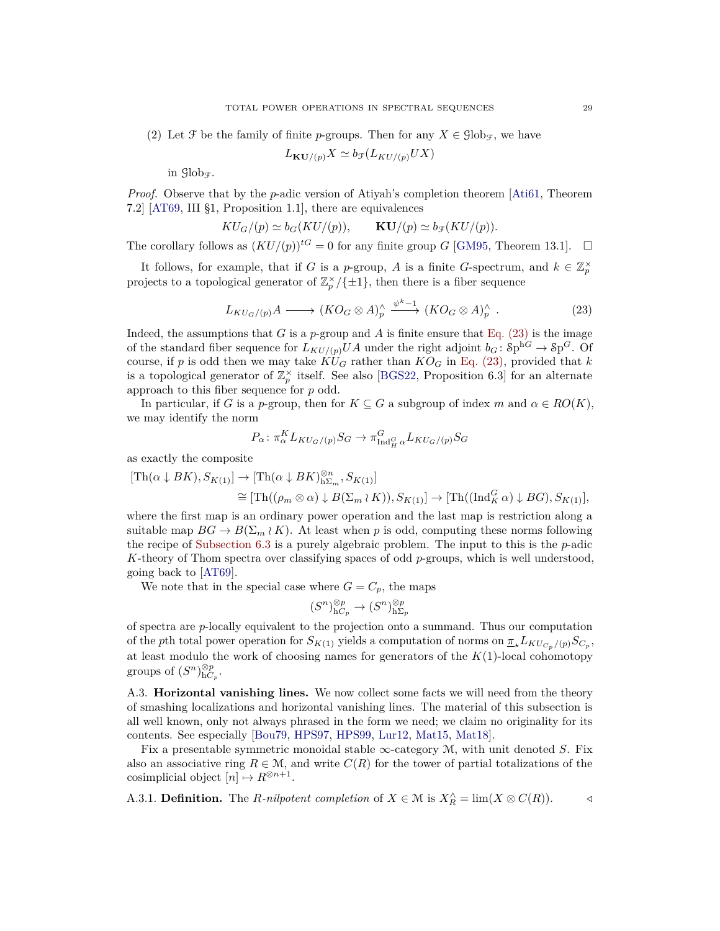(2) Let  $\mathcal F$  be the family of finite *p*-groups. Then for any  $X \in \mathcal G\mathrm{lob}_{\mathcal F}$ , we have

$$
L_{\mathbf{KU}/(p)}X \simeq b_{\mathcal{F}}(L_{KU/(p)}UX)
$$

in  $\mathcal{G}$ lob $\tau$ .

*Proof.* Observe that by the *p*-adic version of Atiyah's completion theorem [\[Ati61,](#page-35-23) Theorem 7.2] [\[AT69,](#page-35-17) III §1, Proposition 1.1], there are equivalences

$$
KU_G/(p) \simeq b_G(KU/(p)), \qquad \mathbf{KU}/(p) \simeq b_{\mathcal{F}}(KU/(p)).
$$

The corollary follows as  $(KU/(p))$ <sup>tG</sup> = 0 for any finite group *G* [\[GM95,](#page-36-13) Theorem 13.1].  $\Box$ 

It follows, for example, that if *G* is a *p*-group, *A* is a finite *G*-spectrum, and  $k \in \mathbb{Z}_p^{\times}$ projects to a topological generator of  $\mathbb{Z}_p^{\times}/\{\pm 1\}$ , then there is a fiber sequence

<span id="page-28-0"></span>
$$
L_{KU_G/(p)}A \longrightarrow (KO_G \otimes A)_p^{\wedge} \xrightarrow{\psi^k-1} (KO_G \otimes A)_p^{\wedge} . \tag{23}
$$

Indeed, the assumptions that *G* is a *p*-group and *A* is finite ensure that [Eq. \(23\)](#page-28-0) is the image of the standard fiber sequence for  $L_{KU/(p)}UA$  under the right adjoint  $b_G: Sp^{hG} \to Sp^G$ . Of course, if p is odd then we may take  $\widehat{KU}_G$  rather than  $KO_G$  in [Eq. \(23\),](#page-28-0) provided that k is a topological generator of  $\mathbb{Z}_p^{\times}$  itself. See also [\[BGS22,](#page-35-9) Proposition 6.3] for an alternate approach to this fiber sequence for *p* odd.

In particular, if *G* is a *p*-group, then for  $K \subseteq G$  a subgroup of index *m* and  $\alpha \in RO(K)$ , we may identify the norm

$$
P_{\alpha} \colon \pi_{\alpha}^{K} L_{KU_{G}/(p)} S_{G} \to \pi_{\mathrm{Ind}_{H}^{G} \alpha}^{G} L_{KU_{G}/(p)} S_{G}
$$

as exactly the composite

$$
[\text{Th}(\alpha \downarrow BK), S_{K(1)}] \to [\text{Th}(\alpha \downarrow BK)_{\text{h}\Sigma_m}^{\otimes n}, S_{K(1)}]
$$
  
\n
$$
\cong [\text{Th}((\rho_m \otimes \alpha) \downarrow B(\Sigma_m \wr K)), S_{K(1)}] \to [\text{Th}((\text{Ind}_{K}^{G} \alpha) \downarrow BG), S_{K(1)}],
$$

where the first map is an ordinary power operation and the last map is restriction along a suitable map  $BG \to B(\Sigma_m \wr K)$ . At least when p is odd, computing these norms following the recipe of [Subsection 6.3](#page-22-2) is a purely algebraic problem. The input to this is the *p*-adic *K*-theory of Thom spectra over classifying spaces of odd *p*-groups, which is well understood, going back to [\[AT69\]](#page-35-17).

We note that in the special case where  $G = C_p$ , the maps

$$
(S^n)_{\mathrm{h}C_p}^{\otimes p} \to (S^n)_{\mathrm{h}\Sigma_p}^{\otimes p}
$$

of spectra are *p*-locally equivalent to the projection onto a summand. Thus our computation of the *p*th total power operation for  $S_{K(1)}$  yields a computation of norms on  $\underline{\pi}_{\star}L_{KU_{C_p}/(p)}S_{C_p}$ , at least modulo the work of choosing names for generators of the *K*(1)-local cohomotopy groups of  $(S^n)_{\mathrm{h}C_p}^{\otimes p}$ .

A.3. **Horizontal vanishing lines.** We now collect some facts we will need from the theory of smashing localizations and horizontal vanishing lines. The material of this subsection is all well known, only not always phrased in the form we need; we claim no originality for its contents. See especially [\[Bou79,](#page-35-24) [HPS97,](#page-36-14) [HPS99,](#page-36-15) [Lur12,](#page-36-16) [Mat15,](#page-36-17) [Mat18\]](#page-36-18).

Fix a presentable symmetric monoidal stable  $\infty$ -category M, with unit denoted S. Fix also an associative ring  $R \in \mathcal{M}$ , and write  $C(R)$  for the tower of partial totalizations of the cosimplicial object  $[n] \mapsto R^{\otimes n+1}$ .

A.3.1. **Definition.** The *R*-nilpotent completion of  $X \in \mathcal{M}$  is  $X_R^{\wedge} = \lim(X \otimes C(R))$ .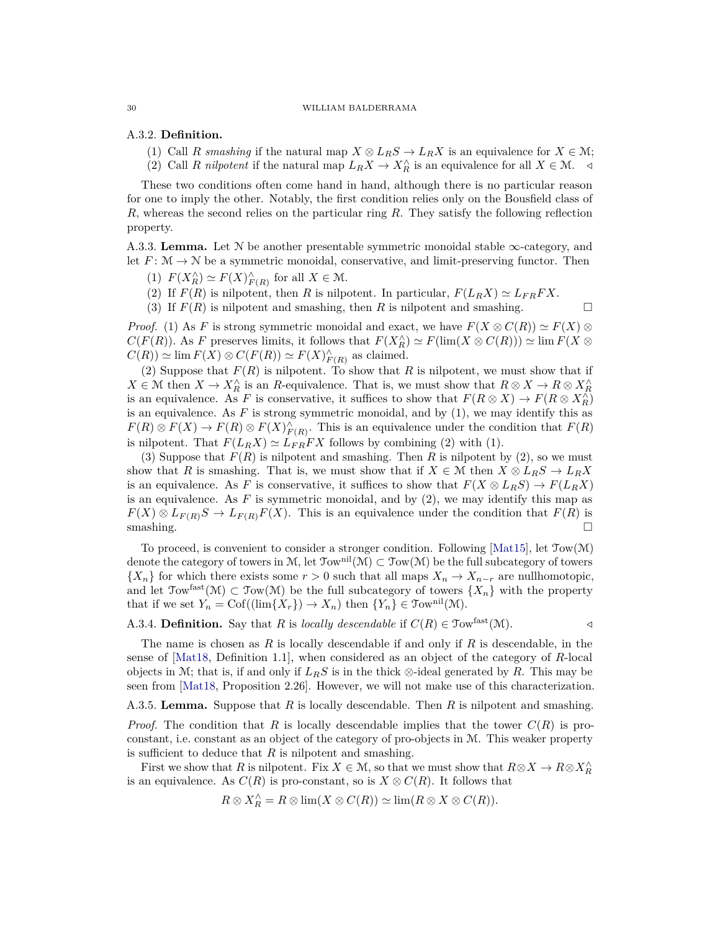## A.3.2. **Definition.**

- (1) Call *R* smashing if the natural map  $X \otimes L_R S \to L_R X$  is an equivalence for  $X \in \mathcal{M}$ ;
- (2) Call *R nilpotent* if the natural map  $L_R X \to X_R^{\wedge}$  is an equivalence for all  $X \in \mathcal{M}$ .

These two conditions often come hand in hand, although there is no particular reason for one to imply the other. Notably, the first condition relies only on the Bousfield class of *R*, whereas the second relies on the particular ring *R*. They satisfy the following reflection property.

<span id="page-29-2"></span>A.3.3. **Lemma.** Let N be another presentable symmetric monoidal stable  $\infty$ -category, and let  $F: \mathcal{M} \to \mathcal{N}$  be a symmetric monoidal, conservative, and limit-preserving functor. Then

- (1)  $F(X_R^{\wedge}) \simeq F(X)_{F(R)}^{\wedge}$  for all  $X \in \mathcal{M}$ .
- (2) If  $F(R)$  is nilpotent, then R is nilpotent. In particular,  $F(L_R X) \simeq L_{F R} F X$ .
- (3) If  $F(R)$  is nilpotent and smashing, then R is nilpotent and smashing.

*Proof.* (1) As *F* is strong symmetric monoidal and exact, we have  $F(X \otimes C(R)) \simeq F(X) \otimes$  $C(F(R))$ . As *F* preserves limits, it follows that  $F(X_R^{\wedge}) \simeq F(\lim(X \otimes C(R))) \simeq \lim F(X \otimes$  $C(R)$   $\simeq$  lim  $F(X) \otimes C(F(R)) \simeq F(X)_{F(R)}^{\wedge}$  as claimed.

(2) Suppose that  $F(R)$  is nilpotent. To show that R is nilpotent, we must show that if  $X \in \mathcal{M}$  then  $X \to X_R^{\wedge}$  is an *R*-equivalence. That is, we must show that  $R \otimes X \to R \otimes X_R^{\wedge}$ is an equivalence. As *F* is conservative, it suffices to show that  $F(R \otimes X) \to F(R \otimes X_R^{\wedge})$ is an equivalence. As  $F$  is strong symmetric monoidal, and by  $(1)$ , we may identify this as  $F(R) \otimes F(X) \to F(R) \otimes F(X)_{F(R)}^{\wedge}$ . This is an equivalence under the condition that  $F(R)$ is nilpotent. That  $F(L_R X) \simeq L_{FR} F X$  follows by combining (2) with (1).

(3) Suppose that  $F(R)$  is nilpotent and smashing. Then  $R$  is nilpotent by (2), so we must show that *R* is smashing. That is, we must show that if  $X \in \mathcal{M}$  then  $X \otimes L_R S \to L_R X$ is an equivalence. As *F* is conservative, it suffices to show that  $F(X \otimes L_R S) \to F(L_R X)$ is an equivalence. As  $F$  is symmetric monoidal, and by  $(2)$ , we may identify this map as  $F(X) \otimes L_{F(R)}S \to L_{F(R)}F(X)$ . This is an equivalence under the condition that  $F(R)$  is  $s$ mashing.

To proceed, is convenient to consider a stronger condition. Following [\[Mat15\]](#page-36-17), let  $\text{Tow}(\mathcal{M})$ denote the category of towers in M, let  $\mathcal{T}_{ow}^{nil}(\mathcal{M}) \subset \mathcal{T}_{ow}(\mathcal{M})$  be the full subcategory of towers { $X_n$ } for which there exists some  $r > 0$  such that all maps  $X_n → X_{n-r}$  are nullhomotopic, and let  $\text{Tour}^{\text{fast}}(\mathcal{M}) \subset \text{Tour}(\mathcal{M})$  be the full subcategory of towers  $\{X_n\}$  with the property that if we set  $Y_n = \text{Cof}((\text{lim}\{X_r\}) \to X_n)$  then  $\{Y_n\} \in \text{Tom}^{\text{nil}}(\mathcal{M})$ .

# <span id="page-29-0"></span>A.3.4. **Definition.** Say that *R* is *locally descendable* if  $C(R) \in \text{Tom}^{\text{fast}}(\mathcal{M})$ .

The name is chosen as *R* is locally descendable if and only if *R* is descendable, in the sense of [\[Mat18,](#page-36-18) Definition 1.1], when considered as an object of the category of *R*-local objects in M; that is, if and only if  $L_R S$  is in the thick ⊗-ideal generated by R. This may be seen from [\[Mat18,](#page-36-18) Proposition 2.26]. However, we will not make use of this characterization.

<span id="page-29-1"></span>A.3.5. **Lemma.** Suppose that *R* is locally descendable. Then *R* is nilpotent and smashing.

*Proof.* The condition that *R* is locally descendable implies that the tower  $C(R)$  is proconstant, i.e. constant as an object of the category of pro-objects in M. This weaker property is sufficient to deduce that *R* is nilpotent and smashing.

First we show that *R* is nilpotent. Fix  $X \in \mathcal{M}$ , so that we must show that  $R \otimes X \to R \otimes X_R^{\wedge}$ is an equivalence. As  $C(R)$  is pro-constant, so is  $X \otimes C(R)$ . It follows that

$$
R \otimes X_R^{\wedge} = R \otimes \lim(X \otimes C(R)) \simeq \lim(R \otimes X \otimes C(R)).
$$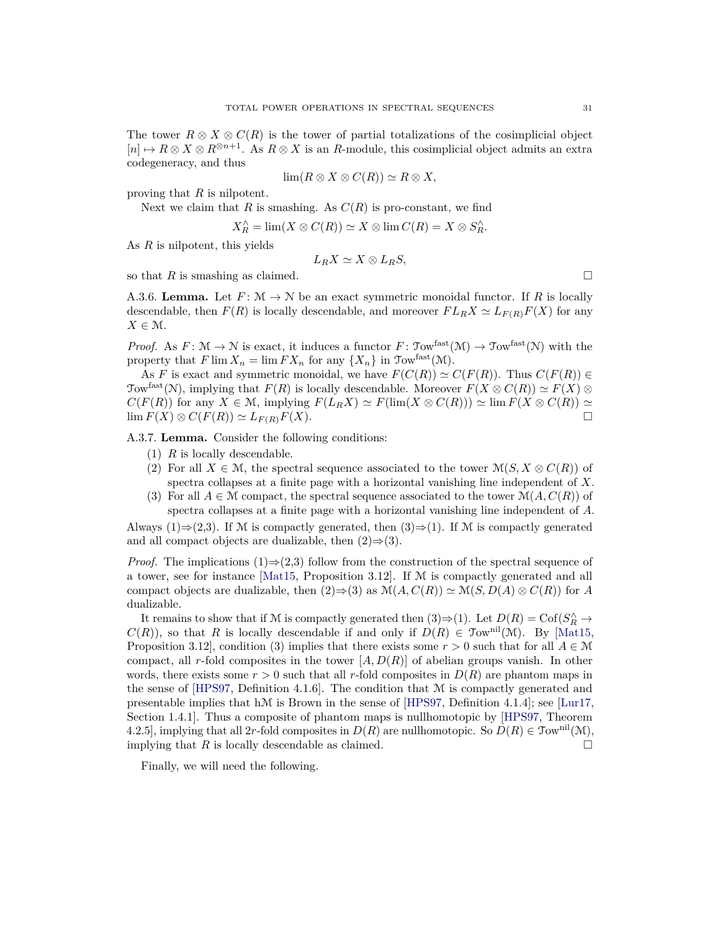The tower  $R \otimes X \otimes C(R)$  is the tower of partial totalizations of the cosimplicial object  $[n] \mapsto R \otimes X \otimes R^{\otimes n+1}$ . As  $R \otimes X$  is an *R*-module, this cosimplicial object admits an extra codegeneracy, and thus

$$
\lim(R \otimes X \otimes C(R)) \simeq R \otimes X,
$$

proving that *R* is nilpotent.

Next we claim that  $R$  is smashing. As  $C(R)$  is pro-constant, we find

$$
X_R^{\wedge} = \lim(X \otimes C(R)) \simeq X \otimes \lim C(R) = X \otimes S_R^{\wedge}.
$$

As *R* is nilpotent, this yields

$$
L_R X \simeq X \otimes L_R S,
$$

so that *R* is smashing as claimed.

<span id="page-30-1"></span>A.3.6. **Lemma.** Let  $F: \mathcal{M} \to \mathcal{N}$  be an exact symmetric monoidal functor. If R is locally descendable, then  $F(R)$  is locally descendable, and moreover  $FL_RX \simeq L_{F(R)}F(X)$  for any  $X \in \mathcal{M}$ .

*Proof.* As  $F: \mathcal{M} \to \mathcal{N}$  is exact, it induces a functor  $F: \mathcal{T}_{\text{OW}}^{\text{fast}}(\mathcal{M}) \to \mathcal{T}_{\text{OW}}^{\text{fast}}(\mathcal{N})$  with the property that  $F \lim X_n = \lim F X_n$  for any  $\{X_n\}$  in  $\text{Tom}^{\text{fast}}(\mathcal{M})$ .

As *F* is exact and symmetric monoidal, we have  $F(C(R)) \simeq C(F(R))$ . Thus  $C(F(R)) \in$ Tow<sup>fast</sup>(N), implying that  $F(R)$  is locally descendable. Moreover  $F(X \otimes C(R)) \simeq F(X) \otimes$  $C(F(R))$  for any  $X \in \mathcal{M}$ , implying  $F(L_R X) \simeq F(\lim(X \otimes C(R))) \simeq \lim F(X \otimes C(R)) \simeq$  $\lim F(X) \otimes C(F(R)) \simeq L_{F(R)}F(X).$  □

<span id="page-30-0"></span>A.3.7. **Lemma.** Consider the following conditions:

- (1) *R* is locally descendable.
- (2) For all  $X \in \mathcal{M}$ , the spectral sequence associated to the tower  $\mathcal{M}(S, X \otimes C(R))$  of spectra collapses at a finite page with a horizontal vanishing line independent of *X*.
- (3) For all  $A \in \mathcal{M}$  compact, the spectral sequence associated to the tower  $\mathcal{M}(A, C(R))$  of spectra collapses at a finite page with a horizontal vanishing line independent of *A*.

Always (1)⇒(2,3). If M is compactly generated, then  $(3) \Rightarrow (1)$ . If M is compactly generated and all compact objects are dualizable, then  $(2) \Rightarrow (3)$ .

*Proof.* The implications (1)⇒(2,3) follow from the construction of the spectral sequence of a tower, see for instance [\[Mat15,](#page-36-17) Proposition 3.12]. If M is compactly generated and all compact objects are dualizable, then  $(2) \Rightarrow (3)$  as  $\mathcal{M}(A, C(R)) \simeq \mathcal{M}(S, D(A) \otimes C(R))$  for *A* dualizable.

It remains to show that if M is compactly generated then  $(3) \Rightarrow (1)$ . Let  $D(R) = \text{Cof}(S_R^{\wedge} \rightarrow$  $C(R)$ ), so that *R* is locally descendable if and only if  $D(R) \in \mathfrak{Tw}^{\text{nil}}(\mathfrak{M})$ . By [\[Mat15,](#page-36-17) Proposition 3.12], condition (3) implies that there exists some  $r > 0$  such that for all  $A \in \mathcal{M}$ compact, all *r*-fold composites in the tower [*A, D*(*R*)] of abelian groups vanish. In other words, there exists some  $r > 0$  such that all r-fold composites in  $D(R)$  are phantom maps in the sense of [\[HPS97,](#page-36-14) Definition 4.1.6]. The condition that M is compactly generated and presentable implies that hM is Brown in the sense of [\[HPS97,](#page-36-14) Definition 4.1.4]; see [\[Lur17,](#page-36-19) Section 1.4.1]. Thus a composite of phantom maps is nullhomotopic by [\[HPS97,](#page-36-14) Theorem 4.2.5], implying that all 2r-fold composites in  $D(R)$  are nullhomotopic. So  $D(R) \in \mathcal{T}_{\text{ow}}^{\text{nil}}(\mathcal{M})$ , implying that *R* is locally descendable as claimed.

Finally, we will need the following.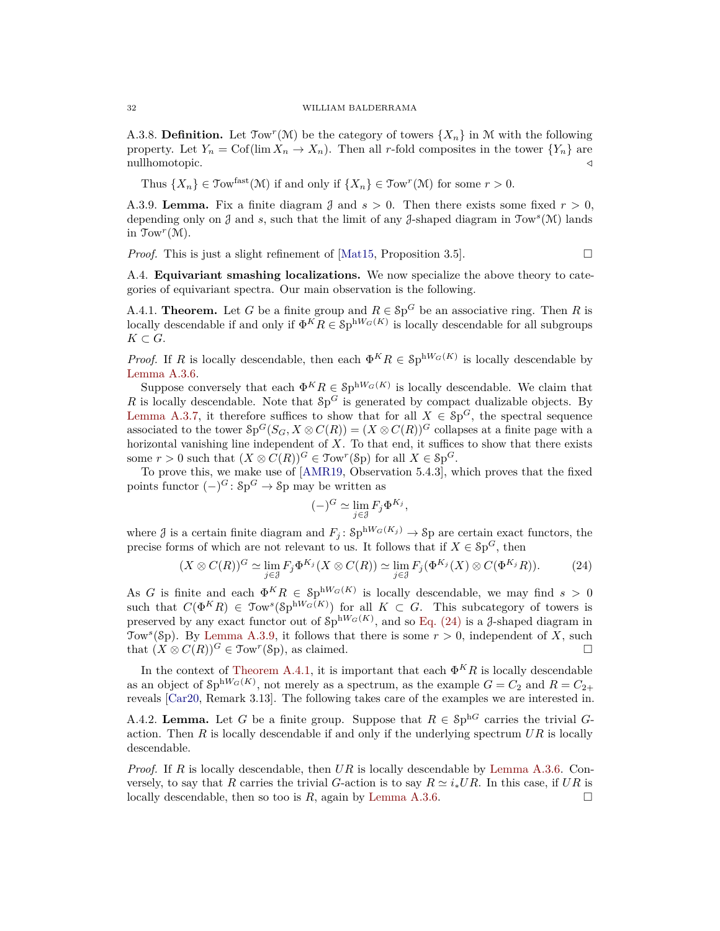A.3.8. **Definition.** Let  $\text{Tom}^r(\mathcal{M})$  be the category of towers  $\{X_n\}$  in M with the following property. Let  $Y_n = \text{Cof}(\lim X_n \to X_n)$ . Then all *r*-fold composites in the tower  ${Y_n}$  are nullhomotopic. */*

Thus  $\{X_n\} \in \text{Tour}^{\text{fast}}(\mathcal{M})$  if and only if  $\{X_n\} \in \text{Tour}^r(\mathcal{M})$  for some  $r > 0$ .

<span id="page-31-3"></span>A.3.9. **Lemma.** Fix a finite diagram  $\beta$  and  $s > 0$ . Then there exists some fixed  $r > 0$ , depending only on J and *s*, such that the limit of any J-shaped diagram in Tow*<sup>s</sup>* (M) lands in  $\text{Tom}^r(\mathcal{M})$ .

*Proof.* This is just a slight refinement of [\[Mat15,](#page-36-17) Proposition 3.5].

<span id="page-31-0"></span>A.4. **Equivariant smashing localizations.** We now specialize the above theory to categories of equivariant spectra. Our main observation is the following.

<span id="page-31-1"></span>A.4.1. **Theorem.** Let G be a finite group and  $R \in \mathcal{S}p^G$  be an associative ring. Then R is locally descendable if and only if  $\Phi^K R \in \mathcal{S}p^{hW_G(K)}$  is locally descendable for all subgroups  $K \subset G$ .

*Proof.* If *R* is locally descendable, then each  $\Phi^K R \in \mathcal{S}p^{hW_G(K)}$  is locally descendable by [Lemma A.3.6.](#page-30-1)

Suppose conversely that each  $\Phi^K R \in \mathcal{S}p^{hW_G(K)}$  is locally descendable. We claim that *R* is locally descendable. Note that  $Sp^G$  is generated by compact dualizable objects. By [Lemma A.3.7,](#page-30-0) it therefore suffices to show that for all  $X \in Sp^G$ , the spectral sequence associated to the tower  $\mathcal{S}_P^G(S_G, X \otimes C(R)) = (X \otimes C(R))^G$  collapses at a finite page with a horizontal vanishing line independent of *X*. To that end, it suffices to show that there exists some  $r > 0$  such that  $(X \otimes C(R))^G \in \text{Tour}^r(\text{Sp})$  for all  $X \in \text{Sp}^G$ .

To prove this, we make use of [\[AMR19,](#page-35-25) Observation 5.4.3], which proves that the fixed points functor  $(-)^G$ :  $\delta p^G \to \delta p$  may be written as

$$
(-)^G \simeq \lim_{j \in \mathcal{J}} F_j \Phi^{K_j},
$$

where  $\beta$  is a certain finite diagram and  $F_j$ :  $\text{Sp}^{\text{hW}_G(K_j)} \to \text{Sp}$  are certain exact functors, the precise forms of which are not relevant to us. It follows that if  $X \in \mathcal{S}p^G$ , then

<span id="page-31-2"></span>
$$
(X \otimes C(R))^G \simeq \lim_{j \in \mathcal{J}} F_j \Phi^{K_j}(X \otimes C(R)) \simeq \lim_{j \in \mathcal{J}} F_j(\Phi^{K_j}(X) \otimes C(\Phi^{K_j}R)).
$$
 (24)

As *G* is finite and each  $\Phi^K R \in Sp^{hW_G(K)}$  is locally descendable, we may find  $s > 0$ such that  $C(\Phi^K R) \in \mathfrak{Tw}^s(\mathfrak{H}^{\text{hW}_G(K)})$  for all  $K \subset G$ . This subcategory of towers is preserved by any exact functor out of  $\text{Sp}^{hW_G(K)}$ , and so [Eq. \(24\)](#page-31-2) is a *J*-shaped diagram in Tow<sup>s</sup>(Sp). By [Lemma A.3.9,](#page-31-3) it follows that there is some  $r > 0$ , independent of X, such that  $(X \otimes C(R))^G \in \text{Tour}^r(\text{Sp})$ , as claimed.

In the context of [Theorem A.4.1,](#page-31-1) it is important that each  $\Phi^K R$  is locally descendable as an object of  $\mathcal{S}p^{hW_G(K)}$ , not merely as a spectrum, as the example  $G = C_2$  and  $R = C_{2+}$ reveals [\[Car20,](#page-35-22) Remark 3.13]. The following takes care of the examples we are interested in.

<span id="page-31-4"></span>A.4.2. **Lemma.** Let G be a finite group. Suppose that  $R \in \text{Sp}^{\text{h}G}$  carries the trivial Gaction. Then *R* is locally descendable if and only if the underlying spectrum *UR* is locally descendable.

*Proof.* If *R* is locally descendable, then *UR* is locally descendable by [Lemma A.3.6.](#page-30-1) Conversely, to say that *R* carries the trivial *G*-action is to say  $R \simeq i_* U R$ . In this case, if  $UR$  is locally descendable, then so too is  $R$ , again by [Lemma A.3.6.](#page-30-1)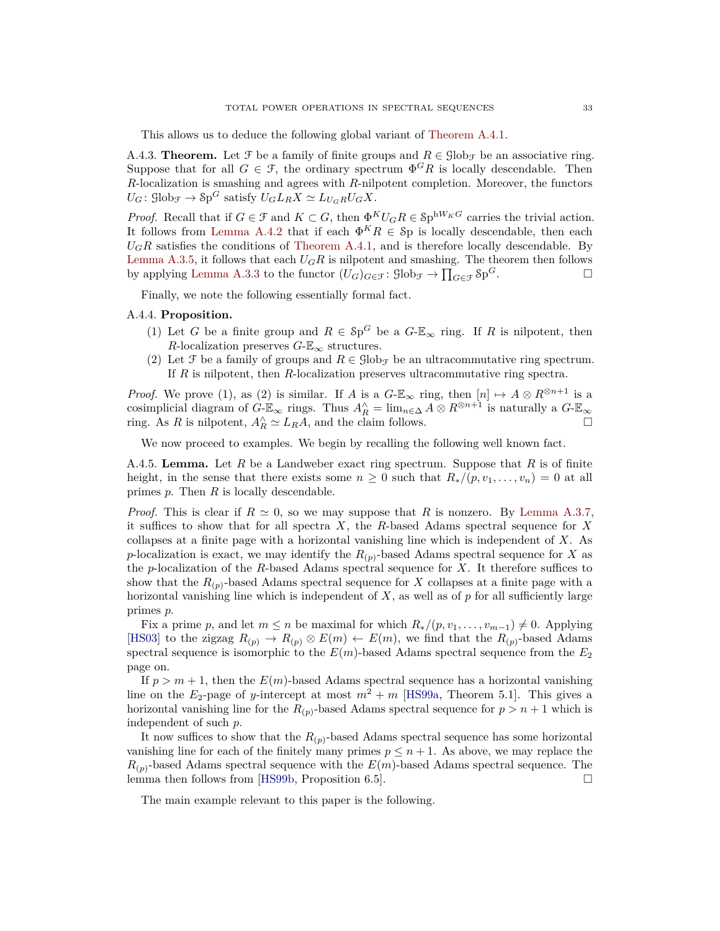This allows us to deduce the following global variant of [Theorem A.4.1.](#page-31-1)

<span id="page-32-1"></span>A.4.3. **Theorem.** Let  $\mathcal{F}$  be a family of finite groups and  $R \in \mathcal{G}$ lob<sub> $\mathcal{F}$ </sub> be an associative ring. Suppose that for all  $G \in \mathcal{F}$ , the ordinary spectrum  $\Phi^G R$  is locally descendable. Then *R*-localization is smashing and agrees with *R*-nilpotent completion. Moreover, the functors  $U_G$ :  $\mathcal{G}$ lob<sub>F</sub>  $\rightarrow$   $\mathcal{S}p^G$  satisfy  $U_GL_RX \simeq L_{U_GR}U_GX$ .

*Proof.* Recall that if  $G \in \mathcal{F}$  and  $K \subset G$ , then  $\Phi^K U_G R \in \mathcal{S}$  p<sup>hW<sub>K</sub><sup>*G*</sup> carries the trivial action.</sup> It follows from [Lemma A.4.2](#page-31-4) that if each  $\Phi^K R \in \mathcal{S}$  p is locally descendable, then each  $U_G R$  satisfies the conditions of [Theorem A.4.1,](#page-31-1) and is therefore locally descendable. By [Lemma A.3.5,](#page-29-1) it follows that each  $U_G R$  is nilpotent and smashing. The theorem then follows by applying [Lemma A.3.3](#page-29-2) to the functor  $(U_G)_{G \in \mathcal{F}}$ :  $\text{Glob}_{\mathcal{F}} \to \prod_{G \in \mathcal{F}} \text{Sp}$ *<sup>G</sup>*.

Finally, we note the following essentially formal fact.

## <span id="page-32-2"></span>A.4.4. **Proposition.**

- (1) Let *G* be a finite group and  $R \in \mathcal{S}p^G$  be a  $G-\mathbb{E}_{\infty}$  ring. If *R* is nilpotent, then *R*-localization preserves  $G-\mathbb{E}_{\infty}$  structures.
- (2) Let F be a family of groups and  $R \in \text{Glob}_{\mathcal{F}}$  be an ultracommutative ring spectrum. If *R* is nilpotent, then *R*-localization preserves ultracommutative ring spectra.

*Proof.* We prove (1), as (2) is similar. If *A* is a  $G-\mathbb{E}_{\infty}$  ring, then  $[n] \mapsto A \otimes R^{\otimes n+1}$  is a cosimplicial diagram of  $G-\mathbb{E}_{\infty}$  rings. Thus  $A_R^{\wedge} = \lim_{n \in \Delta} A \otimes R^{\otimes n+1}$  is naturally a  $G-\mathbb{E}_{\infty}$ ring. As *R* is nilpotent,  $A_R^{\wedge} \simeq L_R A$ , and the claim follows.

We now proceed to examples. We begin by recalling the following well known fact.

<span id="page-32-3"></span>A.4.5. **Lemma.** Let *R* be a Landweber exact ring spectrum. Suppose that *R* is of finite height, in the sense that there exists some  $n \geq 0$  such that  $R_*/(p, v_1, \ldots, v_n) = 0$  at all primes *p*. Then *R* is locally descendable.

*Proof.* This is clear if  $R \simeq 0$ , so we may suppose that R is nonzero. By [Lemma A.3.7,](#page-30-0) it suffices to show that for all spectra *X*, the *R*-based Adams spectral sequence for *X* collapses at a finite page with a horizontal vanishing line which is independent of *X*. As *p*-localization is exact, we may identify the  $R_{(p)}$ -based Adams spectral sequence for *X* as the *p*-localization of the *R*-based Adams spectral sequence for *X*. It therefore suffices to show that the  $R_{(p)}$ -based Adams spectral sequence for *X* collapses at a finite page with a horizontal vanishing line which is independent of X, as well as of p for all sufficiently large primes *p*.

Fix a prime *p*, and let  $m \leq n$  be maximal for which  $R_*/(p, v_1, \ldots, v_{m-1}) \neq 0$ . Applying [\[HS03\]](#page-36-20) to the zigzag  $R_{(p)} \to R_{(p)} \otimes E(m) \leftarrow E(m)$ , we find that the  $R_{(p)}$ -based Adams spectral sequence is isomorphic to the  $E(m)$ -based Adams spectral sequence from the  $E_2$ page on.

If  $p > m + 1$ , then the  $E(m)$ -based Adams spectral sequence has a horizontal vanishing line on the  $E_2$ -page of *y*-intercept at most  $m^2 + m$  [\[HS99a,](#page-36-21) Theorem 5.1]. This gives a horizontal vanishing line for the  $R_{(p)}$ -based Adams spectral sequence for  $p > n + 1$  which is independent of such *p*.

It now suffices to show that the  $R_{(p)}$ -based Adams spectral sequence has some horizontal vanishing line for each of the finitely many primes  $p \leq n + 1$ . As above, we may replace the  $R_{(p)}$ -based Adams spectral sequence with the  $E(m)$ -based Adams spectral sequence. The lemma then follows from [\[HS99b,](#page-36-22) Proposition 6.5].

<span id="page-32-0"></span>The main example relevant to this paper is the following.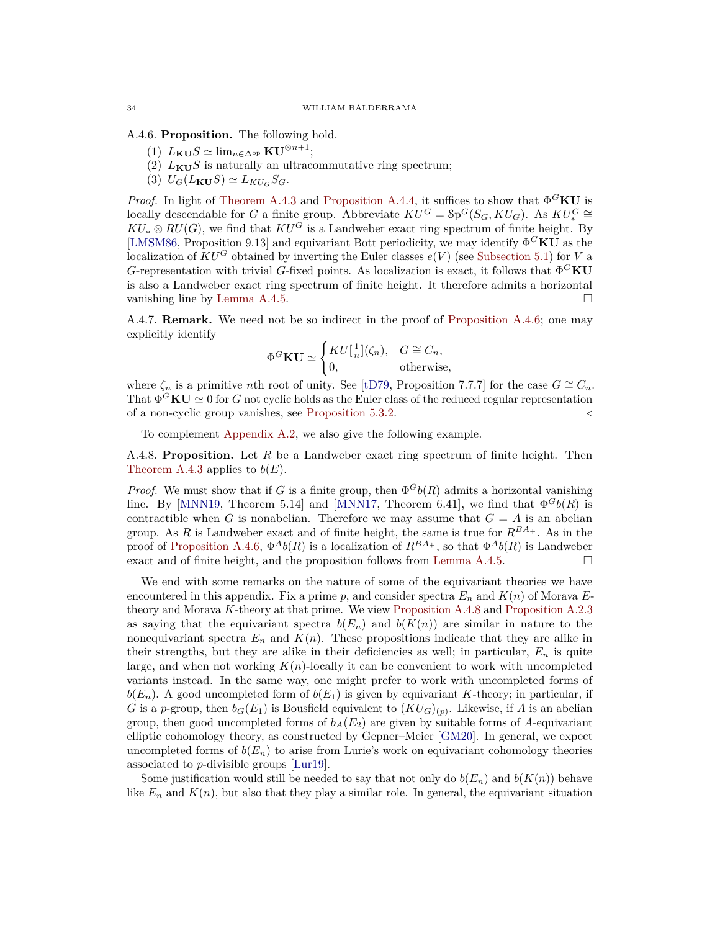A.4.6. **Proposition.** The following hold.

- $(L)$   $L_{\mathbf{KU}}S \simeq \lim_{n \in \Delta^{op}} \mathbf{KU}^{\otimes n+1};$
- (2)  $L_{\text{KU}}S$  is naturally an ultracommutative ring spectrum;
- $(3)$   $U_G(L_{\mathbf{KU}}S) \simeq L_{KU_G}S_G.$

*Proof.* In light of [Theorem A.4.3](#page-32-1) and [Proposition A.4.4,](#page-32-2) it suffices to show that  $\Phi$ <sup>G</sup>KU is locally descendable for *G* a finite group. Abbreviate  $\widehat{KU^G} = \text{Sp}^G(S_G, KU_G)$ . As  $KU^G_* \cong$  $KU_* \otimes RU(G)$ , we find that  $KU^G$  is a Landweber exact ring spectrum of finite height. By [\[LMSM86,](#page-36-23) Proposition 9.13] and equivariant Bott periodicity, we may identify Φ *<sup>G</sup>***KU** as the localization of  $KU^G$  obtained by inverting the Euler classes  $e(V)$  (see [Subsection 5.1\)](#page-16-1) for *V* a *G*-representation with trivial *G*-fixed points. As localization is exact, it follows that  $\Phi$ <sup>*G*</sup>**KU** is also a Landweber exact ring spectrum of finite height. It therefore admits a horizontal vanishing line by [Lemma A.4.5.](#page-32-3)

A.4.7. **Remark.** We need not be so indirect in the proof of [Proposition A.4.6;](#page-32-0) one may explicitly identify

$$
\Phi^G \mathbf{K} \mathbf{U} \simeq \begin{cases} K U[\frac{1}{n}](\zeta_n), & G \cong C_n, \\ 0, & \text{otherwise,} \end{cases}
$$

where  $\zeta_n$  is a primitive *n*th root of unity. See [\[tD79,](#page-37-7) Proposition 7.7.7] for the case  $G \cong C_n$ . That  $\Phi^G \mathbf{K} \mathbf{U} \simeq 0$  for *G* not cyclic holds as the Euler class of the reduced regular representation of a non-cyclic group vanishes, see [Proposition 5.3.2.](#page-19-2) */*

To complement [Appendix A.2,](#page-27-0) we also give the following example.

<span id="page-33-0"></span>A.4.8. **Proposition.** Let *R* be a Landweber exact ring spectrum of finite height. Then [Theorem A.4.3](#page-32-1) applies to  $b(E)$ .

*Proof.* We must show that if *G* is a finite group, then  $\Phi$ <sup>*G*</sup>*b*(*R*) admits a horizontal vanishing line. By [\[MNN19,](#page-36-12) Theorem 5.14] and [\[MNN17,](#page-36-8) Theorem 6.41], we find that  $\Phi^G b(R)$  is contractible when *G* is nonabelian. Therefore we may assume that  $G = A$  is an abelian group. As *R* is Landweber exact and of finite height, the same is true for *RBA*<sup>+</sup> . As in the proof of [Proposition A.4.6,](#page-32-0)  $\Phi^{A}b(R)$  is a localization of  $R^{BA_+}$ , so that  $\Phi^{A}b(R)$  is Landweber exact and of finite height, and the proposition follows from [Lemma A.4.5.](#page-32-3)

We end with some remarks on the nature of some of the equivariant theories we have encountered in this appendix. Fix a prime  $p$ , and consider spectra  $E_n$  and  $K(n)$  of Morava  $E$ theory and Morava *K*-theory at that prime. We view [Proposition A.4.8](#page-33-0) and [Proposition A.2.3](#page-27-3) as saying that the equivariant spectra  $b(E_n)$  and  $b(K(n))$  are similar in nature to the nonequivariant spectra  $E_n$  and  $K(n)$ . These propositions indicate that they are alike in their strengths, but they are alike in their deficiencies as well; in particular,  $E_n$  is quite large, and when not working *K*(*n*)-locally it can be convenient to work with uncompleted variants instead. In the same way, one might prefer to work with uncompleted forms of  $b(E_n)$ . A good uncompleted form of  $b(E_1)$  is given by equivariant *K*-theory; in particular, if *G* is a *p*-group, then  $b_G(E_1)$  is Bousfield equivalent to  $(KU_G)_{(p)}$ . Likewise, if *A* is an abelian group, then good uncompleted forms of  $b_A(E_2)$  are given by suitable forms of A-equivariant elliptic cohomology theory, as constructed by Gepner–Meier [\[GM20\]](#page-36-24). In general, we expect uncompleted forms of  $b(E_n)$  to arise from Lurie's work on equivariant cohomology theories associated to *p*-divisible groups [\[Lur19\]](#page-36-25).

Some justification would still be needed to say that not only do  $b(E_n)$  and  $b(K(n))$  behave like  $E_n$  and  $K(n)$ , but also that they play a similar role. In general, the equivariant situation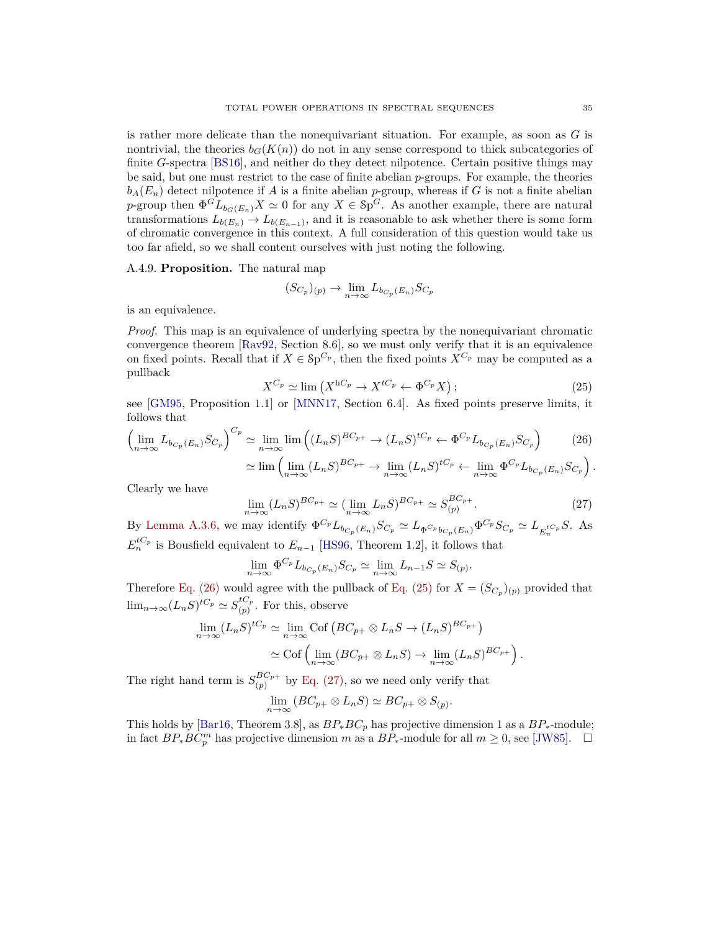is rather more delicate than the nonequivariant situation. For example, as soon as *G* is nontrivial, the theories  $b_G(K(n))$  do not in any sense correspond to thick subcategories of finite *G*-spectra [\[BS16\]](#page-35-26), and neither do they detect nilpotence. Certain positive things may be said, but one must restrict to the case of finite abelian *p*-groups. For example, the theories  $b_A(E_n)$  detect nilpotence if *A* is a finite abelian *p*-group, whereas if *G* is not a finite abelian *p*-group then  $\Phi^{G}L_{b_{G}(E_{n})}X \simeq 0$  for any  $X \in \mathcal{Sp}^{G}$ . As another example, there are natural transformations  $L_{b(E_n)} \to L_{b(E_{n-1})}$ , and it is reasonable to ask whether there is some form of chromatic convergence in this context. A full consideration of this question would take us too far afield, so we shall content ourselves with just noting the following.

#### A.4.9. **Proposition.** The natural map

$$
(S_{C_p})_{(p)} \to \lim_{n \to \infty} L_{b_{C_p}(E_n)} S_{C_p}
$$

is an equivalence.

*Proof.* This map is an equivalence of underlying spectra by the nonequivariant chromatic convergence theorem [\[Rav92,](#page-37-12) Section 8.6], so we must only verify that it is an equivalence on fixed points. Recall that if  $X \in \mathcal{S}p^{C_p}$ , then the fixed points  $X^{C_p}$  may be computed as a pullback

<span id="page-34-1"></span><span id="page-34-0"></span>
$$
X^{C_p} \simeq \lim \left( X^{hC_p} \to X^{tC_p} \leftarrow \Phi^{C_p} X \right); \tag{25}
$$

see [\[GM95,](#page-36-13) Proposition 1.1] or [\[MNN17,](#page-36-8) Section 6.4]. As fixed points preserve limits, it follows that

$$
\left(\lim_{n\to\infty} L_{b_{C_p}(E_n)} S_{C_p}\right)^{C_p} \simeq \lim_{n\to\infty} \lim_{n\to\infty} \left( (L_n S)^{BC_{p+1}} \to (L_n S)^{tC_p} \leftarrow \Phi^{C_p} L_{b_{C_p}(E_n)} S_{C_p}\right) \tag{26}
$$

$$
\simeq \lim \left( \lim_{n \to \infty} (L_n S)^{BC_{p+}} \to \lim_{n \to \infty} (L_n S)^{tC_p} \leftarrow \lim_{n \to \infty} \Phi^{C_p} L_{b_{C_p}(E_n)} S_{C_p} \right).
$$

Clearly we have

<span id="page-34-2"></span>
$$
\lim_{n \to \infty} (L_n S)^{BC_{p+}} \simeq (\lim_{n \to \infty} L_n S)^{BC_{p+}} \simeq S_{(p)}^{BC_{p+}}.
$$
\n(27)

By [Lemma A.3.6,](#page-30-1) we may identify  $\Phi^{C_p} L_{b_{C_p}(E_n)} S_{C_p} \simeq L_{\Phi^{C_p} b_{C_p}(E_n)} \Phi^{C_p} S_{C_p} \simeq L_{E_n^{tC_p}} S$ . As  $E_n^{tC_p}$  is Bousfield equivalent to  $E_{n-1}$  [\[HS96,](#page-36-26) Theorem 1.2], it follows that

$$
\lim_{n \to \infty} \Phi^{C_p} L_{b_{C_p}(E_n)} S_{C_p} \simeq \lim_{n \to \infty} L_{n-1} S \simeq S_{(p)}.
$$

Therefore [Eq. \(26\)](#page-34-0) would agree with the pullback of [Eq. \(25\)](#page-34-1) for  $X = (S_{C_p})_{(p)}$  provided that  $\lim_{n\to\infty}(L_nS)^{tC_p}\simeq S_{(n)}^{tC_p}$  $\int_{(p)}^{(p)}$ . For this, observe

$$
\lim_{n \to \infty} (L_n S)^{tC_p} \simeq \lim_{n \to \infty} \text{Cof} \left( BC_{p+} \otimes L_n S \to (L_n S)^{BC_{p+}} \right)
$$

$$
\simeq \text{Cof} \left( \lim_{n \to \infty} (BC_{p+} \otimes L_n S) \to \lim_{n \to \infty} (L_n S)^{BC_{p+}} \right).
$$

The right hand term is  $S_{(n)}^{BC_{p+}}$  $\int_{(p)}^{\text{D}_\text{C}} p^+$  by [Eq. \(27\),](#page-34-2) so we need only verify that

$$
\lim_{n \to \infty} (BC_{p+} \otimes L_nS) \simeq BC_{p+} \otimes S_{(p)}.
$$

This holds by [\[Bar16,](#page-35-27) Theorem 3.8], as  $BP_*BC_p$  has projective dimension 1 as a  $BP_*$ -module; in fact  $BP_*BC_p^m$  has projective dimension *m* as a  $BP_*$ -module for all  $m \geq 0$ , see [\[JW85\]](#page-36-27). □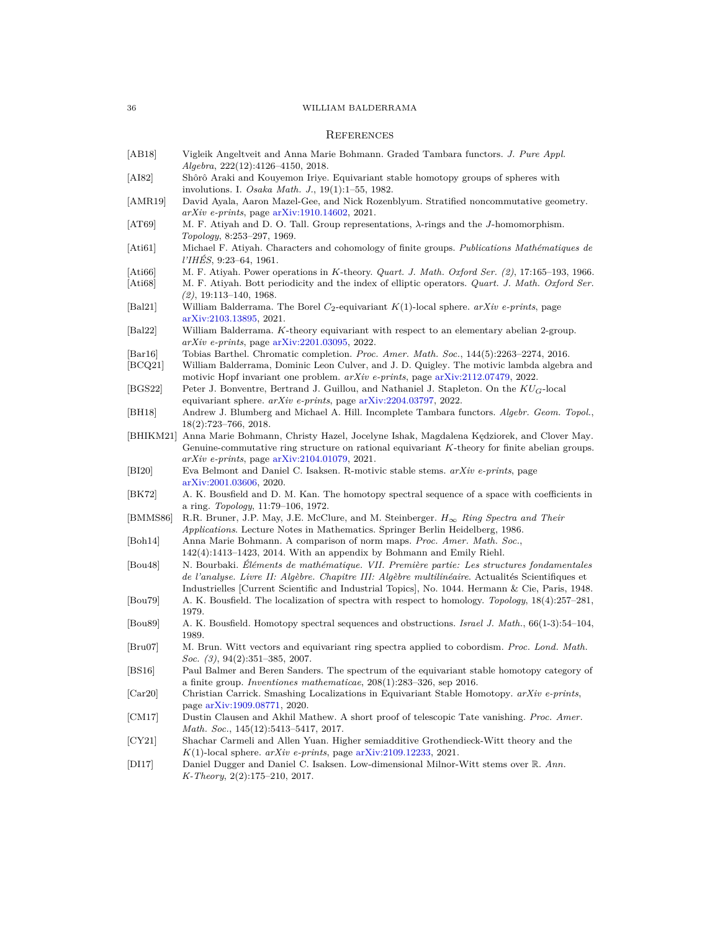# <span id="page-35-0"></span>**REFERENCES**

<span id="page-35-27"></span><span id="page-35-26"></span><span id="page-35-25"></span><span id="page-35-24"></span><span id="page-35-23"></span><span id="page-35-22"></span><span id="page-35-21"></span><span id="page-35-20"></span><span id="page-35-19"></span><span id="page-35-18"></span><span id="page-35-17"></span><span id="page-35-16"></span><span id="page-35-15"></span><span id="page-35-14"></span><span id="page-35-13"></span><span id="page-35-12"></span><span id="page-35-11"></span><span id="page-35-10"></span><span id="page-35-9"></span><span id="page-35-8"></span><span id="page-35-7"></span><span id="page-35-6"></span><span id="page-35-5"></span><span id="page-35-4"></span><span id="page-35-3"></span><span id="page-35-2"></span><span id="page-35-1"></span>

| [AB18]                | Vigleik Angeltveit and Anna Marie Bohmann. Graded Tambara functors. J. Pure Appl.                                                                                                                                                                                                               |
|-----------------------|-------------------------------------------------------------------------------------------------------------------------------------------------------------------------------------------------------------------------------------------------------------------------------------------------|
| [AI82]                | <i>Algebra</i> , 222(12):4126-4150, 2018.<br>Shôrô Araki and Kouyemon Iriye. Equivariant stable homotopy groups of spheres with                                                                                                                                                                 |
|                       | involutions. I. Osaka Math. J., 19(1):1–55, 1982.                                                                                                                                                                                                                                               |
| AMR19                 | David Ayala, Aaron Mazel-Gee, and Nick Rozenblyum. Stratified noncommutative geometry.<br>$arXiv$ e-prints, page $arXiv:1910.14602$ , 2021.                                                                                                                                                     |
| [AT69]                | M. F. Atiyah and D. O. Tall. Group representations, $\lambda$ -rings and the J-homomorphism.                                                                                                                                                                                                    |
| Ati61                 | Topology, 8:253–297, 1969.<br>Michael F. Atiyah. Characters and cohomology of finite groups. Publications Mathématiques de<br>$I'IHES, 9:23-64, 1961.$                                                                                                                                          |
| Ati66 <br>[Ati68]     | M. F. Atiyah. Power operations in K-theory. Quart. J. Math. Oxford Ser. (2), 17:165-193, 1966.<br>M. F. Atiyah. Bott periodicity and the index of elliptic operators. <i>Quart. J. Math. Oxford Ser.</i>                                                                                        |
| <b>Bal21</b>          | $(2), 19:113-140, 1968.$<br>William Balderrama. The Borel $C_2$ -equivariant $K(1)$ -local sphere. arXiv e-prints, page<br>arXiv:2103.13895, 2021.                                                                                                                                              |
| <b>Bal22</b>          | William Balderrama. K-theory equivariant with respect to an elementary abelian 2-group.<br>$arXiv$ e-prints, page $arXiv:2201.03095$ , 2022.                                                                                                                                                    |
| $\vert$ Bar16 $\vert$ | Tobias Barthel. Chromatic completion. Proc. Amer. Math. Soc., 144(5):2263-2274, 2016.                                                                                                                                                                                                           |
| [BCQ21]               | William Balderrama, Dominic Leon Culver, and J. D. Quigley. The motivic lambda algebra and<br>motivic Hopf invariant one problem. <i>arXiv e-prints</i> , page arXiv:2112.07479, 2022.                                                                                                          |
| [BGS22]               | Peter J. Bonventre, Bertrand J. Guillou, and Nathaniel J. Stapleton. On the $KU_G$ -local<br>equivariant sphere. $arXiv$ e-prints, page $arXiv:2204.03797$ , 2022.                                                                                                                              |
| [BH18]                | Andrew J. Blumberg and Michael A. Hill. Incomplete Tambara functors. Algebr. Geom. Topol.,<br>$18(2):723-766, 2018.$                                                                                                                                                                            |
|                       | [BHIKM21] Anna Marie Bohmann, Christy Hazel, Jocelyne Ishak, Magdalena Kędziorek, and Clover May.<br>Genuine-commutative ring structure on rational equivariant K-theory for finite abelian groups.                                                                                             |
| BI20                  | $arXiv$ e-prints, page $arXiv:2104.01079$ , 2021.<br>Eva Belmont and Daniel C. Isaksen. R-motivic stable stems. <i>arXiv e-prints</i> , page                                                                                                                                                    |
| BK72                  | arXiv:2001.03606, 2020.<br>A. K. Bousfield and D. M. Kan. The homotopy spectral sequence of a space with coefficients in<br>a ring. <i>Topology</i> , 11:79–106, 1972.                                                                                                                          |
| [BMMS86]              | R.R. Bruner, J.P. May, J.E. McClure, and M. Steinberger. $H_{\infty}$ Ring Spectra and Their<br>Applications. Lecture Notes in Mathematics. Springer Berlin Heidelberg, 1986.                                                                                                                   |
| Boh14                 | Anna Marie Bohmann. A comparison of norm maps. <i>Proc. Amer. Math. Soc.</i> ,<br>$142(4)$ :1413–1423, 2014. With an appendix by Bohmann and Emily Riehl.                                                                                                                                       |
| Bou48                 | N. Bourbaki. Eléments de mathématique. VII. Première partie: Les structures fondamentales<br>de l'analyse. Livre II: Algèbre. Chapitre III: Algèbre multilinéaire. Actualités Scientifiques et<br>Industrielles Current Scientific and Industrial Topics, No. 1044. Hermann & Cie, Paris, 1948. |
| Bou79                 | A. K. Bousfield. The localization of spectra with respect to homology. Topology, 18(4):257–281,<br>1979.                                                                                                                                                                                        |
| Bou89                 | A. K. Bousfield. Homotopy spectral sequences and obstructions. Israel J. Math., 66(1-3):54–104,<br>1989.                                                                                                                                                                                        |
| $\vert$ Bru07 $\vert$ | M. Brun. Witt vectors and equivariant ring spectra applied to cobordism. <i>Proc. Lond. Math.</i><br><i>Soc.</i> $(3)$ , $94(2):351-385$ , 2007.                                                                                                                                                |
| [BS16]                | Paul Balmer and Beren Sanders. The spectrum of the equivariant stable homotopy category of<br>a finite group. Inventiones mathematicae, $208(1):283-326$ , sep 2016.                                                                                                                            |
| [Car20]               | Christian Carrick. Smashing Localizations in Equivariant Stable Homotopy. arXiv e-prints,<br>page arXiv:1909.08771, 2020.                                                                                                                                                                       |
| CM17                  | Dustin Clausen and Akhil Mathew. A short proof of telescopic Tate vanishing. Proc. Amer.<br>Math. Soc., $145(12):5413-5417$ , 2017.                                                                                                                                                             |
| CY21                  | Shachar Carmeli and Allen Yuan. Higher semiadditive Grothendieck-Witt theory and the<br>$K(1)$ -local sphere. $arXiv$ e-prints, page $arXiv:2109.12233$ , 2021.                                                                                                                                 |
| DI17                  | Daniel Dugger and Daniel C. Isaksen. Low-dimensional Milnor-Witt stems over $\mathbb{R}$ . Ann.<br>$K$ -Theory, 2(2):175-210, 2017.                                                                                                                                                             |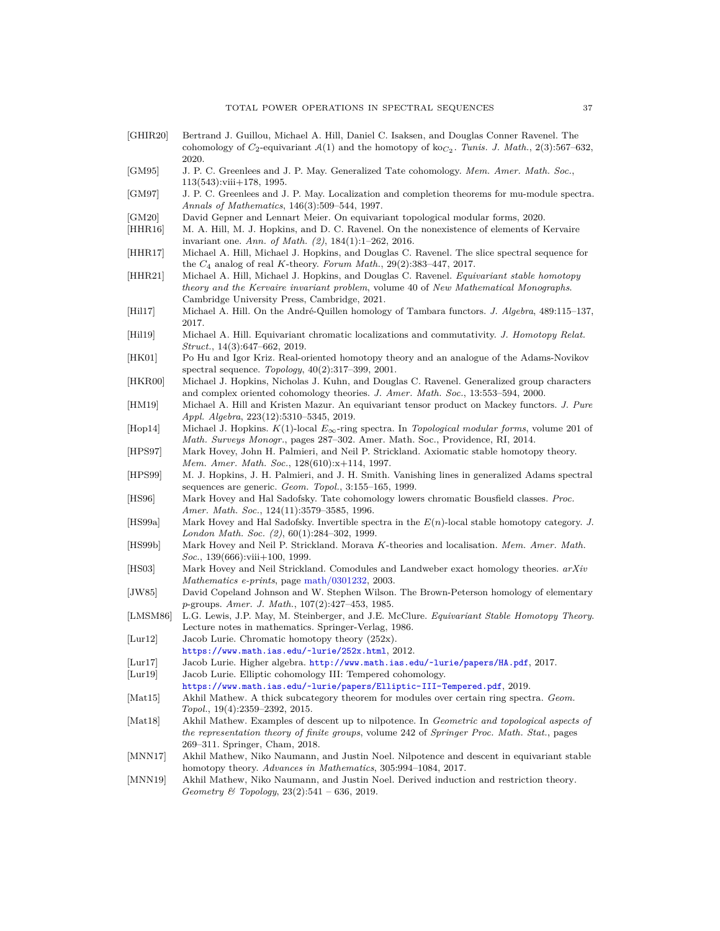<span id="page-36-27"></span><span id="page-36-26"></span><span id="page-36-25"></span><span id="page-36-24"></span><span id="page-36-23"></span><span id="page-36-22"></span><span id="page-36-21"></span><span id="page-36-20"></span><span id="page-36-19"></span><span id="page-36-18"></span><span id="page-36-17"></span><span id="page-36-16"></span><span id="page-36-15"></span><span id="page-36-14"></span><span id="page-36-13"></span><span id="page-36-12"></span><span id="page-36-11"></span><span id="page-36-10"></span><span id="page-36-9"></span><span id="page-36-8"></span><span id="page-36-7"></span><span id="page-36-6"></span><span id="page-36-5"></span><span id="page-36-4"></span><span id="page-36-3"></span><span id="page-36-2"></span><span id="page-36-1"></span><span id="page-36-0"></span>

| [GHIR20]                     | Bertrand J. Guillou, Michael A. Hill, Daniel C. Isaksen, and Douglas Conner Ravenel. The<br>cohomology of $C_2$ -equivariant $A(1)$ and the homotopy of ko $_{C_2}$ . Tunis. J. Math., 2(3):567-632,<br>2020.                            |
|------------------------------|------------------------------------------------------------------------------------------------------------------------------------------------------------------------------------------------------------------------------------------|
| [GM95]                       | J. P. C. Greenlees and J. P. May. Generalized Tate cohomology. Mem. Amer. Math. Soc.,<br>$113(543):$ viii $+178, 1995.$                                                                                                                  |
| GM97                         | J. P. C. Greenlees and J. P. May. Localization and completion theorems for mu-module spectra.<br>Annals of Mathematics, $146(3):509-544$ , 1997.                                                                                         |
| GM20 <br> HHR16              | David Gepner and Lennart Meier. On equivariant topological modular forms, 2020.<br>M. A. Hill, M. J. Hopkins, and D. C. Ravenel. On the nonexistence of elements of Kervaire<br>invariant one. Ann. of Math. $(2)$ , 184(1):1-262, 2016. |
| HHR17                        | Michael A. Hill, Michael J. Hopkins, and Douglas C. Ravenel. The slice spectral sequence for<br>the $C_4$ analog of real K-theory. Forum Math., 29(2):383-447, 2017.                                                                     |
| HHR21                        | Michael A. Hill, Michael J. Hopkins, and Douglas C. Ravenel. Equivariant stable homotopy<br>theory and the Kervaire invariant problem, volume 40 of New Mathematical Monographs.                                                         |
| H <sub>117</sub>             | Cambridge University Press, Cambridge, 2021.<br>Michael A. Hill. On the André-Quillen homology of Tambara functors. J. Algebra, 489:115-137,<br>2017.                                                                                    |
| H <sub>1119</sub>            | Michael A. Hill. Equivariant chromatic localizations and commutativity. J. Homotopy Relat.<br>$Struct., 14(3): 647-662, 2019.$                                                                                                           |
| [HK01]                       | Po Hu and Igor Kriz. Real-oriented homotopy theory and an analogue of the Adams-Novikov<br>spectral sequence. Topology, $40(2):317-399$ , $2001$ .                                                                                       |
| [HKR00]                      | Michael J. Hopkins, Nicholas J. Kuhn, and Douglas C. Ravenel. Generalized group characters<br>and complex oriented cohomology theories. J. Amer. Math. Soc., 13:553-594, 2000.                                                           |
| HM19                         | Michael A. Hill and Kristen Mazur. An equivariant tensor product on Mackey functors. J. Pure<br>Appl. Algebra, 223(12):5310-5345, 2019.                                                                                                  |
| Hop14                        | Michael J. Hopkins. $K(1)$ -local $E_{\infty}$ -ring spectra. In Topological modular forms, volume 201 of<br>Math. Surveys Monogr., pages 287–302. Amer. Math. Soc., Providence, RI, 2014.                                               |
| [HPS97]                      | Mark Hovey, John H. Palmieri, and Neil P. Strickland. Axiomatic stable homotopy theory.<br>Mem. Amer. Math. Soc., 128(610):x+114, 1997.                                                                                                  |
| [HPS99]                      | M. J. Hopkins, J. H. Palmieri, and J. H. Smith. Vanishing lines in generalized Adams spectral<br>sequences are generic. <i>Geom. Topol.</i> , 3:155-165, 1999.                                                                           |
| $ {\rm HS96} $               | Mark Hovey and Hal Sadofsky. Tate cohomology lowers chromatic Bousfield classes. <i>Proc.</i><br>Amer. Math. Soc., 124(11):3579-3585, 1996.                                                                                              |
| HS99a                        | Mark Hovey and Hal Sadofsky. Invertible spectra in the $E(n)$ -local stable homotopy category. J.<br>London Math. Soc. $(2), 60(1):284-302, 1999$ .                                                                                      |
| HS99b                        | Mark Hovey and Neil P. Strickland. Morava K-theories and localisation. Mem. Amer. Math.<br><i>Soc.</i> , $139(666)$ :viii $+100$ , 1999.                                                                                                 |
| [HS03]                       | Mark Hovey and Neil Strickland. Comodules and Landweber exact homology theories. arXiv<br>Mathematics e-prints, page math/0301232, 2003.                                                                                                 |
| JW85                         | David Copeland Johnson and W. Stephen Wilson. The Brown-Peterson homology of elementary<br>p-groups. Amer. J. Math., 107(2):427-453, 1985.                                                                                               |
| LMSM86                       | L.G. Lewis, J.P. May, M. Steinberger, and J.E. McClure. <i>Equivariant Stable Homotopy Theory</i> .<br>Lecture notes in mathematics. Springer-Verlag, 1986.                                                                              |
| $\left[ \text{Lur12}\right]$ | Jacob Lurie. Chromatic homotopy theory $(252x)$ .<br>https://www.math.ias.edu/~lurie/252x.html, 2012.                                                                                                                                    |
| Lur17                        | Jacob Lurie. Higher algebra. http://www.math.ias.edu/~lurie/papers/HA.pdf, 2017.                                                                                                                                                         |
| [Lur19]                      | Jacob Lurie. Elliptic cohomology III: Tempered cohomology.                                                                                                                                                                               |
| $\vert Mat15 \vert$          | https://www.math.ias.edu/~lurie/papers/Elliptic-III-Tempered.pdf, 2019.<br>Akhil Mathew. A thick subcategory theorem for modules over certain ring spectra. Geom.<br>$Topol., 19(4): 2359-2392, 2015.$                                   |
| $\vert Mat18\vert$           | Akhil Mathew. Examples of descent up to nilpotence. In <i>Geometric and topological aspects of</i><br>the representation theory of finite groups, volume 242 of Springer Proc. Math. Stat., pages<br>269–311. Springer, Cham, 2018.      |
| MN17                         | Akhil Mathew, Niko Naumann, and Justin Noel. Nilpotence and descent in equivariant stable<br>homotopy theory. Advances in Mathematics, 305:994-1084, 2017.                                                                               |
| [MNN19]                      | Akhil Mathew, Niko Naumann, and Justin Noel. Derived induction and restriction theory.<br>Geometry & Topology, $23(2)$ :541 – 636, 2019.                                                                                                 |